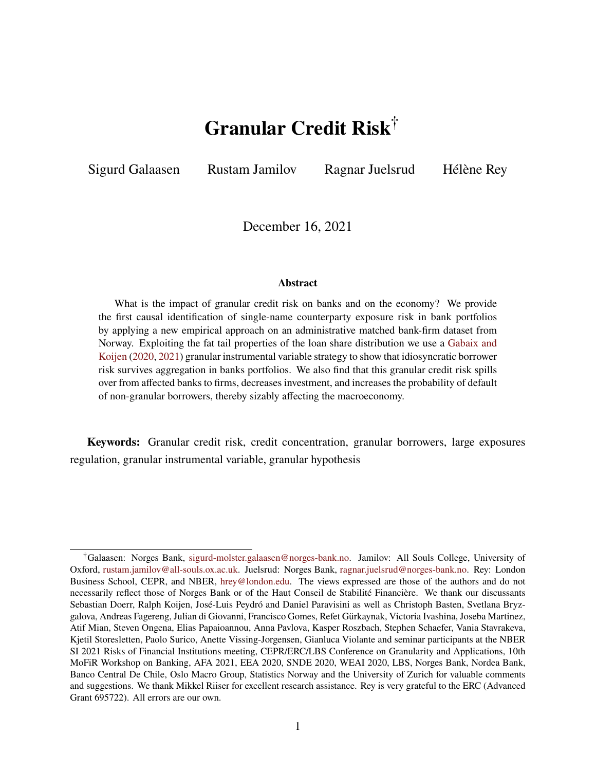# **Granular Credit Risk**†

<span id="page-0-0"></span>Sigurd Galaasen Rustam Jamilov Ragnar Juelsrud Hélène Rey

December 16, 2021

#### **Abstract**

What is the impact of granular credit risk on banks and on the economy? We provide the first causal identification of single-name counterparty exposure risk in bank portfolios by applying a new empirical approach on an administrative matched bank-firm dataset from Norway. Exploiting the fat tail properties of the loan share distribution we use a [Gabaix and](#page-45-0) [Koijen](#page-45-0) [\(2020,](#page-45-0) [2021\)](#page-45-1) granular instrumental variable strategy to show that idiosyncratic borrower risk survives aggregation in banks portfolios. We also find that this granular credit risk spills over from affected banks to firms, decreases investment, and increases the probability of default of non-granular borrowers, thereby sizably affecting the macroeconomy.

**Keywords:** Granular credit risk, credit concentration, granular borrowers, large exposures regulation, granular instrumental variable, granular hypothesis

<sup>†</sup>Galaasen: Norges Bank, [sigurd-molster.galaasen@norges-bank.no.](mailto:sigurd-molster.galaasen@norges-bank.no) Jamilov: All Souls College, University of Oxford, [rustam.jamilov@all-souls.ox.ac.uk.](mailto:rustam.jamilov@all-souls.ox.ac.uk) Juelsrud: Norges Bank, [ragnar.juelsrud@norges-bank.no.](mailto:ragnar.juelsrud@norges-bank.no) Rey: London Business School, CEPR, and NBER, [hrey@london.edu.](mailto:hrey@london.edu) The views expressed are those of the authors and do not necessarily reflect those of Norges Bank or of the Haut Conseil de Stabilité Financière. We thank our discussants Sebastian Doerr, Ralph Koijen, José-Luis Peydró and Daniel Paravisini as well as Christoph Basten, Svetlana Bryzgalova, Andreas Fagereng, Julian di Giovanni, Francisco Gomes, Refet Gürkaynak, Victoria Ivashina, Joseba Martinez, Atif Mian, Steven Ongena, Elias Papaioannou, Anna Pavlova, Kasper Roszbach, Stephen Schaefer, Vania Stavrakeva, Kjetil Storesletten, Paolo Surico, Anette Vissing-Jorgensen, Gianluca Violante and seminar participants at the NBER SI 2021 Risks of Financial Institutions meeting, CEPR/ERC/LBS Conference on Granularity and Applications, 10th MoFiR Workshop on Banking, AFA 2021, EEA 2020, SNDE 2020, WEAI 2020, LBS, Norges Bank, Nordea Bank, Banco Central De Chile, Oslo Macro Group, Statistics Norway and the University of Zurich for valuable comments and suggestions. We thank Mikkel Riiser for excellent research assistance. Rey is very grateful to the ERC (Advanced Grant 695722). All errors are our own.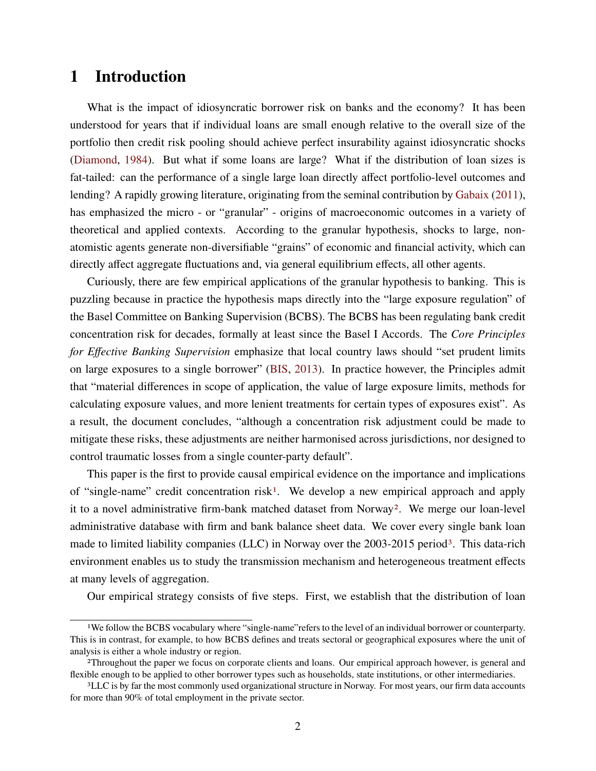# **1 Introduction**

What is the impact of idiosyncratic borrower risk on banks and the economy? It has been understood for years that if individual loans are small enough relative to the overall size of the portfolio then credit risk pooling should achieve perfect insurability against idiosyncratic shocks [\(Diamond,](#page-45-2) [1984\)](#page-45-2). But what if some loans are large? What if the distribution of loan sizes is fat-tailed: can the performance of a single large loan directly affect portfolio-level outcomes and lending? A rapidly growing literature, originating from the seminal contribution by [Gabaix](#page-45-3) [\(2011\)](#page-45-3), has emphasized the micro - or "granular" - origins of macroeconomic outcomes in a variety of theoretical and applied contexts. According to the granular hypothesis, shocks to large, nonatomistic agents generate non-diversifiable "grains" of economic and financial activity, which can directly affect aggregate fluctuations and, via general equilibrium effects, all other agents.

Curiously, there are few empirical applications of the granular hypothesis to banking. This is puzzling because in practice the hypothesis maps directly into the "large exposure regulation" of the Basel Committee on Banking Supervision (BCBS). The BCBS has been regulating bank credit concentration risk for decades, formally at least since the Basel I Accords. The *Core Principles for Effective Banking Supervision* emphasize that local country laws should "set prudent limits on large exposures to a single borrower" [\(BIS,](#page-44-0) [2013\)](#page-44-0). In practice however, the Principles admit that "material differences in scope of application, the value of large exposure limits, methods for calculating exposure values, and more lenient treatments for certain types of exposures exist". As a result, the document concludes, "although a concentration risk adjustment could be made to mitigate these risks, these adjustments are neither harmonised across jurisdictions, nor designed to control traumatic losses from a single counter-party default".

This paper is the first to provide causal empirical evidence on the importance and implications of "single-name" credit concentration risk[1](#page-0-0). We develop a new empirical approach and apply it to a novel administrative firm-bank matched dataset from Norway[2](#page-0-0). We merge our loan-level administrative database with firm and bank balance sheet data. We cover every single bank loan made to limited liability companies (LLC) in Norway over the 200[3](#page-0-0)-2015 period<sup>3</sup>. This data-rich environment enables us to study the transmission mechanism and heterogeneous treatment effects at many levels of aggregation.

Our empirical strategy consists of five steps. First, we establish that the distribution of loan

<sup>1</sup>We follow the BCBS vocabulary where "single-name"refers to the level of an individual borrower or counterparty. This is in contrast, for example, to how BCBS defines and treats sectoral or geographical exposures where the unit of analysis is either a whole industry or region.

<sup>2</sup>Throughout the paper we focus on corporate clients and loans. Our empirical approach however, is general and flexible enough to be applied to other borrower types such as households, state institutions, or other intermediaries.

<sup>&</sup>lt;sup>3</sup>LLC is by far the most commonly used organizational structure in Norway. For most years, our firm data accounts for more than 90% of total employment in the private sector.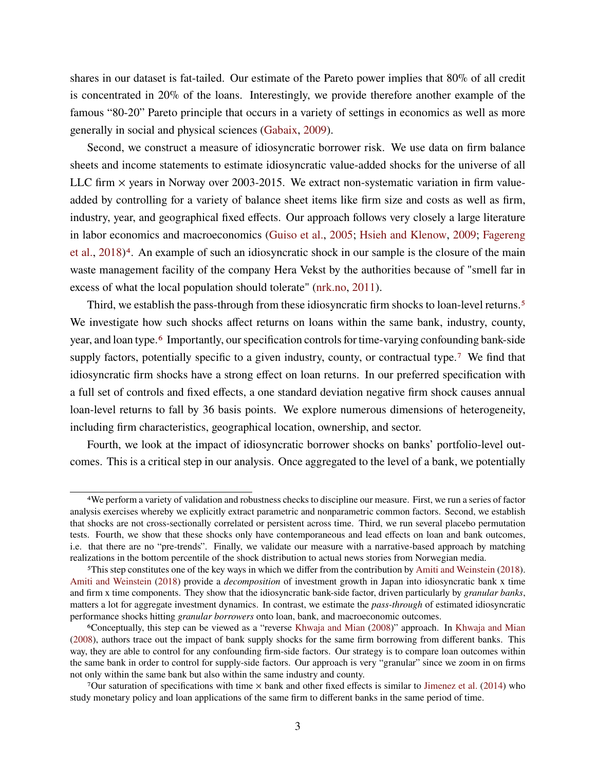shares in our dataset is fat-tailed. Our estimate of the Pareto power implies that 80% of all credit is concentrated in 20% of the loans. Interestingly, we provide therefore another example of the famous "80-20" Pareto principle that occurs in a variety of settings in economics as well as more generally in social and physical sciences [\(Gabaix,](#page-45-4) [2009\)](#page-45-4).

Second, we construct a measure of idiosyncratic borrower risk. We use data on firm balance sheets and income statements to estimate idiosyncratic value-added shocks for the universe of all LLC firm  $\times$  years in Norway over 2003-2015. We extract non-systematic variation in firm valueadded by controlling for a variety of balance sheet items like firm size and costs as well as firm, industry, year, and geographical fixed effects. Our approach follows very closely a large literature in labor economics and macroeconomics [\(Guiso et al.,](#page-45-5) [2005;](#page-45-5) [Hsieh and Klenow,](#page-45-6) [2009;](#page-45-6) [Fagereng](#page-45-7) [et al.,](#page-45-7) [2018\)](#page-45-7)[4](#page-0-0). An example of such an idiosyncratic shock in our sample is the closure of the main waste management facility of the company Hera Vekst by the authorities because of "smell far in excess of what the local population should tolerate" [\(nrk.no,](#page-46-0) [2011\)](#page-46-0).

Third, we establish the pass-through from these idiosyncratic firm shocks to loan-level returns.<sup>[5](#page-0-0)</sup> We investigate how such shocks affect returns on loans within the same bank, industry, county, year, and loan type.<sup>[6](#page-0-0)</sup> Importantly, our specification controls for time-varying confounding bank-side supply factors, potentially specific to a given industry, county, or contractual type.<sup>[7](#page-0-0)</sup> We find that idiosyncratic firm shocks have a strong effect on loan returns. In our preferred specification with a full set of controls and fixed effects, a one standard deviation negative firm shock causes annual loan-level returns to fall by 36 basis points. We explore numerous dimensions of heterogeneity, including firm characteristics, geographical location, ownership, and sector.

Fourth, we look at the impact of idiosyncratic borrower shocks on banks' portfolio-level outcomes. This is a critical step in our analysis. Once aggregated to the level of a bank, we potentially

<sup>4</sup>We perform a variety of validation and robustness checks to discipline our measure. First, we run a series of factor analysis exercises whereby we explicitly extract parametric and nonparametric common factors. Second, we establish that shocks are not cross-sectionally correlated or persistent across time. Third, we run several placebo permutation tests. Fourth, we show that these shocks only have contemporaneous and lead effects on loan and bank outcomes, i.e. that there are no "pre-trends". Finally, we validate our measure with a narrative-based approach by matching realizations in the bottom percentile of the shock distribution to actual news stories from Norwegian media.

<sup>5</sup>This step constitutes one of the key ways in which we differ from the contribution by [Amiti and Weinstein](#page-44-1) [\(2018\)](#page-44-1). [Amiti and Weinstein](#page-44-1) [\(2018\)](#page-44-1) provide a *decomposition* of investment growth in Japan into idiosyncratic bank x time and firm x time components. They show that the idiosyncratic bank-side factor, driven particularly by *granular banks*, matters a lot for aggregate investment dynamics. In contrast, we estimate the *pass-through* of estimated idiosyncratic performance shocks hitting *granular borrowers* onto loan, bank, and macroeconomic outcomes.

<sup>6</sup>Conceptually, this step can be viewed as a "reverse [Khwaja and Mian](#page-46-1) [\(2008\)](#page-46-1)" approach. In [Khwaja and Mian](#page-46-1) [\(2008\)](#page-46-1), authors trace out the impact of bank supply shocks for the same firm borrowing from different banks. This way, they are able to control for any confounding firm-side factors. Our strategy is to compare loan outcomes within the same bank in order to control for supply-side factors. Our approach is very "granular" since we zoom in on firms not only within the same bank but also within the same industry and county.

<sup>7</sup>Our saturation of specifications with time  $\times$  bank and other fixed effects is similar to [Jimenez et al.](#page-46-2) [\(2014\)](#page-46-2) who study monetary policy and loan applications of the same firm to different banks in the same period of time.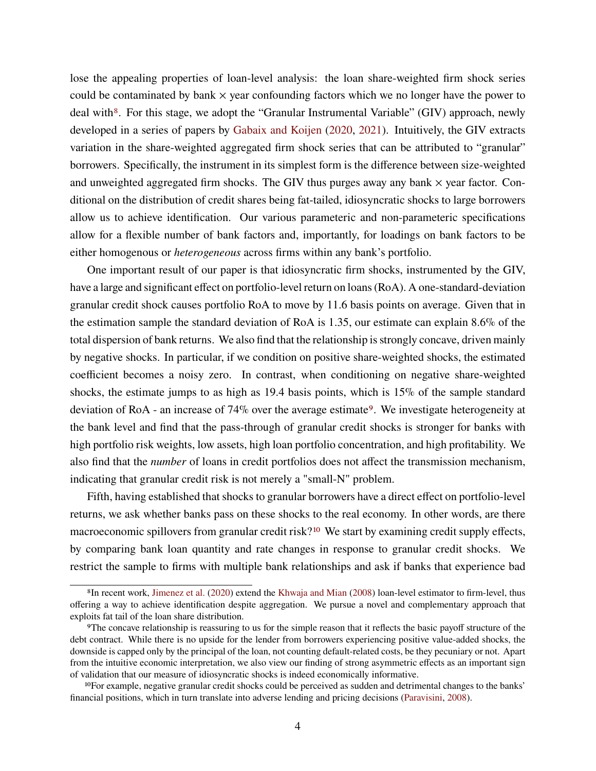lose the appealing properties of loan-level analysis: the loan share-weighted firm shock series could be contaminated by bank  $\times$  year confounding factors which we no longer have the power to deal with<sup>[8](#page-0-0)</sup>. For this stage, we adopt the "Granular Instrumental Variable" (GIV) approach, newly developed in a series of papers by [Gabaix and Koijen](#page-45-0) [\(2020,](#page-45-0) [2021\)](#page-45-1). Intuitively, the GIV extracts variation in the share-weighted aggregated firm shock series that can be attributed to "granular" borrowers. Specifically, the instrument in its simplest form is the difference between size-weighted and unweighted aggregated firm shocks. The GIV thus purges away any bank  $\times$  year factor. Conditional on the distribution of credit shares being fat-tailed, idiosyncratic shocks to large borrowers allow us to achieve identification. Our various parameteric and non-parameteric specifications allow for a flexible number of bank factors and, importantly, for loadings on bank factors to be either homogenous or *heterogeneous* across firms within any bank's portfolio.

One important result of our paper is that idiosyncratic firm shocks, instrumented by the GIV, have a large and significant effect on portfolio-level return on loans (RoA). A one-standard-deviation granular credit shock causes portfolio RoA to move by 11.6 basis points on average. Given that in the estimation sample the standard deviation of RoA is 1.35, our estimate can explain 8.6% of the total dispersion of bank returns. We also find that the relationship is strongly concave, driven mainly by negative shocks. In particular, if we condition on positive share-weighted shocks, the estimated coefficient becomes a noisy zero. In contrast, when conditioning on negative share-weighted shocks, the estimate jumps to as high as 19.4 basis points, which is 15% of the sample standard deviation of RoA - an increase of 74% over the average estimate[9](#page-0-0). We investigate heterogeneity at the bank level and find that the pass-through of granular credit shocks is stronger for banks with high portfolio risk weights, low assets, high loan portfolio concentration, and high profitability. We also find that the *number* of loans in credit portfolios does not affect the transmission mechanism, indicating that granular credit risk is not merely a "small-N" problem.

Fifth, having established that shocks to granular borrowers have a direct effect on portfolio-level returns, we ask whether banks pass on these shocks to the real economy. In other words, are there macroeconomic spillovers from granular credit risk?<sup>[10](#page-0-0)</sup> We start by examining credit supply effects, by comparing bank loan quantity and rate changes in response to granular credit shocks. We restrict the sample to firms with multiple bank relationships and ask if banks that experience bad

<sup>8</sup>In recent work, [Jimenez et al.](#page-46-3) [\(2020\)](#page-46-3) extend the [Khwaja and Mian](#page-46-1) [\(2008\)](#page-46-1) loan-level estimator to firm-level, thus offering a way to achieve identification despite aggregation. We pursue a novel and complementary approach that exploits fat tail of the loan share distribution.

<sup>9</sup>The concave relationship is reassuring to us for the simple reason that it reflects the basic payoff structure of the debt contract. While there is no upside for the lender from borrowers experiencing positive value-added shocks, the downside is capped only by the principal of the loan, not counting default-related costs, be they pecuniary or not. Apart from the intuitive economic interpretation, we also view our finding of strong asymmetric effects as an important sign of validation that our measure of idiosyncratic shocks is indeed economically informative.

<sup>10</sup>For example, negative granular credit shocks could be perceived as sudden and detrimental changes to the banks' financial positions, which in turn translate into adverse lending and pricing decisions [\(Paravisini,](#page-46-4) [2008\)](#page-46-4).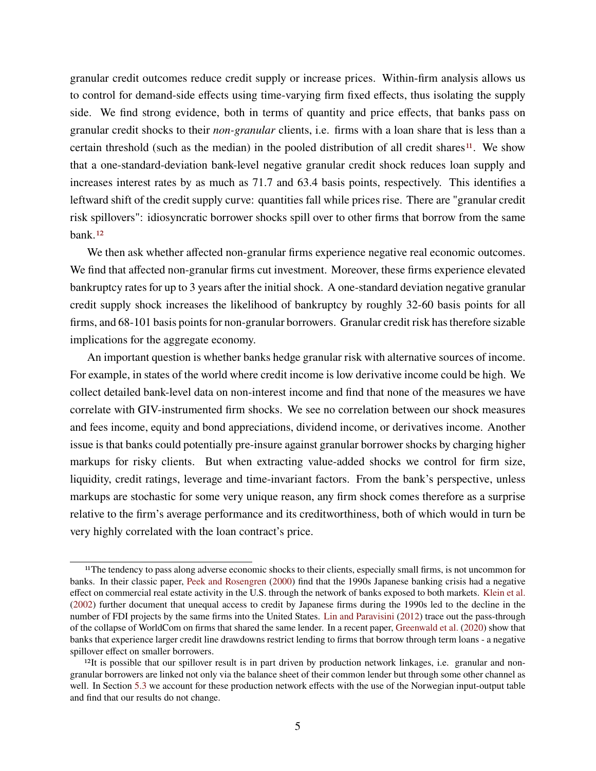granular credit outcomes reduce credit supply or increase prices. Within-firm analysis allows us to control for demand-side effects using time-varying firm fixed effects, thus isolating the supply side. We find strong evidence, both in terms of quantity and price effects, that banks pass on granular credit shocks to their *non-granular* clients, i.e. firms with a loan share that is less than a certain threshold (such as the median) in the pooled distribution of all credit shares<sup>[11](#page-0-0)</sup>. We show that a one-standard-deviation bank-level negative granular credit shock reduces loan supply and increases interest rates by as much as 71.7 and 63.4 basis points, respectively. This identifies a leftward shift of the credit supply curve: quantities fall while prices rise. There are "granular credit risk spillovers": idiosyncratic borrower shocks spill over to other firms that borrow from the same bank.[12](#page-0-0)

We then ask whether affected non-granular firms experience negative real economic outcomes. We find that affected non-granular firms cut investment. Moreover, these firms experience elevated bankruptcy rates for up to 3 years after the initial shock. A one-standard deviation negative granular credit supply shock increases the likelihood of bankruptcy by roughly 32-60 basis points for all firms, and 68-101 basis points for non-granular borrowers. Granular credit risk has therefore sizable implications for the aggregate economy.

An important question is whether banks hedge granular risk with alternative sources of income. For example, in states of the world where credit income is low derivative income could be high. We collect detailed bank-level data on non-interest income and find that none of the measures we have correlate with GIV-instrumented firm shocks. We see no correlation between our shock measures and fees income, equity and bond appreciations, dividend income, or derivatives income. Another issue is that banks could potentially pre-insure against granular borrower shocks by charging higher markups for risky clients. But when extracting value-added shocks we control for firm size, liquidity, credit ratings, leverage and time-invariant factors. From the bank's perspective, unless markups are stochastic for some very unique reason, any firm shock comes therefore as a surprise relative to the firm's average performance and its creditworthiness, both of which would in turn be very highly correlated with the loan contract's price.

<sup>11</sup>The tendency to pass along adverse economic shocks to their clients, especially small firms, is not uncommon for banks. In their classic paper, [Peek and Rosengren](#page-47-0) [\(2000\)](#page-47-0) find that the 1990s Japanese banking crisis had a negative effect on commercial real estate activity in the U.S. through the network of banks exposed to both markets. [Klein et al.](#page-46-5) [\(2002\)](#page-46-5) further document that unequal access to credit by Japanese firms during the 1990s led to the decline in the number of FDI projects by the same firms into the United States. [Lin and Paravisini](#page-46-6) [\(2012\)](#page-46-6) trace out the pass-through of the collapse of WorldCom on firms that shared the same lender. In a recent paper, [Greenwald et al.](#page-45-8) [\(2020\)](#page-45-8) show that banks that experience larger credit line drawdowns restrict lending to firms that borrow through term loans - a negative spillover effect on smaller borrowers.

 $12$ It is possible that our spillover result is in part driven by production network linkages, i.e. granular and nongranular borrowers are linked not only via the balance sheet of their common lender but through some other channel as well. In Section [5.3](#page-32-0) we account for these production network effects with the use of the Norwegian input-output table and find that our results do not change.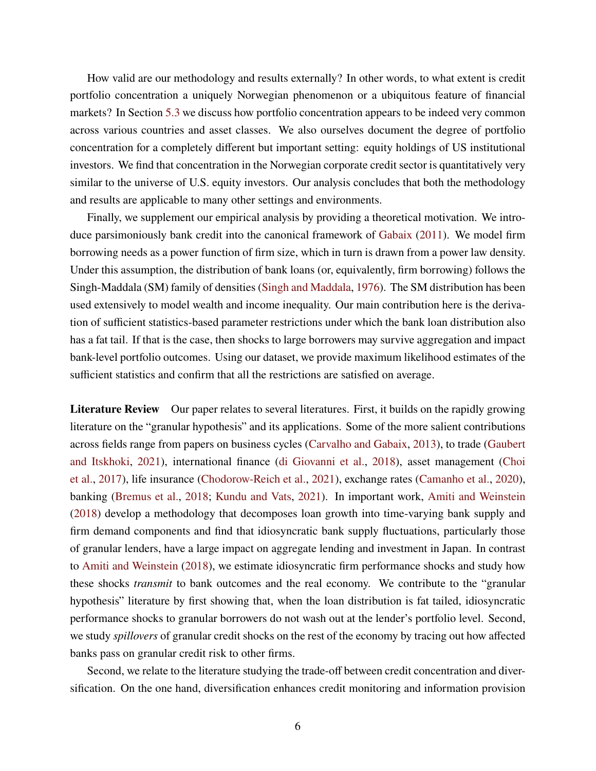How valid are our methodology and results externally? In other words, to what extent is credit portfolio concentration a uniquely Norwegian phenomenon or a ubiquitous feature of financial markets? In Section [5.3](#page-32-0) we discuss how portfolio concentration appears to be indeed very common across various countries and asset classes. We also ourselves document the degree of portfolio concentration for a completely different but important setting: equity holdings of US institutional investors. We find that concentration in the Norwegian corporate credit sector is quantitatively very similar to the universe of U.S. equity investors. Our analysis concludes that both the methodology and results are applicable to many other settings and environments.

Finally, we supplement our empirical analysis by providing a theoretical motivation. We introduce parsimoniously bank credit into the canonical framework of [Gabaix](#page-45-3) [\(2011\)](#page-45-3). We model firm borrowing needs as a power function of firm size, which in turn is drawn from a power law density. Under this assumption, the distribution of bank loans (or, equivalently, firm borrowing) follows the Singh-Maddala (SM) family of densities [\(Singh and Maddala,](#page-47-1) [1976\)](#page-47-1). The SM distribution has been used extensively to model wealth and income inequality. Our main contribution here is the derivation of sufficient statistics-based parameter restrictions under which the bank loan distribution also has a fat tail. If that is the case, then shocks to large borrowers may survive aggregation and impact bank-level portfolio outcomes. Using our dataset, we provide maximum likelihood estimates of the sufficient statistics and confirm that all the restrictions are satisfied on average.

**Literature Review** Our paper relates to several literatures. First, it builds on the rapidly growing literature on the "granular hypothesis" and its applications. Some of the more salient contributions across fields range from papers on business cycles [\(Carvalho and Gabaix,](#page-44-2) [2013\)](#page-44-2), to trade [\(Gaubert](#page-45-9) [and Itskhoki,](#page-45-9) [2021\)](#page-45-9), international finance [\(di Giovanni et al.,](#page-45-10) [2018\)](#page-45-10), asset management [\(Choi](#page-44-3) [et al.,](#page-44-3) [2017\)](#page-44-3), life insurance [\(Chodorow-Reich et al.,](#page-44-4) [2021\)](#page-44-4), exchange rates [\(Camanho et al.,](#page-44-5) [2020\)](#page-44-5), banking [\(Bremus et al.,](#page-44-6) [2018;](#page-44-6) [Kundu and Vats,](#page-46-7) [2021\)](#page-46-7). In important work, [Amiti and Weinstein](#page-44-1) [\(2018\)](#page-44-1) develop a methodology that decomposes loan growth into time-varying bank supply and firm demand components and find that idiosyncratic bank supply fluctuations, particularly those of granular lenders, have a large impact on aggregate lending and investment in Japan. In contrast to [Amiti and Weinstein](#page-44-1) [\(2018\)](#page-44-1), we estimate idiosyncratic firm performance shocks and study how these shocks *transmit* to bank outcomes and the real economy. We contribute to the "granular hypothesis" literature by first showing that, when the loan distribution is fat tailed, idiosyncratic performance shocks to granular borrowers do not wash out at the lender's portfolio level. Second, we study *spillovers* of granular credit shocks on the rest of the economy by tracing out how affected banks pass on granular credit risk to other firms.

Second, we relate to the literature studying the trade-off between credit concentration and diversification. On the one hand, diversification enhances credit monitoring and information provision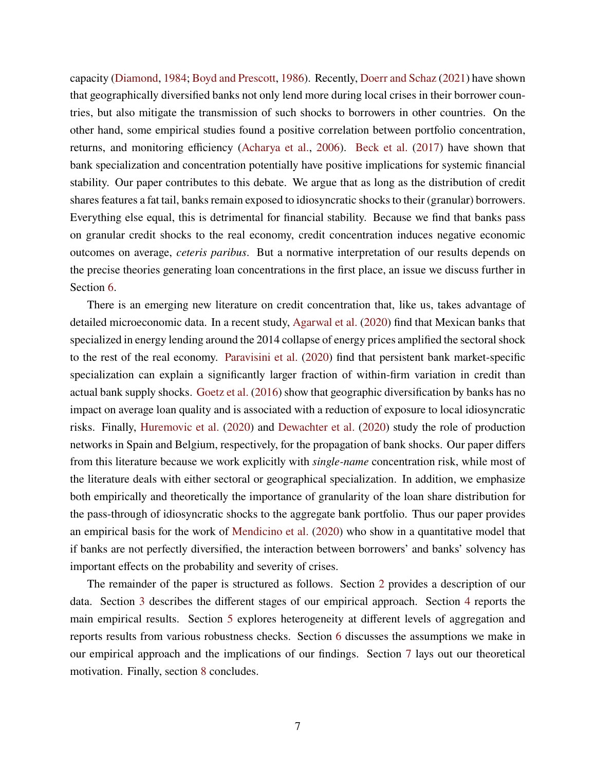capacity [\(Diamond,](#page-45-2) [1984;](#page-45-2) [Boyd and Prescott,](#page-44-7) [1986\)](#page-44-7). Recently, [Doerr and Schaz](#page-45-11) [\(2021\)](#page-45-11) have shown that geographically diversified banks not only lend more during local crises in their borrower countries, but also mitigate the transmission of such shocks to borrowers in other countries. On the other hand, some empirical studies found a positive correlation between portfolio concentration, returns, and monitoring efficiency [\(Acharya et al.,](#page-43-0) [2006\)](#page-43-0). [Beck et al.](#page-44-8) [\(2017\)](#page-44-8) have shown that bank specialization and concentration potentially have positive implications for systemic financial stability. Our paper contributes to this debate. We argue that as long as the distribution of credit shares features a fat tail, banks remain exposed to idiosyncratic shocks to their (granular) borrowers. Everything else equal, this is detrimental for financial stability. Because we find that banks pass on granular credit shocks to the real economy, credit concentration induces negative economic outcomes on average, *ceteris paribus*. But a normative interpretation of our results depends on the precise theories generating loan concentrations in the first place, an issue we discuss further in Section [6.](#page-36-0)

There is an emerging new literature on credit concentration that, like us, takes advantage of detailed microeconomic data. In a recent study, [Agarwal et al.](#page-43-1) [\(2020\)](#page-43-1) find that Mexican banks that specialized in energy lending around the 2014 collapse of energy prices amplified the sectoral shock to the rest of the real economy. [Paravisini et al.](#page-46-8) [\(2020\)](#page-46-8) find that persistent bank market-specific specialization can explain a significantly larger fraction of within-firm variation in credit than actual bank supply shocks. [Goetz et al.](#page-45-12) [\(2016\)](#page-45-12) show that geographic diversification by banks has no impact on average loan quality and is associated with a reduction of exposure to local idiosyncratic risks. Finally, [Huremovic et al.](#page-46-9) [\(2020\)](#page-46-9) and [Dewachter et al.](#page-45-13) [\(2020\)](#page-45-13) study the role of production networks in Spain and Belgium, respectively, for the propagation of bank shocks. Our paper differs from this literature because we work explicitly with *single-name* concentration risk, while most of the literature deals with either sectoral or geographical specialization. In addition, we emphasize both empirically and theoretically the importance of granularity of the loan share distribution for the pass-through of idiosyncratic shocks to the aggregate bank portfolio. Thus our paper provides an empirical basis for the work of [Mendicino et al.](#page-46-10) [\(2020\)](#page-46-10) who show in a quantitative model that if banks are not perfectly diversified, the interaction between borrowers' and banks' solvency has important effects on the probability and severity of crises.

The remainder of the paper is structured as follows. Section [2](#page-7-0) provides a description of our data. Section [3](#page-10-0) describes the different stages of our empirical approach. Section [4](#page-17-0) reports the main empirical results. Section [5](#page-28-0) explores heterogeneity at different levels of aggregation and reports results from various robustness checks. Section [6](#page-36-0) discusses the assumptions we make in our empirical approach and the implications of our findings. Section [7](#page-39-0) lays out our theoretical motivation. Finally, section [8](#page-42-0) concludes.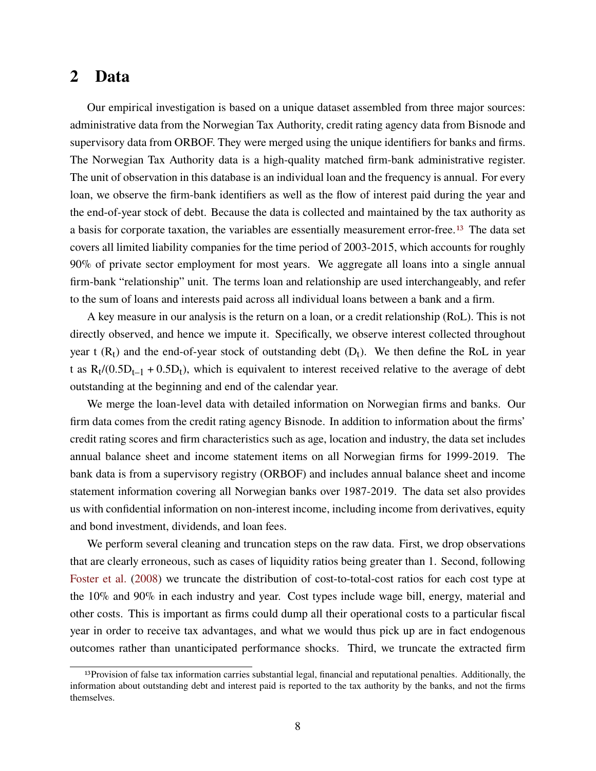# <span id="page-7-0"></span>**2 Data**

Our empirical investigation is based on a unique dataset assembled from three major sources: administrative data from the Norwegian Tax Authority, credit rating agency data from Bisnode and supervisory data from ORBOF. They were merged using the unique identifiers for banks and firms. The Norwegian Tax Authority data is a high-quality matched firm-bank administrative register. The unit of observation in this database is an individual loan and the frequency is annual. For every loan, we observe the firm-bank identifiers as well as the flow of interest paid during the year and the end-of-year stock of debt. Because the data is collected and maintained by the tax authority as a basis for corporate taxation, the variables are essentially measurement error-free.[13](#page-0-0) The data set covers all limited liability companies for the time period of 2003-2015, which accounts for roughly 90% of private sector employment for most years. We aggregate all loans into a single annual firm-bank "relationship" unit. The terms loan and relationship are used interchangeably, and refer to the sum of loans and interests paid across all individual loans between a bank and a firm.

A key measure in our analysis is the return on a loan, or a credit relationship (RoL). This is not directly observed, and hence we impute it. Specifically, we observe interest collected throughout year t  $(R_t)$  and the end-of-year stock of outstanding debt  $(D_t)$ . We then define the RoL in year t as  $R_t/(0.5D_{t-1} + 0.5D_t)$ , which is equivalent to interest received relative to the average of debt outstanding at the beginning and end of the calendar year.

We merge the loan-level data with detailed information on Norwegian firms and banks. Our firm data comes from the credit rating agency Bisnode. In addition to information about the firms' credit rating scores and firm characteristics such as age, location and industry, the data set includes annual balance sheet and income statement items on all Norwegian firms for 1999-2019. The bank data is from a supervisory registry (ORBOF) and includes annual balance sheet and income statement information covering all Norwegian banks over 1987-2019. The data set also provides us with confidential information on non-interest income, including income from derivatives, equity and bond investment, dividends, and loan fees.

We perform several cleaning and truncation steps on the raw data. First, we drop observations that are clearly erroneous, such as cases of liquidity ratios being greater than 1. Second, following [Foster et al.](#page-45-14) [\(2008\)](#page-45-14) we truncate the distribution of cost-to-total-cost ratios for each cost type at the 10% and 90% in each industry and year. Cost types include wage bill, energy, material and other costs. This is important as firms could dump all their operational costs to a particular fiscal year in order to receive tax advantages, and what we would thus pick up are in fact endogenous outcomes rather than unanticipated performance shocks. Third, we truncate the extracted firm

<sup>13</sup>Provision of false tax information carries substantial legal, financial and reputational penalties. Additionally, the information about outstanding debt and interest paid is reported to the tax authority by the banks, and not the firms themselves.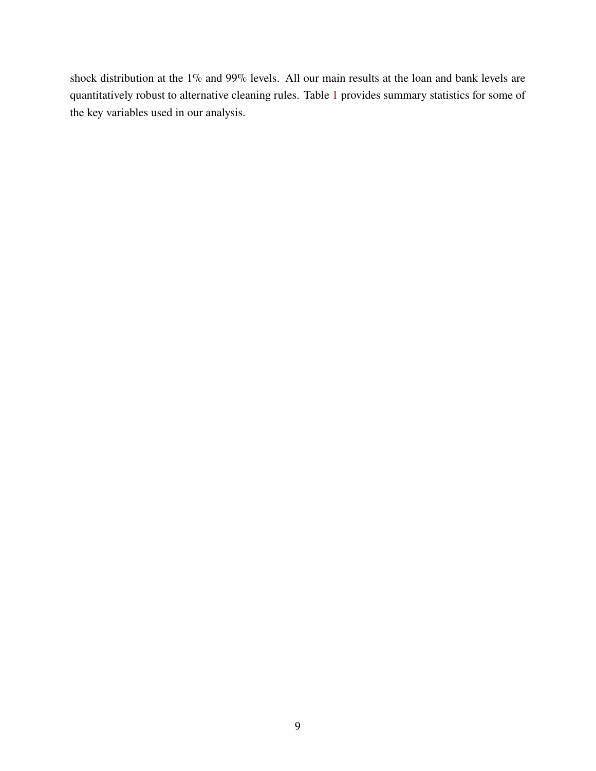shock distribution at the 1% and 99% levels. All our main results at the loan and bank levels are quantitatively robust to alternative cleaning rules. Table [1](#page-9-0) provides summary statistics for some of the key variables used in our analysis.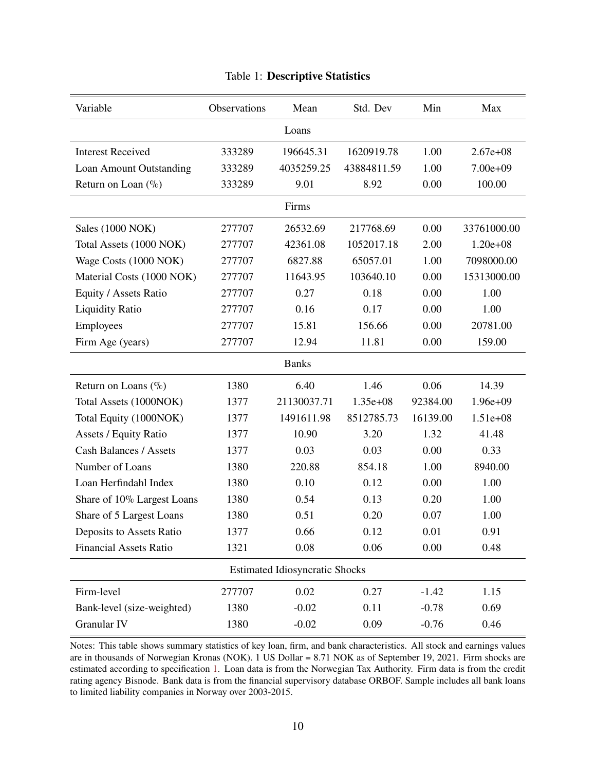<span id="page-9-0"></span>

| Variable                      | Observations | Mean                                  | Std. Dev    | Min      | Max          |  |  |
|-------------------------------|--------------|---------------------------------------|-------------|----------|--------------|--|--|
|                               |              | Loans                                 |             |          |              |  |  |
| <b>Interest Received</b>      | 333289       | 196645.31                             | 1620919.78  | 1.00     | $2.67e+08$   |  |  |
| Loan Amount Outstanding       | 333289       | 4035259.25                            | 43884811.59 | 1.00     | $7.00e+09$   |  |  |
| Return on Loan $(\% )$        | 333289       | 9.01                                  | 8.92        | 0.00     | 100.00       |  |  |
| Firms                         |              |                                       |             |          |              |  |  |
| Sales (1000 NOK)              | 277707       | 26532.69                              | 217768.69   | 0.00     | 33761000.00  |  |  |
| Total Assets (1000 NOK)       | 277707       | 42361.08                              | 1052017.18  | 2.00     | $1.20e + 08$ |  |  |
| Wage Costs (1000 NOK)         | 277707       | 6827.88                               | 65057.01    | 1.00     | 7098000.00   |  |  |
| Material Costs (1000 NOK)     | 277707       | 11643.95                              | 103640.10   | 0.00     | 15313000.00  |  |  |
| Equity / Assets Ratio         | 277707       | 0.27                                  | 0.18        | 0.00     | 1.00         |  |  |
| <b>Liquidity Ratio</b>        | 277707       | 0.16                                  | 0.17        | 0.00     | 1.00         |  |  |
| Employees                     | 277707       | 15.81                                 | 156.66      | 0.00     | 20781.00     |  |  |
| Firm Age (years)              | 277707       | 12.94                                 | 11.81       | 0.00     | 159.00       |  |  |
|                               |              | <b>Banks</b>                          |             |          |              |  |  |
| Return on Loans $(\%$         | 1380         | 6.40                                  | 1.46        | 0.06     | 14.39        |  |  |
| Total Assets (1000NOK)        | 1377         | 21130037.71                           | $1.35e+08$  | 92384.00 | $1.96e+09$   |  |  |
| Total Equity (1000NOK)        | 1377         | 1491611.98                            | 8512785.73  | 16139.00 | $1.51e+08$   |  |  |
| <b>Assets / Equity Ratio</b>  | 1377         | 10.90                                 | 3.20        | 1.32     | 41.48        |  |  |
| <b>Cash Balances / Assets</b> | 1377         | 0.03                                  | 0.03        | 0.00     | 0.33         |  |  |
| Number of Loans               | 1380         | 220.88                                | 854.18      | 1.00     | 8940.00      |  |  |
| Loan Herfindahl Index         | 1380         | 0.10                                  | 0.12        | 0.00     | 1.00         |  |  |
| Share of 10% Largest Loans    | 1380         | 0.54                                  | 0.13        | 0.20     | 1.00         |  |  |
| Share of 5 Largest Loans      | 1380         | 0.51                                  | 0.20        | 0.07     | 1.00         |  |  |
| Deposits to Assets Ratio      | 1377         | 0.66                                  | 0.12        | 0.01     | 0.91         |  |  |
| <b>Financial Assets Ratio</b> | 1321         | 0.08                                  | 0.06        | 0.00     | 0.48         |  |  |
|                               |              | <b>Estimated Idiosyncratic Shocks</b> |             |          |              |  |  |
| Firm-level                    | 277707       | 0.02                                  | 0.27        | $-1.42$  | 1.15         |  |  |
| Bank-level (size-weighted)    | 1380         | $-0.02$                               | 0.11        | $-0.78$  | 0.69         |  |  |
| Granular IV                   | 1380         | $-0.02$                               | 0.09        | $-0.76$  | 0.46         |  |  |

### Table 1: **Descriptive Statistics**

Notes: This table shows summary statistics of key loan, firm, and bank characteristics. All stock and earnings values are in thousands of Norwegian Kronas (NOK). 1 US Dollar = 8.71 NOK as of September 19, 2021. Firm shocks are estimated according to specification [1.](#page-12-0) Loan data is from the Norwegian Tax Authority. Firm data is from the credit rating agency Bisnode. Bank data is from the financial supervisory database ORBOF. Sample includes all bank loans to limited liability companies in Norway over 2003-2015.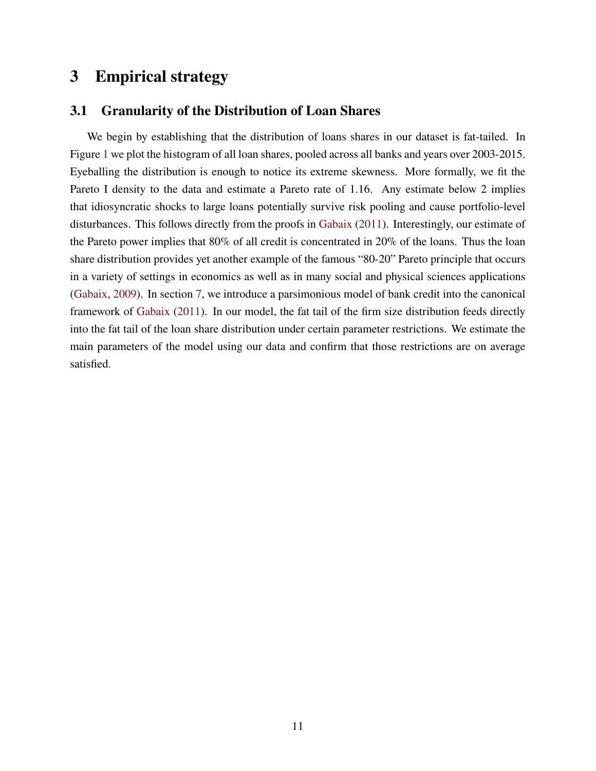# <span id="page-10-0"></span>**3 Empirical strategy**

### **3.1 Granularity of the Distribution of Loan Shares**

We begin by establishing that the distribution of loans shares in our dataset is fat-tailed. In Figure [1](#page-11-0) we plot the histogram of all loan shares, pooled across all banks and years over 2003-2015. Eyeballing the distribution is enough to notice its extreme skewness. More formally, we fit the Pareto I density to the data and estimate a Pareto rate of 1.16. Any estimate below 2 implies that idiosyncratic shocks to large loans potentially survive risk pooling and cause portfolio-level disturbances. This follows directly from the proofs in [Gabaix](#page-45-3) [\(2011\)](#page-45-3). Interestingly, our estimate of the Pareto power implies that 80% of all credit is concentrated in 20% of the loans. Thus the loan share distribution provides yet another example of the famous "80-20" Pareto principle that occurs in a variety of settings in economics as well as in many social and physical sciences applications [\(Gabaix,](#page-45-4) [2009\)](#page-45-4). In section [7,](#page-39-0) we introduce a parsimonious model of bank credit into the canonical framework of [Gabaix](#page-45-3) [\(2011\)](#page-45-3). In our model, the fat tail of the firm size distribution feeds directly into the fat tail of the loan share distribution under certain parameter restrictions. We estimate the main parameters of the model using our data and confirm that those restrictions are on average satisfied.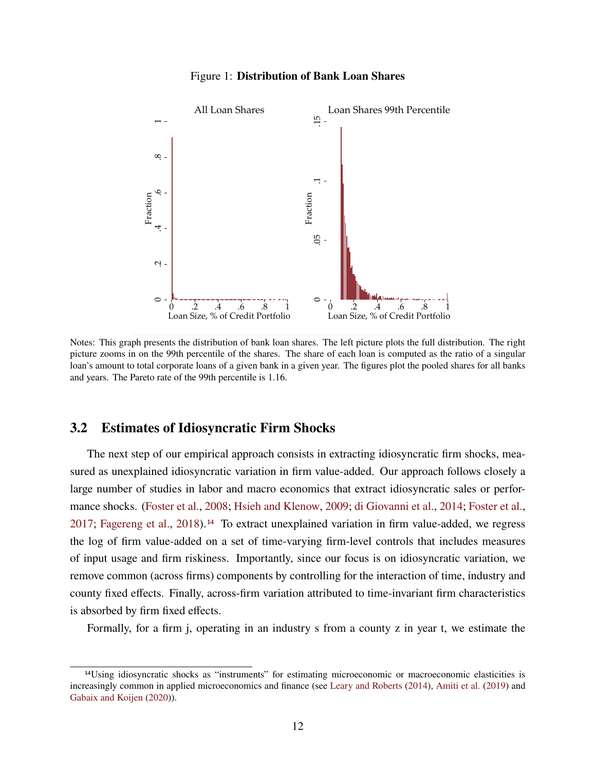<span id="page-11-0"></span>

Figure 1: **Distribution of Bank Loan Shares**

Notes: This graph presents the distribution of bank loan shares. The left picture plots the full distribution. The right picture zooms in on the 99th percentile of the shares. The share of each loan is computed as the ratio of a singular loan's amount to total corporate loans of a given bank in a given year. The figures plot the pooled shares for all banks and years. The Pareto rate of the 99th percentile is 1.16.

### **3.2 Estimates of Idiosyncratic Firm Shocks**

The next step of our empirical approach consists in extracting idiosyncratic firm shocks, measured as unexplained idiosyncratic variation in firm value-added. Our approach follows closely a large number of studies in labor and macro economics that extract idiosyncratic sales or performance shocks. [\(Foster et al.,](#page-45-14) [2008;](#page-45-14) [Hsieh and Klenow,](#page-45-6) [2009;](#page-45-6) [di Giovanni et al.,](#page-45-15) [2014;](#page-45-15) [Foster et al.,](#page-45-16) [2017;](#page-45-16) [Fagereng et al.,](#page-45-7) [2018\)](#page-45-7).[14](#page-0-0) To extract unexplained variation in firm value-added, we regress the log of firm value-added on a set of time-varying firm-level controls that includes measures of input usage and firm riskiness. Importantly, since our focus is on idiosyncratic variation, we remove common (across firms) components by controlling for the interaction of time, industry and county fixed effects. Finally, across-firm variation attributed to time-invariant firm characteristics is absorbed by firm fixed effects.

Formally, for a firm j, operating in an industry s from a county z in year t, we estimate the

<sup>14</sup>Using idiosyncratic shocks as "instruments" for estimating microeconomic or macroeconomic elasticities is increasingly common in applied microeconomics and finance (see [Leary and Roberts](#page-46-11) [\(2014\)](#page-46-11), [Amiti et al.](#page-43-2) [\(2019\)](#page-43-2) and [Gabaix and Koijen](#page-45-0) [\(2020\)](#page-45-0)).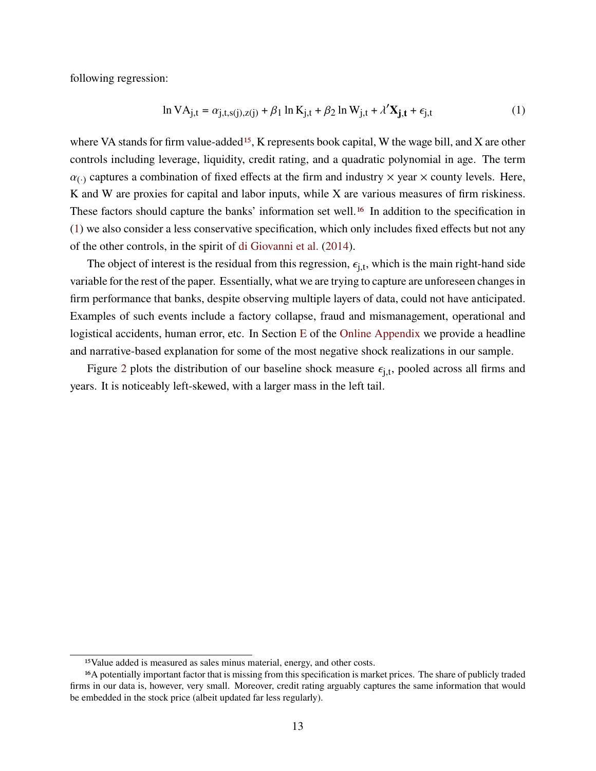following regression:

<span id="page-12-0"></span>
$$
\ln VA_{j,t} = \alpha_{j,t,s(j),z(j)} + \beta_1 \ln K_{j,t} + \beta_2 \ln W_{j,t} + \lambda' \mathbf{X}_{j,t} + \epsilon_{j,t}
$$
 (1)

where VA stands for firm value-added<sup>[15](#page-0-0)</sup>, K represents book capital, W the wage bill, and X are other controls including leverage, liquidity, credit rating, and a quadratic polynomial in age. The term  $\alpha_{\ell}$  captures a combination of fixed effects at the firm and industry  $\times$  year  $\times$  county levels. Here, K and W are proxies for capital and labor inputs, while X are various measures of firm riskiness. These factors should capture the banks' information set well.<sup>[16](#page-0-0)</sup> In addition to the specification in [\(1\)](#page-12-0) we also consider a less conservative specification, which only includes fixed effects but not any of the other controls, in the spirit of [di Giovanni et al.](#page-45-15) [\(2014\)](#page-45-15).

The object of interest is the residual from this regression,  $\epsilon_{i,t}$ , which is the main right-hand side variable for the rest of the paper. Essentially, what we are trying to capture are unforeseen changes in firm performance that banks, despite observing multiple layers of data, could not have anticipated. Examples of such events include a factory collapse, fraud and mismanagement, operational and logistical accidents, human error, etc. In Section [E](#page-72-0) of the [Online Appendix](#page-48-0) we provide a headline and narrative-based explanation for some of the most negative shock realizations in our sample.

Figure [2](#page-13-0) plots the distribution of our baseline shock measure  $\epsilon_{i,t}$ , pooled across all firms and years. It is noticeably left-skewed, with a larger mass in the left tail.

<sup>15</sup>Value added is measured as sales minus material, energy, and other costs.

<sup>16</sup>A potentially important factor that is missing from this specification is market prices. The share of publicly traded firms in our data is, however, very small. Moreover, credit rating arguably captures the same information that would be embedded in the stock price (albeit updated far less regularly).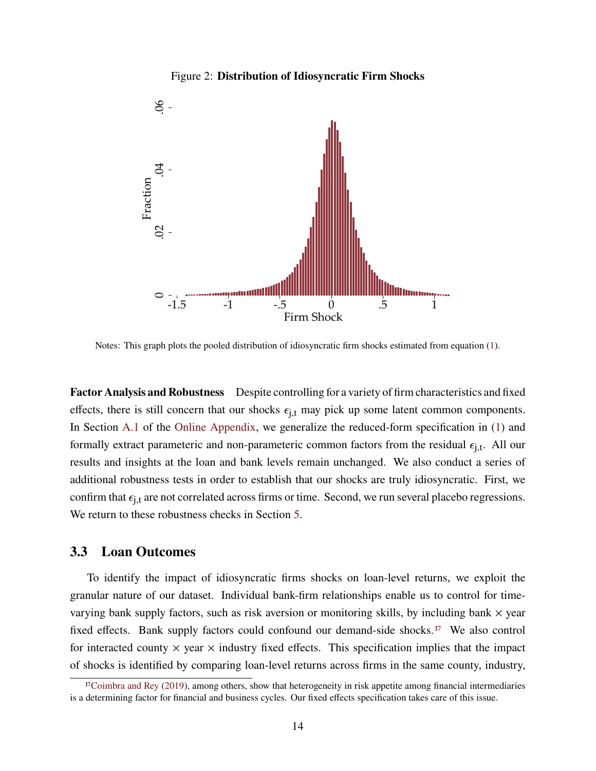#### Figure 2: **Distribution of Idiosyncratic Firm Shocks**

<span id="page-13-0"></span>

Notes: This graph plots the pooled distribution of idiosyncratic firm shocks estimated from equation [\(1\)](#page-12-0).

**Factor Analysis and Robustness** Despite controlling for a variety of firm characteristics and fixed effects, there is still concern that our shocks  $\epsilon_{i,t}$  may pick up some latent common components. In Section [A.1](#page-49-0) of the [Online Appendix,](#page-48-0) we generalize the reduced-form specification in [\(1\)](#page-12-0) and formally extract parameteric and non-parameteric common factors from the residual  $\epsilon_{i,t}$ . All our results and insights at the loan and bank levels remain unchanged. We also conduct a series of additional robustness tests in order to establish that our shocks are truly idiosyncratic. First, we confirm that  $\epsilon_{i,t}$  are not correlated across firms or time. Second, we run several placebo regressions. We return to these robustness checks in Section [5.](#page-28-0)

### **3.3 Loan Outcomes**

To identify the impact of idiosyncratic firms shocks on loan-level returns, we exploit the granular nature of our dataset. Individual bank-firm relationships enable us to control for timevarying bank supply factors, such as risk aversion or monitoring skills, by including bank  $\times$  year fixed effects. Bank supply factors could confound our demand-side shocks.[17](#page-0-0) We also control for interacted county  $\times$  year  $\times$  industry fixed effects. This specification implies that the impact of shocks is identified by comparing loan-level returns across firms in the same county, industry,

 $17$ [Coimbra and Rey](#page-44-9) [\(2019\)](#page-44-9), among others, show that heterogeneity in risk appetite among financial intermediaries is a determining factor for financial and business cycles. Our fixed effects specification takes care of this issue.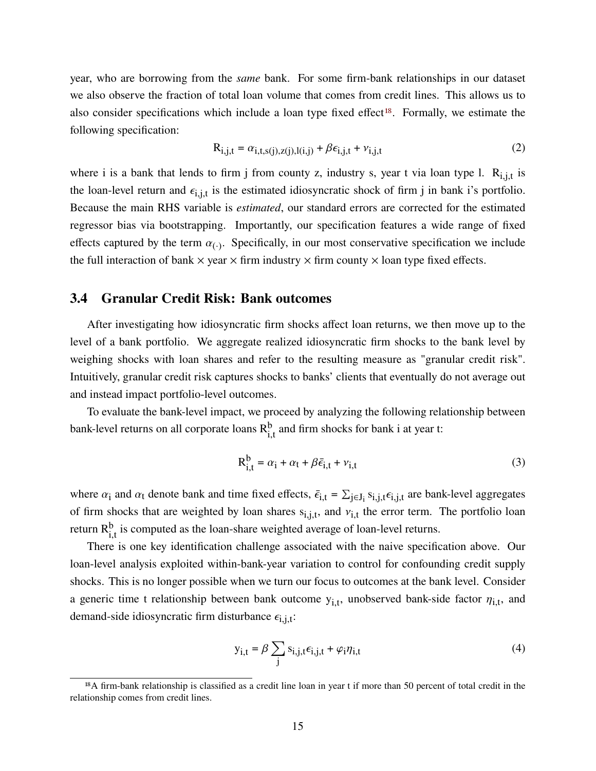year, who are borrowing from the *same* bank. For some firm-bank relationships in our dataset we also observe the fraction of total loan volume that comes from credit lines. This allows us to also consider specifications which include a loan type fixed effect<sup>[18](#page-0-0)</sup>. Formally, we estimate the following specification:

<span id="page-14-2"></span>
$$
R_{i,j,t} = \alpha_{i,t,s(j),z(j),l(i,j)} + \beta \epsilon_{i,j,t} + \nu_{i,j,t}
$$
 (2)

where i is a bank that lends to firm j from county z, industry s, year t via loan type l.  $R_{i,j,t}$  is the loan-level return and  $\epsilon_{i,i,t}$  is the estimated idiosyncratic shock of firm j in bank i's portfolio. Because the main RHS variable is *estimated*, our standard errors are corrected for the estimated regressor bias via bootstrapping. Importantly, our specification features a wide range of fixed effects captured by the term  $\alpha_{(\cdot)}$ . Specifically, in our most conservative specification we include the full interaction of bank  $\times$  year  $\times$  firm industry  $\times$  firm county  $\times$  loan type fixed effects.

### **3.4 Granular Credit Risk: Bank outcomes**

After investigating how idiosyncratic firm shocks affect loan returns, we then move up to the level of a bank portfolio. We aggregate realized idiosyncratic firm shocks to the bank level by weighing shocks with loan shares and refer to the resulting measure as "granular credit risk". Intuitively, granular credit risk captures shocks to banks' clients that eventually do not average out and instead impact portfolio-level outcomes.

To evaluate the bank-level impact, we proceed by analyzing the following relationship between bank-level returns on all corporate loans  $R_{i,t}^b$  and firm shocks for bank i at year t:

<span id="page-14-1"></span>
$$
R_{i,t}^{b} = \alpha_i + \alpha_t + \beta \bar{\epsilon}_{i,t} + \nu_{i,t}
$$
\n(3)

where  $\alpha_i$  and  $\alpha_t$  denote bank and time fixed effects,  $\bar{\epsilon}_{i,t} = \sum_{j \in J_i} s_{i,j,t} \epsilon_{i,j,t}$  are bank-level aggregates of firm shocks that are weighted by loan shares  $s_{i,i,t}$ , and  $v_{i,t}$  the error term. The portfolio loan return  $R<sub>it</sub><sup>b</sup>$  is computed as the loan-share weighted average of loan-level returns.

There is one key identification challenge associated with the naive specification above. Our loan-level analysis exploited within-bank-year variation to control for confounding credit supply shocks. This is no longer possible when we turn our focus to outcomes at the bank level. Consider a generic time t relationship between bank outcome  $y_{i,t}$ , unobserved bank-side factor  $\eta_{i,t}$ , and demand-side idiosyncratic firm disturbance  $\epsilon_{i,i,t}$ :

<span id="page-14-0"></span>
$$
y_{i,t} = \beta \sum_{j} s_{i,j,t} \epsilon_{i,j,t} + \varphi_i \eta_{i,t}
$$
 (4)

<sup>18</sup>A firm-bank relationship is classified as a credit line loan in year t if more than 50 percent of total credit in the relationship comes from credit lines.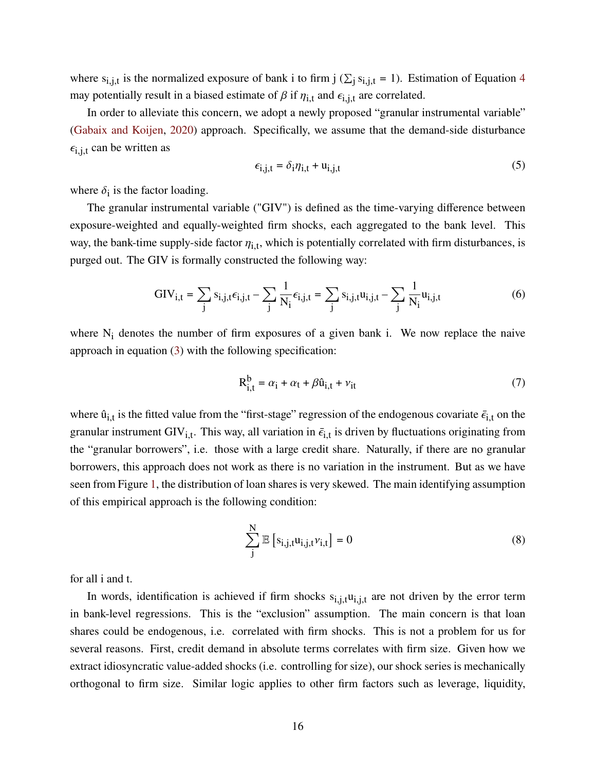where  $s_{i,j,t}$  is the normalized exposure of bank i to firm j ( $\Sigma_i s_{i,j,t} = 1$ ). Estimation of Equation [4](#page-14-0) may potentially result in a biased estimate of  $\beta$  if  $\eta_{i,t}$  and  $\epsilon_{i,j,t}$  are correlated.

In order to alleviate this concern, we adopt a newly proposed "granular instrumental variable" [\(Gabaix and Koijen,](#page-45-0) [2020\)](#page-45-0) approach. Specifically, we assume that the demand-side disturbance  $\epsilon_{i,j,t}$  can be written as

$$
\epsilon_{i,j,t} = \delta_i \eta_{i,t} + u_{i,j,t} \tag{5}
$$

where  $\delta_i$  is the factor loading.

The granular instrumental variable ("GIV") is defined as the time-varying difference between exposure-weighted and equally-weighted firm shocks, each aggregated to the bank level. This way, the bank-time supply-side factor  $\eta_{i,t}$ , which is potentially correlated with firm disturbances, is purged out. The GIV is formally constructed the following way:

<span id="page-15-1"></span>
$$
GIV_{i,t} = \sum_{j} s_{i,j,t} \epsilon_{i,j,t} - \sum_{j} \frac{1}{N_i} \epsilon_{i,j,t} = \sum_{j} s_{i,j,t} u_{i,j,t} - \sum_{j} \frac{1}{N_i} u_{i,j,t}
$$
(6)

where  $N_i$  denotes the number of firm exposures of a given bank i. We now replace the naive approach in equation [\(3\)](#page-14-1) with the following specification:

<span id="page-15-0"></span>
$$
R_{i,t}^{b} = \alpha_i + \alpha_t + \beta \hat{u}_{i,t} + v_{it}
$$
\n(7)

where  $\hat{u}_{i,t}$  is the fitted value from the "first-stage" regression of the endogenous covariate  $\bar{\epsilon}_{i,t}$  on the granular instrument GIV<sub>i.t</sub>. This way, all variation in  $\bar{\epsilon}_{i,t}$  is driven by fluctuations originating from the "granular borrowers", i.e. those with a large credit share. Naturally, if there are no granular borrowers, this approach does not work as there is no variation in the instrument. But as we have seen from Figure [1,](#page-11-0) the distribution of loan shares is very skewed. The main identifying assumption of this empirical approach is the following condition:

$$
\sum_{j}^{N} \mathbb{E}\left[s_{i,j,t}u_{i,j,t}\nu_{i,t}\right] = 0
$$
\n(8)

for all i and t.

In words, identification is achieved if firm shocks  $s_{i,j,t}u_{i,j,t}$  are not driven by the error term in bank-level regressions. This is the "exclusion" assumption. The main concern is that loan shares could be endogenous, i.e. correlated with firm shocks. This is not a problem for us for several reasons. First, credit demand in absolute terms correlates with firm size. Given how we extract idiosyncratic value-added shocks (i.e. controlling for size), our shock series is mechanically orthogonal to firm size. Similar logic applies to other firm factors such as leverage, liquidity,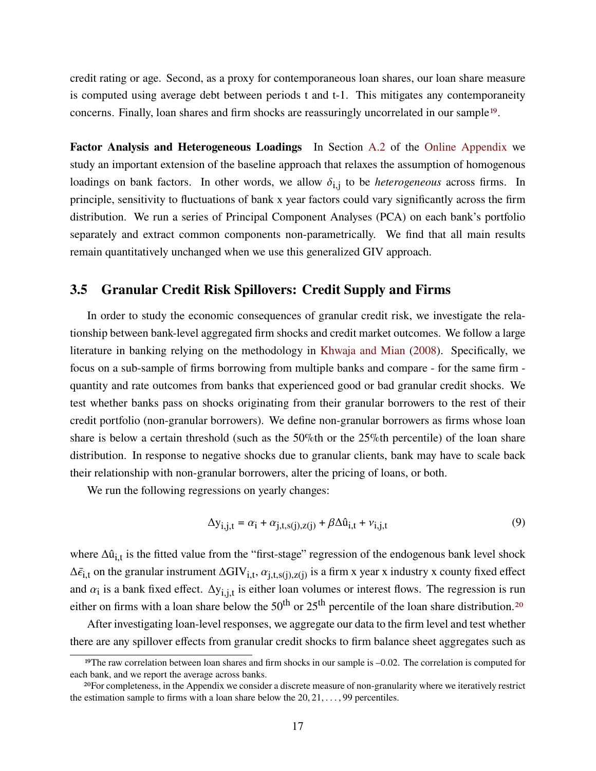credit rating or age. Second, as a proxy for contemporaneous loan shares, our loan share measure is computed using average debt between periods t and t-1. This mitigates any contemporaneity concerns. Finally, loan shares and firm shocks are reassuringly uncorrelated in our sample[19](#page-0-0).

**Factor Analysis and Heterogeneous Loadings** In Section [A.2](#page-52-0) of the [Online Appendix](#page-48-0) we study an important extension of the baseline approach that relaxes the assumption of homogenous loadings on bank factors. In other words, we allow  $\delta_{i,j}$  to be *heterogeneous* across firms. In principle, sensitivity to fluctuations of bank x year factors could vary significantly across the firm distribution. We run a series of Principal Component Analyses (PCA) on each bank's portfolio separately and extract common components non-parametrically. We find that all main results remain quantitatively unchanged when we use this generalized GIV approach.

### **3.5 Granular Credit Risk Spillovers: Credit Supply and Firms**

In order to study the economic consequences of granular credit risk, we investigate the relationship between bank-level aggregated firm shocks and credit market outcomes. We follow a large literature in banking relying on the methodology in [Khwaja and Mian](#page-46-1) [\(2008\)](#page-46-1). Specifically, we focus on a sub-sample of firms borrowing from multiple banks and compare - for the same firm quantity and rate outcomes from banks that experienced good or bad granular credit shocks. We test whether banks pass on shocks originating from their granular borrowers to the rest of their credit portfolio (non-granular borrowers). We define non-granular borrowers as firms whose loan share is below a certain threshold (such as the 50%th or the 25%th percentile) of the loan share distribution. In response to negative shocks due to granular clients, bank may have to scale back their relationship with non-granular borrowers, alter the pricing of loans, or both.

We run the following regressions on yearly changes:

<span id="page-16-0"></span>
$$
\Delta y_{i,j,t} = \alpha_i + \alpha_{j,t,s}(j), z(j) + \beta \Delta \hat{u}_{i,t} + v_{i,j,t}
$$
\n(9)

where  $\Delta \hat{u}_{i,t}$  is the fitted value from the "first-stage" regression of the endogenous bank level shock  $\Delta \bar{\epsilon}_{i,t}$  on the granular instrument  $\Delta GIV_{i,t}$ ,  $\alpha_{i,t,s(i),z(i)}$  is a firm x year x industry x county fixed effect and  $\alpha_i$  is a bank fixed effect.  $\Delta y_{i,i,t}$  is either loan volumes or interest flows. The regression is run either on firms with a loan share below the  $50<sup>th</sup>$  or  $25<sup>th</sup>$  percentile of the loan share distribution.<sup>[20](#page-0-0)</sup>

After investigating loan-level responses, we aggregate our data to the firm level and test whether there are any spillover effects from granular credit shocks to firm balance sheet aggregates such as

<sup>&</sup>lt;sup>19</sup>The raw correlation between loan shares and firm shocks in our sample is  $-0.02$ . The correlation is computed for each bank, and we report the average across banks.

<sup>20</sup>For completeness, in the Appendix we consider a discrete measure of non-granularity where we iteratively restrict the estimation sample to firms with a loan share below the  $20, 21, \ldots, 99$  percentiles.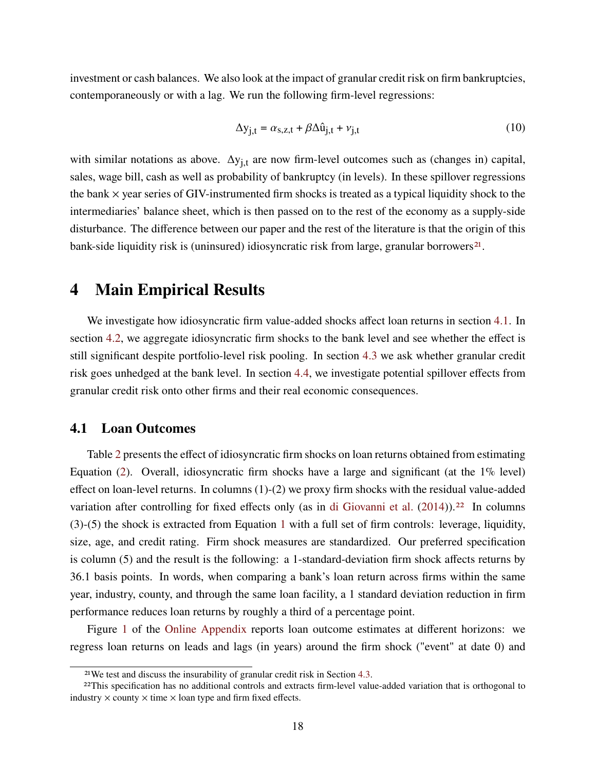investment or cash balances. We also look at the impact of granular credit risk on firm bankruptcies, contemporaneously or with a lag. We run the following firm-level regressions:

<span id="page-17-2"></span>
$$
\Delta y_{j,t} = \alpha_{s,z,t} + \beta \Delta \hat{u}_{j,t} + v_{j,t}
$$
\n(10)

with similar notations as above.  $\Delta y_{i,t}$  are now firm-level outcomes such as (changes in) capital, sales, wage bill, cash as well as probability of bankruptcy (in levels). In these spillover regressions the bank  $\times$  year series of GIV-instrumented firm shocks is treated as a typical liquidity shock to the intermediaries' balance sheet, which is then passed on to the rest of the economy as a supply-side disturbance. The difference between our paper and the rest of the literature is that the origin of this bank-side liquidity risk is (uninsured) idiosyncratic risk from large, granular borrowers<sup>[21](#page-0-0)</sup>.

### <span id="page-17-0"></span>**4 Main Empirical Results**

We investigate how idiosyncratic firm value-added shocks affect loan returns in section [4.1.](#page-17-1) In section [4.2,](#page-19-0) we aggregate idiosyncratic firm shocks to the bank level and see whether the effect is still significant despite portfolio-level risk pooling. In section [4.3](#page-22-0) we ask whether granular credit risk goes unhedged at the bank level. In section [4.4,](#page-23-0) we investigate potential spillover effects from granular credit risk onto other firms and their real economic consequences.

### <span id="page-17-1"></span>**4.1 Loan Outcomes**

Table [2](#page-18-0) presents the effect of idiosyncratic firm shocks on loan returns obtained from estimating Equation [\(2\)](#page-14-2). Overall, idiosyncratic firm shocks have a large and significant (at the 1% level) effect on loan-level returns. In columns (1)-(2) we proxy firm shocks with the residual value-added variation after controlling for fixed effects only (as in [di Giovanni et al.](#page-45-15)  $(2014)$ ).<sup>[22](#page-0-0)</sup> In columns (3)-(5) the shock is extracted from Equation [1](#page-12-0) with a full set of firm controls: leverage, liquidity, size, age, and credit rating. Firm shock measures are standardized. Our preferred specification is column (5) and the result is the following: a 1-standard-deviation firm shock affects returns by 36.1 basis points. In words, when comparing a bank's loan return across firms within the same year, industry, county, and through the same loan facility, a 1 standard deviation reduction in firm performance reduces loan returns by roughly a third of a percentage point.

Figure [1](#page-56-0) of the [Online Appendix](#page-48-0) reports loan outcome estimates at different horizons: we regress loan returns on leads and lags (in years) around the firm shock ("event" at date 0) and

<sup>21</sup>We test and discuss the insurability of granular credit risk in Section [4.3.](#page-22-0)

<sup>22</sup>This specification has no additional controls and extracts firm-level value-added variation that is orthogonal to industry  $\times$  county  $\times$  time  $\times$  loan type and firm fixed effects.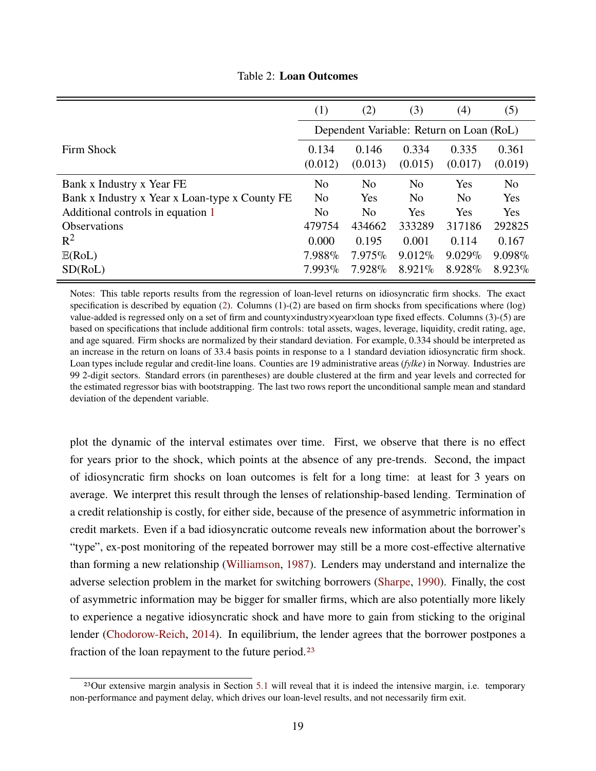<span id="page-18-0"></span>

|                                                | (1)                                      | (2)            | (3)            | (4)            | (5)            |  |  |  |
|------------------------------------------------|------------------------------------------|----------------|----------------|----------------|----------------|--|--|--|
|                                                | Dependent Variable: Return on Loan (RoL) |                |                |                |                |  |  |  |
| Firm Shock                                     | 0.134                                    | 0.146          | 0.334          | 0.335          | 0.361          |  |  |  |
|                                                | (0.012)                                  | (0.013)        | (0.015)        | (0.017)        | (0.019)        |  |  |  |
| Bank x Industry x Year FE                      | N <sub>o</sub>                           | N <sub>o</sub> | N <sub>o</sub> | Yes            | N <sub>o</sub> |  |  |  |
| Bank x Industry x Year x Loan-type x County FE | N <sub>o</sub>                           | Yes            | N <sub>o</sub> | N <sub>o</sub> | Yes            |  |  |  |
| Additional controls in equation 1              | N <sub>0</sub>                           | N <sub>0</sub> | Yes            | Yes            | Yes            |  |  |  |
| <b>Observations</b>                            | 479754                                   | 434662         | 333289         | 317186         | 292825         |  |  |  |
| $R^2$                                          | 0.000                                    | 0.195          | 0.001          | 0.114          | 0.167          |  |  |  |
| E(RoL)                                         | 7.988%                                   | 7.975%         | $9.012\%$      | $9.029\%$      | 9.098%         |  |  |  |
| SD(RoL)                                        | 7.993%                                   | 7.928%         | 8.921%         | 8.928%         | 8.923%         |  |  |  |

Table 2: **Loan Outcomes**

Notes: This table reports results from the regression of loan-level returns on idiosyncratic firm shocks. The exact specification is described by equation [\(2\)](#page-14-2). Columns  $(1)-(2)$  are based on firm shocks from specifications where  $(\log)$ value-added is regressed only on a set of firm and county×industry×year×loan type fixed effects. Columns (3)-(5) are based on specifications that include additional firm controls: total assets, wages, leverage, liquidity, credit rating, age, and age squared. Firm shocks are normalized by their standard deviation. For example, 0.334 should be interpreted as an increase in the return on loans of 33.4 basis points in response to a 1 standard deviation idiosyncratic firm shock. Loan types include regular and credit-line loans. Counties are 19 administrative areas (*fylke*) in Norway. Industries are 99 2-digit sectors. Standard errors (in parentheses) are double clustered at the firm and year levels and corrected for the estimated regressor bias with bootstrapping. The last two rows report the unconditional sample mean and standard deviation of the dependent variable.

plot the dynamic of the interval estimates over time. First, we observe that there is no effect for years prior to the shock, which points at the absence of any pre-trends. Second, the impact of idiosyncratic firm shocks on loan outcomes is felt for a long time: at least for 3 years on average. We interpret this result through the lenses of relationship-based lending. Termination of a credit relationship is costly, for either side, because of the presence of asymmetric information in credit markets. Even if a bad idiosyncratic outcome reveals new information about the borrower's "type", ex-post monitoring of the repeated borrower may still be a more cost-effective alternative than forming a new relationship [\(Williamson,](#page-47-2) [1987\)](#page-47-2). Lenders may understand and internalize the adverse selection problem in the market for switching borrowers [\(Sharpe,](#page-47-3) [1990\)](#page-47-3). Finally, the cost of asymmetric information may be bigger for smaller firms, which are also potentially more likely to experience a negative idiosyncratic shock and have more to gain from sticking to the original lender [\(Chodorow-Reich,](#page-44-10) [2014\)](#page-44-10). In equilibrium, the lender agrees that the borrower postpones a fraction of the loan repayment to the future period.[23](#page-0-0)

<sup>&</sup>lt;sup>23</sup>Our extensive margin analysis in Section [5.1](#page-28-1) will reveal that it is indeed the intensive margin, i.e. temporary non-performance and payment delay, which drives our loan-level results, and not necessarily firm exit.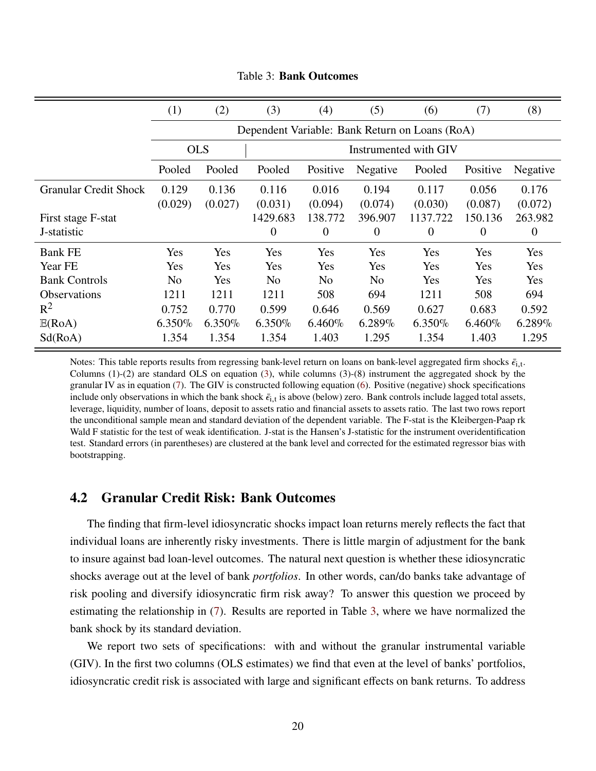<span id="page-19-1"></span>

|                              | (1)            | (2)       | (3)                                            | (4)                   | (5)            | (6)            | (7)       | (8)      |  |
|------------------------------|----------------|-----------|------------------------------------------------|-----------------------|----------------|----------------|-----------|----------|--|
|                              |                |           | Dependent Variable: Bank Return on Loans (RoA) |                       |                |                |           |          |  |
|                              | <b>OLS</b>     |           |                                                | Instrumented with GIV |                |                |           |          |  |
|                              | Pooled         | Pooled    | Pooled                                         | Positive              | Negative       | Pooled         | Positive  | Negative |  |
| <b>Granular Credit Shock</b> | 0.129          | 0.136     | 0.116                                          | 0.016                 | 0.194          | 0.117          | 0.056     | 0.176    |  |
|                              | (0.029)        | (0.027)   | (0.031)                                        | (0.094)               | (0.074)        | (0.030)        | (0.087)   | (0.072)  |  |
| First stage F-stat           |                |           | 1429.683                                       | 138.772               | 396.907        | 1137.722       | 150.136   | 263.982  |  |
| J-statistic                  |                |           | $\theta$                                       | $\theta$              | $\theta$       | $\overline{0}$ | $\theta$  | $\theta$ |  |
| <b>Bank FE</b>               | Yes            | Yes       | Yes                                            | Yes                   | Yes            | Yes            | Yes       | Yes      |  |
| Year FE                      | Yes            | Yes       | Yes                                            | Yes                   | Yes            | Yes            | Yes       | Yes      |  |
| <b>Bank Controls</b>         | N <sub>o</sub> | Yes       | N <sub>0</sub>                                 | N <sub>0</sub>        | N <sub>0</sub> | Yes            | Yes       | Yes      |  |
| <b>Observations</b>          | 1211           | 1211      | 1211                                           | 508                   | 694            | 1211           | 508       | 694      |  |
| $R^2$                        | 0.752          | 0.770     | 0.599                                          | 0.646                 | 0.569          | 0.627          | 0.683     | 0.592    |  |
| E(RoA)                       | 6.350%         | $6.350\%$ | $6.350\%$                                      | $6.460\%$             | $6.289\%$      | $6.350\%$      | $6.460\%$ | 6.289%   |  |
| Sd(RoA)                      | 1.354          | 1.354     | 1.354                                          | 1.403                 | 1.295          | 1.354          | 1.403     | 1.295    |  |

Table 3: **Bank Outcomes**

Notes: This table reports results from regressing bank-level return on loans on bank-level aggregated firm shocks  $\bar{\epsilon}_{i,t}$ . Columns (1)-(2) are standard OLS on equation [\(3\)](#page-14-1), while columns (3)-(8) instrument the aggregated shock by the granular IV as in equation [\(7\)](#page-15-0). The GIV is constructed following equation [\(6\)](#page-15-1). Positive (negative) shock specifications include only observations in which the bank shock  $\bar{\epsilon}_{i,t}$  is above (below) zero. Bank controls include lagged total assets, leverage, liquidity, number of loans, deposit to assets ratio and financial assets to assets ratio. The last two rows report the unconditional sample mean and standard deviation of the dependent variable. The F-stat is the Kleibergen-Paap rk Wald F statistic for the test of weak identification. J-stat is the Hansen's J-statistic for the instrument overidentification test. Standard errors (in parentheses) are clustered at the bank level and corrected for the estimated regressor bias with bootstrapping.

### <span id="page-19-0"></span>**4.2 Granular Credit Risk: Bank Outcomes**

The finding that firm-level idiosyncratic shocks impact loan returns merely reflects the fact that individual loans are inherently risky investments. There is little margin of adjustment for the bank to insure against bad loan-level outcomes. The natural next question is whether these idiosyncratic shocks average out at the level of bank *portfolios*. In other words, can/do banks take advantage of risk pooling and diversify idiosyncratic firm risk away? To answer this question we proceed by estimating the relationship in [\(7\)](#page-15-0). Results are reported in Table [3,](#page-19-1) where we have normalized the bank shock by its standard deviation.

We report two sets of specifications: with and without the granular instrumental variable (GIV). In the first two columns (OLS estimates) we find that even at the level of banks' portfolios, idiosyncratic credit risk is associated with large and significant effects on bank returns. To address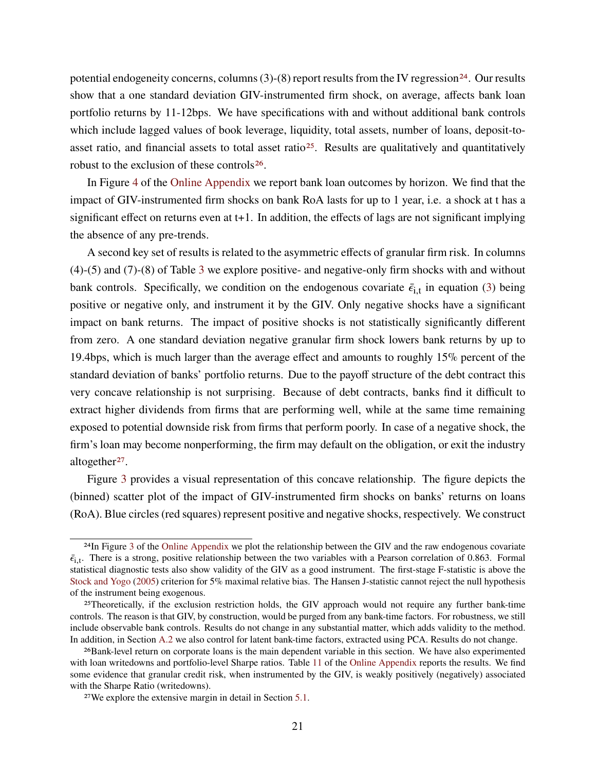potential endogeneity concerns, columns  $(3)-(8)$  report results from the IV regression<sup>[24](#page-0-0)</sup>. Our results show that a one standard deviation GIV-instrumented firm shock, on average, affects bank loan portfolio returns by 11-12bps. We have specifications with and without additional bank controls which include lagged values of book leverage, liquidity, total assets, number of loans, deposit-to-asset ratio, and financial assets to total asset ratio<sup>[25](#page-0-0)</sup>. Results are qualitatively and quantitatively robust to the exclusion of these controls[26](#page-0-0).

In Figure [4](#page-63-0) of the [Online Appendix](#page-48-0) we report bank loan outcomes by horizon. We find that the impact of GIV-instrumented firm shocks on bank RoA lasts for up to 1 year, i.e. a shock at t has a significant effect on returns even at t+1. In addition, the effects of lags are not significant implying the absence of any pre-trends.

A second key set of results is related to the asymmetric effects of granular firm risk. In columns (4)-(5) and (7)-(8) of Table [3](#page-19-1) we explore positive- and negative-only firm shocks with and without bank controls. Specifically, we condition on the endogenous covariate  $\bar{\epsilon}_{i,t}$  in equation [\(3\)](#page-14-1) being positive or negative only, and instrument it by the GIV. Only negative shocks have a significant impact on bank returns. The impact of positive shocks is not statistically significantly different from zero. A one standard deviation negative granular firm shock lowers bank returns by up to 19.4bps, which is much larger than the average effect and amounts to roughly 15% percent of the standard deviation of banks' portfolio returns. Due to the payoff structure of the debt contract this very concave relationship is not surprising. Because of debt contracts, banks find it difficult to extract higher dividends from firms that are performing well, while at the same time remaining exposed to potential downside risk from firms that perform poorly. In case of a negative shock, the firm's loan may become nonperforming, the firm may default on the obligation, or exit the industry altogether<sup>[27](#page-0-0)</sup>.

Figure [3](#page-21-0) provides a visual representation of this concave relationship. The figure depicts the (binned) scatter plot of the impact of GIV-instrumented firm shocks on banks' returns on loans (RoA). Blue circles (red squares) represent positive and negative shocks, respectively. We construct

<sup>24</sup>In Figure [3](#page-62-0) of the [Online Appendix](#page-48-0) we plot the relationship between the GIV and the raw endogenous covariate  $\bar{\epsilon}_{i,t}$ . There is a strong, positive relationship between the two variables with a Pearson correlation of 0.863. Formal statistical diagnostic tests also show validity of the GIV as a good instrument. The first-stage F-statistic is above the [Stock and Yogo](#page-47-4) [\(2005\)](#page-47-4) criterion for 5% maximal relative bias. The Hansen J-statistic cannot reject the null hypothesis of the instrument being exogenous.

<sup>25</sup>Theoretically, if the exclusion restriction holds, the GIV approach would not require any further bank-time controls. The reason is that GIV, by construction, would be purged from any bank-time factors. For robustness, we still include observable bank controls. Results do not change in any substantial matter, which adds validity to the method. In addition, in Section [A.2](#page-52-0) we also control for latent bank-time factors, extracted using PCA. Results do not change.

<sup>26</sup>Bank-level return on corporate loans is the main dependent variable in this section. We have also experimented with loan writedowns and portfolio-level Sharpe ratios. Table [11](#page-64-0) of the [Online Appendix](#page-48-0) reports the results. We find some evidence that granular credit risk, when instrumented by the GIV, is weakly positively (negatively) associated with the Sharpe Ratio (writedowns).

<sup>27</sup>We explore the extensive margin in detail in Section [5.1.](#page-28-1)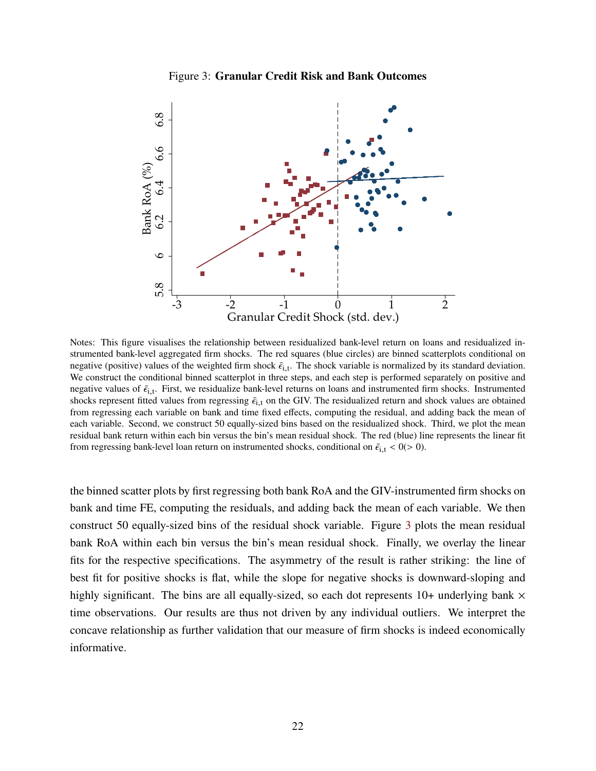#### Figure 3: **Granular Credit Risk and Bank Outcomes**

<span id="page-21-0"></span>

Notes: This figure visualises the relationship between residualized bank-level return on loans and residualized instrumented bank-level aggregated firm shocks. The red squares (blue circles) are binned scatterplots conditional on negative (positive) values of the weighted firm shock  $\bar{\epsilon}_{i,t}$ . The shock variable is normalized by its standard deviation. We construct the conditional binned scatterplot in three steps, and each step is performed separately on positive and negative values of  $\bar{\epsilon}_{i,t}$ . First, we residualize bank-level returns on loans and instrumented firm shocks. Instrumented shocks represent fitted values from regressing  $\bar{\epsilon}_{i,t}$  on the GIV. The residualized return and shock values are obtained from regressing each variable on bank and time fixed effects, computing the residual, and adding back the mean of each variable. Second, we construct 50 equally-sized bins based on the residualized shock. Third, we plot the mean residual bank return within each bin versus the bin's mean residual shock. The red (blue) line represents the linear fit from regressing bank-level loan return on instrumented shocks, conditional on  $\bar{\epsilon}_{i,t} < 0$  (> 0).

the binned scatter plots by first regressing both bank RoA and the GIV-instrumented firm shocks on bank and time FE, computing the residuals, and adding back the mean of each variable. We then construct 50 equally-sized bins of the residual shock variable. Figure [3](#page-21-0) plots the mean residual bank RoA within each bin versus the bin's mean residual shock. Finally, we overlay the linear fits for the respective specifications. The asymmetry of the result is rather striking: the line of best fit for positive shocks is flat, while the slope for negative shocks is downward-sloping and highly significant. The bins are all equally-sized, so each dot represents  $10+$  underlying bank  $\times$ time observations. Our results are thus not driven by any individual outliers. We interpret the concave relationship as further validation that our measure of firm shocks is indeed economically informative.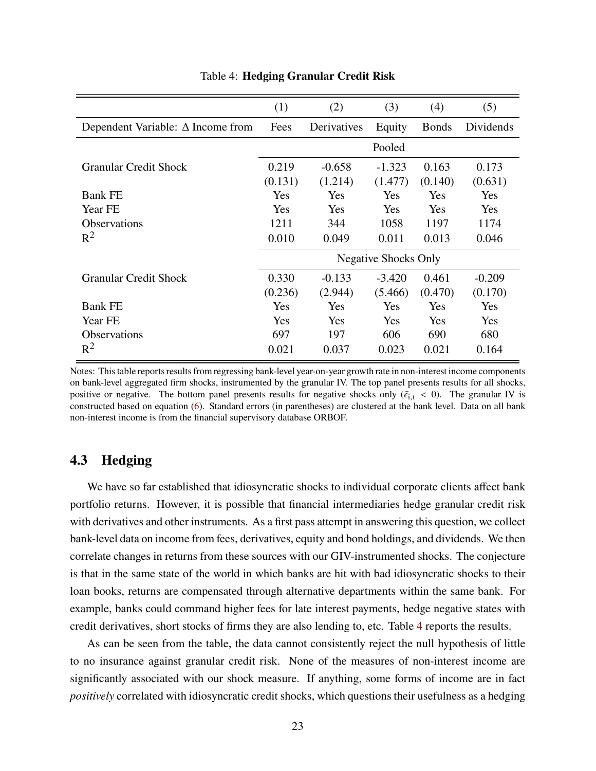<span id="page-22-1"></span>

|                                          | (1)                         | (2)                 | (3)                 | (4)              | (5)              |  |
|------------------------------------------|-----------------------------|---------------------|---------------------|------------------|------------------|--|
| Dependent Variable: $\Delta$ Income from | Fees                        | Derivatives         | Equity              | <b>Bonds</b>     | Dividends        |  |
|                                          | Pooled                      |                     |                     |                  |                  |  |
| <b>Granular Credit Shock</b>             | 0.219<br>(0.131)            | $-0.658$<br>(1.214) | $-1.323$<br>(1.477) | 0.163<br>(0.140) | 0.173<br>(0.631) |  |
| <b>Bank FE</b>                           | Yes                         | Yes                 | Yes                 | Yes              | Yes              |  |
| Year FE                                  | Yes                         | Yes                 | Yes                 | Yes              | Yes              |  |
| <b>Observations</b>                      | 1211                        | 344                 | 1058                | 1197             | 1174             |  |
| $R^2$                                    | 0.010                       | 0.049               | 0.011               | 0.013            | 0.046            |  |
|                                          | <b>Negative Shocks Only</b> |                     |                     |                  |                  |  |
| <b>Granular Credit Shock</b>             | 0.330                       | $-0.133$            | $-3.420$            | 0.461            | $-0.209$         |  |
|                                          | (0.236)                     | (2.944)             | (5.466)             | (0.470)          | (0.170)          |  |
| <b>Bank FE</b>                           | Yes                         | Yes                 | Yes                 | Yes              | Yes              |  |
| Year FE                                  | Yes                         | Yes                 | Yes                 | Yes              | Yes              |  |
| <b>Observations</b>                      | 697                         | 197                 | 606                 | 690              | 680              |  |
| $R^2$                                    | 0.021                       | 0.037               | 0.023               | 0.021            | 0.164            |  |

Table 4: **Hedging Granular Credit Risk**

Notes: This table reports results from regressing bank-level year-on-year growth rate in non-interest income components on bank-level aggregated firm shocks, instrumented by the granular IV. The top panel presents results for all shocks, positive or negative. The bottom panel presents results for negative shocks only ( $\bar{\epsilon}_{i,t}$  < 0). The granular IV is constructed based on equation [\(6\)](#page-15-1). Standard errors (in parentheses) are clustered at the bank level. Data on all bank non-interest income is from the financial supervisory database ORBOF.

### <span id="page-22-0"></span>**4.3 Hedging**

We have so far established that idiosyncratic shocks to individual corporate clients affect bank portfolio returns. However, it is possible that financial intermediaries hedge granular credit risk with derivatives and other instruments. As a first pass attempt in answering this question, we collect bank-level data on income from fees, derivatives, equity and bond holdings, and dividends. We then correlate changes in returns from these sources with our GIV-instrumented shocks. The conjecture is that in the same state of the world in which banks are hit with bad idiosyncratic shocks to their loan books, returns are compensated through alternative departments within the same bank. For example, banks could command higher fees for late interest payments, hedge negative states with credit derivatives, short stocks of firms they are also lending to, etc. Table [4](#page-22-1) reports the results.

As can be seen from the table, the data cannot consistently reject the null hypothesis of little to no insurance against granular credit risk. None of the measures of non-interest income are significantly associated with our shock measure. If anything, some forms of income are in fact *positively* correlated with idiosyncratic credit shocks, which questions their usefulness as a hedging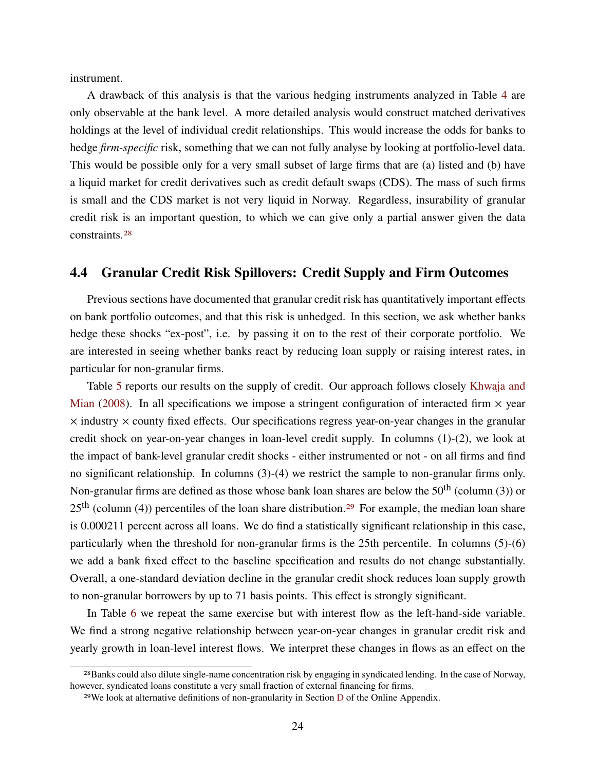instrument.

A drawback of this analysis is that the various hedging instruments analyzed in Table [4](#page-22-1) are only observable at the bank level. A more detailed analysis would construct matched derivatives holdings at the level of individual credit relationships. This would increase the odds for banks to hedge *firm-specific* risk, something that we can not fully analyse by looking at portfolio-level data. This would be possible only for a very small subset of large firms that are (a) listed and (b) have a liquid market for credit derivatives such as credit default swaps (CDS). The mass of such firms is small and the CDS market is not very liquid in Norway. Regardless, insurability of granular credit risk is an important question, to which we can give only a partial answer given the data constraints.[28](#page-0-0)

### <span id="page-23-0"></span>**4.4 Granular Credit Risk Spillovers: Credit Supply and Firm Outcomes**

Previous sections have documented that granular credit risk has quantitatively important effects on bank portfolio outcomes, and that this risk is unhedged. In this section, we ask whether banks hedge these shocks "ex-post", i.e. by passing it on to the rest of their corporate portfolio. We are interested in seeing whether banks react by reducing loan supply or raising interest rates, in particular for non-granular firms.

Table [5](#page-24-0) reports our results on the supply of credit. Our approach follows closely [Khwaja and](#page-46-1) [Mian](#page-46-1) [\(2008\)](#page-46-1). In all specifications we impose a stringent configuration of interacted firm  $\times$  year  $\times$  industry  $\times$  county fixed effects. Our specifications regress year-on-year changes in the granular credit shock on year-on-year changes in loan-level credit supply. In columns (1)-(2), we look at the impact of bank-level granular credit shocks - either instrumented or not - on all firms and find no significant relationship. In columns (3)-(4) we restrict the sample to non-granular firms only. Non-granular firms are defined as those whose bank loan shares are below the  $50<sup>th</sup>$  (column (3)) or  $25<sup>th</sup>$  (column (4)) percentiles of the loan share distribution.<sup>[29](#page-0-0)</sup> For example, the median loan share is 0.000211 percent across all loans. We do find a statistically significant relationship in this case, particularly when the threshold for non-granular firms is the 25th percentile. In columns (5)-(6) we add a bank fixed effect to the baseline specification and results do not change substantially. Overall, a one-standard deviation decline in the granular credit shock reduces loan supply growth to non-granular borrowers by up to 71 basis points. This effect is strongly significant.

In Table [6](#page-25-0) we repeat the same exercise but with interest flow as the left-hand-side variable. We find a strong negative relationship between year-on-year changes in granular credit risk and yearly growth in loan-level interest flows. We interpret these changes in flows as an effect on the

<sup>28</sup>Banks could also dilute single-name concentration risk by engaging in syndicated lending. In the case of Norway, however, syndicated loans constitute a very small fraction of external financing for firms.

<sup>29</sup>We look at alternative definitions of non-granularity in Section [D](#page-68-0) of the Online Appendix.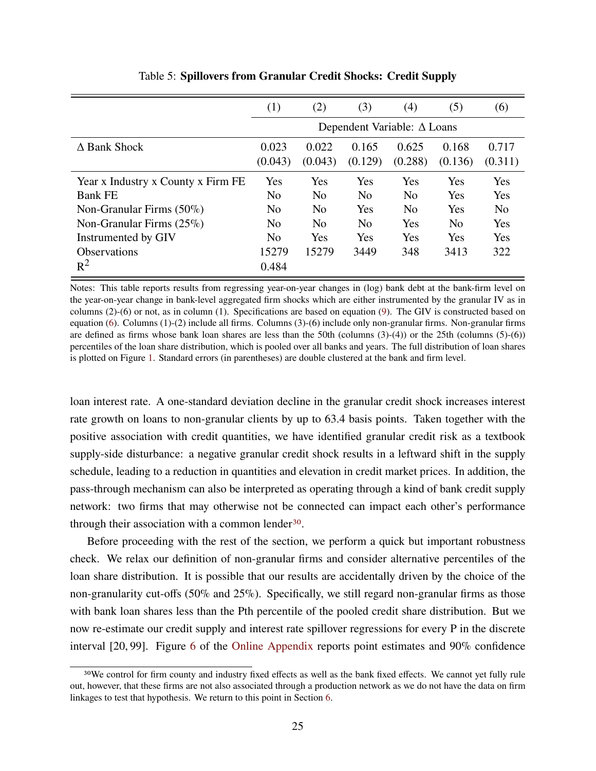<span id="page-24-0"></span>

|                                    | (1)            | (2)            | (3)            | (4)                                | (5)            | (6)            |
|------------------------------------|----------------|----------------|----------------|------------------------------------|----------------|----------------|
|                                    |                |                |                | Dependent Variable: $\Delta$ Loans |                |                |
| $\Delta$ Bank Shock                | 0.023          | 0.022          | 0.165          | 0.625                              | 0.168          | 0.717          |
|                                    | (0.043)        | (0.043)        | (0.129)        | (0.288)                            | (0.136)        | (0.311)        |
| Year x Industry x County x Firm FE | Yes            | Yes            | Yes            | Yes                                | Yes            | Yes            |
| <b>Bank FE</b>                     | N <sub>0</sub> | N <sub>0</sub> | N <sub>o</sub> | N <sub>0</sub>                     | Yes            | Yes            |
| Non-Granular Firms $(50\%)$        | N <sub>0</sub> | N <sub>0</sub> | Yes            | N <sub>0</sub>                     | Yes            | N <sub>0</sub> |
| Non-Granular Firms $(25\%)$        | N <sub>o</sub> | N <sub>0</sub> | N <sub>o</sub> | Yes                                | N <sub>o</sub> | Yes            |
| Instrumented by GIV                | N <sub>0</sub> | Yes            | Yes            | Yes                                | Yes            | Yes            |
| <b>Observations</b>                | 15279          | 15279          | 3449           | 348                                | 3413           | 322            |
| $R^2$                              | 0.484          |                |                |                                    |                |                |

Table 5: **Spillovers from Granular Credit Shocks: Credit Supply**

Notes: This table reports results from regressing year-on-year changes in (log) bank debt at the bank-firm level on the year-on-year change in bank-level aggregated firm shocks which are either instrumented by the granular IV as in columns (2)-(6) or not, as in column (1). Specifications are based on equation [\(9\)](#page-16-0). The GIV is constructed based on equation [\(6\)](#page-15-1). Columns (1)-(2) include all firms. Columns (3)-(6) include only non-granular firms. Non-granular firms are defined as firms whose bank loan shares are less than the 50th (columns (3)-(4)) or the 25th (columns (5)-(6)) percentiles of the loan share distribution, which is pooled over all banks and years. The full distribution of loan shares is plotted on Figure [1.](#page-11-0) Standard errors (in parentheses) are double clustered at the bank and firm level.

loan interest rate. A one-standard deviation decline in the granular credit shock increases interest rate growth on loans to non-granular clients by up to 63.4 basis points. Taken together with the positive association with credit quantities, we have identified granular credit risk as a textbook supply-side disturbance: a negative granular credit shock results in a leftward shift in the supply schedule, leading to a reduction in quantities and elevation in credit market prices. In addition, the pass-through mechanism can also be interpreted as operating through a kind of bank credit supply network: two firms that may otherwise not be connected can impact each other's performance through their association with a common lender<sup>[30](#page-0-0)</sup>.

Before proceeding with the rest of the section, we perform a quick but important robustness check. We relax our definition of non-granular firms and consider alternative percentiles of the loan share distribution. It is possible that our results are accidentally driven by the choice of the non-granularity cut-offs (50% and 25%). Specifically, we still regard non-granular firms as those with bank loan shares less than the Pth percentile of the pooled credit share distribution. But we now re-estimate our credit supply and interest rate spillover regressions for every P in the discrete interval [20, 99]. Figure [6](#page-68-1) of the [Online Appendix](#page-48-0) reports point estimates and 90% confidence

<sup>30</sup>We control for firm county and industry fixed effects as well as the bank fixed effects. We cannot yet fully rule out, however, that these firms are not also associated through a production network as we do not have the data on firm linkages to test that hypothesis. We return to this point in Section [6.](#page-36-0)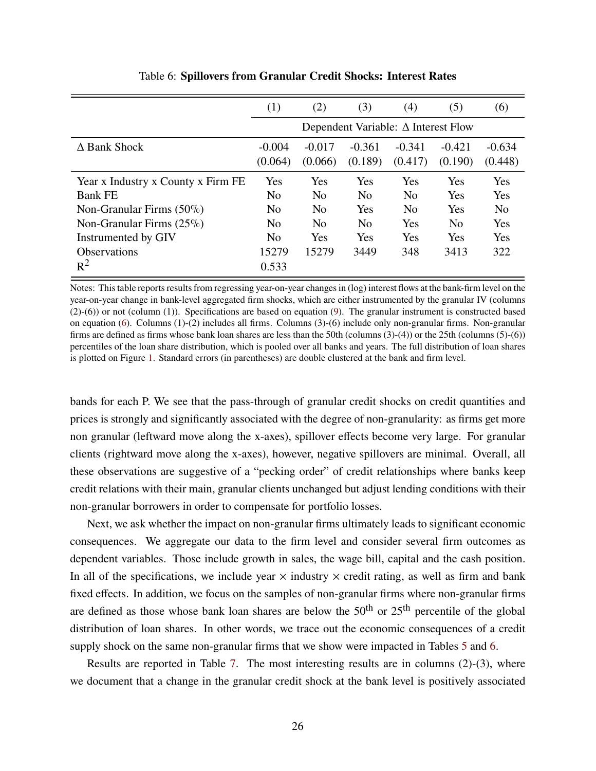<span id="page-25-0"></span>

|                                    | (1)                                        | (2)                 | (3)                 | (4)                 | (5)                 | (6)                 |
|------------------------------------|--------------------------------------------|---------------------|---------------------|---------------------|---------------------|---------------------|
|                                    | Dependent Variable: $\Delta$ Interest Flow |                     |                     |                     |                     |                     |
| $\Delta$ Bank Shock                | $-0.004$<br>(0.064)                        | $-0.017$<br>(0.066) | $-0.361$<br>(0.189) | $-0.341$<br>(0.417) | $-0.421$<br>(0.190) | $-0.634$<br>(0.448) |
| Year x Industry x County x Firm FE | Yes                                        | Yes                 | Yes                 | Yes                 | Yes                 | Yes                 |
| <b>Bank FE</b>                     | N <sub>0</sub>                             | N <sub>0</sub>      | N <sub>0</sub>      | N <sub>0</sub>      | Yes                 | Yes                 |
| Non-Granular Firms $(50\%)$        | N <sub>0</sub>                             | N <sub>0</sub>      | Yes                 | N <sub>0</sub>      | Yes                 | N <sub>0</sub>      |
| Non-Granular Firms $(25\%)$        | N <sub>0</sub>                             | N <sub>0</sub>      | N <sub>0</sub>      | Yes                 | N <sub>0</sub>      | Yes                 |
| Instrumented by GIV                | N <sub>0</sub>                             | Yes                 | Yes                 | Yes                 | Yes                 | Yes                 |
| <b>Observations</b>                | 15279                                      | 15279               | 3449                | 348                 | 3413                | 322                 |
| $R^2$                              | 0.533                                      |                     |                     |                     |                     |                     |

Table 6: **Spillovers from Granular Credit Shocks: Interest Rates**

Notes: This table reports results from regressing year-on-year changes in (log) interest flows at the bank-firm level on the year-on-year change in bank-level aggregated firm shocks, which are either instrumented by the granular IV (columns (2)-(6)) or not (column (1)). Specifications are based on equation [\(9\)](#page-16-0). The granular instrument is constructed based on equation [\(6\)](#page-15-1). Columns (1)-(2) includes all firms. Columns (3)-(6) include only non-granular firms. Non-granular firms are defined as firms whose bank loan shares are less than the 50th (columns (3)-(4)) or the 25th (columns (5)-(6)) percentiles of the loan share distribution, which is pooled over all banks and years. The full distribution of loan shares is plotted on Figure [1.](#page-11-0) Standard errors (in parentheses) are double clustered at the bank and firm level.

bands for each P. We see that the pass-through of granular credit shocks on credit quantities and prices is strongly and significantly associated with the degree of non-granularity: as firms get more non granular (leftward move along the x-axes), spillover effects become very large. For granular clients (rightward move along the x-axes), however, negative spillovers are minimal. Overall, all these observations are suggestive of a "pecking order" of credit relationships where banks keep credit relations with their main, granular clients unchanged but adjust lending conditions with their non-granular borrowers in order to compensate for portfolio losses.

Next, we ask whether the impact on non-granular firms ultimately leads to significant economic consequences. We aggregate our data to the firm level and consider several firm outcomes as dependent variables. Those include growth in sales, the wage bill, capital and the cash position. In all of the specifications, we include year  $\times$  industry  $\times$  credit rating, as well as firm and bank fixed effects. In addition, we focus on the samples of non-granular firms where non-granular firms are defined as those whose bank loan shares are below the  $50<sup>th</sup>$  or  $25<sup>th</sup>$  percentile of the global distribution of loan shares. In other words, we trace out the economic consequences of a credit supply shock on the same non-granular firms that we show were impacted in Tables [5](#page-24-0) and [6.](#page-25-0)

Results are reported in Table [7.](#page-26-0) The most interesting results are in columns (2)-(3), where we document that a change in the granular credit shock at the bank level is positively associated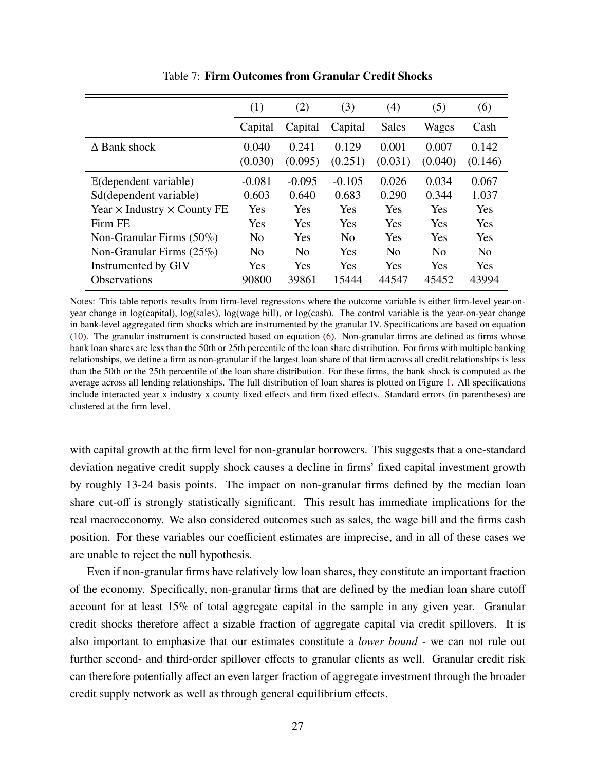<span id="page-26-0"></span>

|                                           | (1)              | (2)              | (3)              | (4)              | (5)              | (6)              |
|-------------------------------------------|------------------|------------------|------------------|------------------|------------------|------------------|
|                                           | Capital          | Capital          | Capital          | <b>Sales</b>     | Wages            | Cash             |
| $\Delta$ Bank shock                       | 0.040<br>(0.030) | 0.241<br>(0.095) | 0.129<br>(0.251) | 0.001<br>(0.031) | 0.007<br>(0.040) | 0.142<br>(0.146) |
| $E$ (dependent variable)                  | $-0.081$         | $-0.095$         | $-0.105$         | 0.026            | 0.034            | 0.067            |
| Sd(dependent variable)                    | 0.603            | 0.640            | 0.683            | 0.290            | 0.344            | 1.037            |
| Year $\times$ Industry $\times$ County FE | Yes              | Yes              | Yes              | Yes              | Yes              | <b>Yes</b>       |
| Firm FE                                   | Yes              | Yes              | Yes              | Yes              | Yes              | Yes              |
| Non-Granular Firms $(50\%)$               | N <sub>0</sub>   | Yes              | No               | Yes              | Yes              | <b>Yes</b>       |
| Non-Granular Firms $(25\%)$               | N <sub>0</sub>   | N <sub>0</sub>   | Yes              | N <sub>0</sub>   | N <sub>0</sub>   | N <sub>0</sub>   |
| Instrumented by GIV                       | Yes              | Yes              | <b>Yes</b>       | <b>Yes</b>       | <b>Yes</b>       | <b>Yes</b>       |
| <b>Observations</b>                       | 90800            | 39861            | 15444            | 44547            | 45452            | 43994            |

Table 7: **Firm Outcomes from Granular Credit Shocks**

Notes: This table reports results from firm-level regressions where the outcome variable is either firm-level year-onyear change in log(capital), log(sales), log(wage bill), or log(cash). The control variable is the year-on-year change in bank-level aggregated firm shocks which are instrumented by the granular IV. Specifications are based on equation [\(10\)](#page-17-2). The granular instrument is constructed based on equation [\(6\)](#page-15-1). Non-granular firms are defined as firms whose bank loan shares are less than the 50th or 25th percentile of the loan share distribution. For firms with multiple banking relationships, we define a firm as non-granular if the largest loan share of that firm across all credit relationships is less than the 50th or the 25th percentile of the loan share distribution. For these firms, the bank shock is computed as the average across all lending relationships. The full distribution of loan shares is plotted on Figure [1.](#page-11-0) All specifications include interacted year x industry x county fixed effects and firm fixed effects. Standard errors (in parentheses) are clustered at the firm level.

with capital growth at the firm level for non-granular borrowers. This suggests that a one-standard deviation negative credit supply shock causes a decline in firms' fixed capital investment growth by roughly 13-24 basis points. The impact on non-granular firms defined by the median loan share cut-off is strongly statistically significant. This result has immediate implications for the real macroeconomy. We also considered outcomes such as sales, the wage bill and the firms cash position. For these variables our coefficient estimates are imprecise, and in all of these cases we are unable to reject the null hypothesis.

Even if non-granular firms have relatively low loan shares, they constitute an important fraction of the economy. Specifically, non-granular firms that are defined by the median loan share cutoff account for at least 15% of total aggregate capital in the sample in any given year. Granular credit shocks therefore affect a sizable fraction of aggregate capital via credit spillovers. It is also important to emphasize that our estimates constitute a *lower bound* - we can not rule out further second- and third-order spillover effects to granular clients as well. Granular credit risk can therefore potentially affect an even larger fraction of aggregate investment through the broader credit supply network as well as through general equilibrium effects.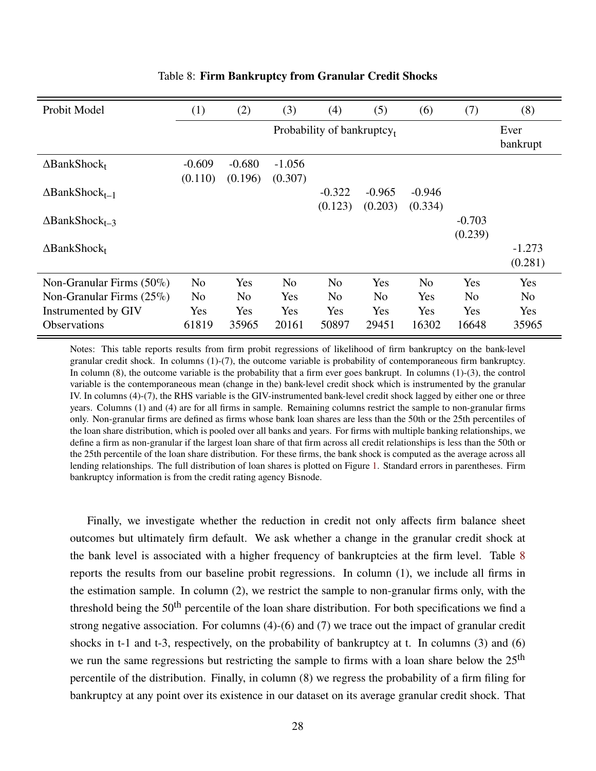<span id="page-27-0"></span>

| Probit Model                      | (1)                        | (2)            | (3)            | (4)            | (5)            | (6)            | (7)            | (8)                 |
|-----------------------------------|----------------------------|----------------|----------------|----------------|----------------|----------------|----------------|---------------------|
|                                   | Probability of bankruptcy, |                |                |                |                |                |                | Ever<br>bankrupt    |
| $\Delta$ BankShock <sub>t</sub>   | $-0.609$                   | $-0.680$       | $-1.056$       |                |                |                |                |                     |
| $\Delta$ BankShock <sub>t-1</sub> | (0.110)                    | (0.196)        | (0.307)        | $-0.322$       | $-0.965$       | $-0.946$       |                |                     |
| $\Delta$ BankShock <sub>t-3</sub> |                            |                |                | (0.123)        | (0.203)        | (0.334)        | $-0.703$       |                     |
| $\Delta$ BankShock <sub>t</sub>   |                            |                |                |                |                |                | (0.239)        | $-1.273$<br>(0.281) |
| Non-Granular Firms $(50\%)$       | N <sub>0</sub>             | Yes            | N <sub>0</sub> | N <sub>0</sub> | Yes            | N <sub>o</sub> | Yes            | Yes                 |
| Non-Granular Firms $(25\%)$       | N <sub>0</sub>             | N <sub>0</sub> | Yes            | N <sub>0</sub> | N <sub>0</sub> | Yes            | N <sub>o</sub> | N <sub>0</sub>      |
| Instrumented by GIV               | Yes                        | Yes            | Yes            | Yes            | Yes            | Yes            | Yes            | Yes                 |
| <b>Observations</b>               | 61819                      | 35965          | 20161          | 50897          | 29451          | 16302          | 16648          | 35965               |

#### Table 8: **Firm Bankruptcy from Granular Credit Shocks**

Notes: This table reports results from firm probit regressions of likelihood of firm bankruptcy on the bank-level granular credit shock. In columns (1)-(7), the outcome variable is probability of contemporaneous firm bankruptcy. In column  $(8)$ , the outcome variable is the probability that a firm ever goes bankrupt. In columns  $(1)-(3)$ , the control variable is the contemporaneous mean (change in the) bank-level credit shock which is instrumented by the granular IV. In columns (4)-(7), the RHS variable is the GIV-instrumented bank-level credit shock lagged by either one or three years. Columns (1) and (4) are for all firms in sample. Remaining columns restrict the sample to non-granular firms only. Non-granular firms are defined as firms whose bank loan shares are less than the 50th or the 25th percentiles of the loan share distribution, which is pooled over all banks and years. For firms with multiple banking relationships, we define a firm as non-granular if the largest loan share of that firm across all credit relationships is less than the 50th or the 25th percentile of the loan share distribution. For these firms, the bank shock is computed as the average across all lending relationships. The full distribution of loan shares is plotted on Figure [1.](#page-11-0) Standard errors in parentheses. Firm bankruptcy information is from the credit rating agency Bisnode.

Finally, we investigate whether the reduction in credit not only affects firm balance sheet outcomes but ultimately firm default. We ask whether a change in the granular credit shock at the bank level is associated with a higher frequency of bankruptcies at the firm level. Table [8](#page-27-0) reports the results from our baseline probit regressions. In column (1), we include all firms in the estimation sample. In column (2), we restrict the sample to non-granular firms only, with the threshold being the  $50<sup>th</sup>$  percentile of the loan share distribution. For both specifications we find a strong negative association. For columns (4)-(6) and (7) we trace out the impact of granular credit shocks in t-1 and t-3, respectively, on the probability of bankruptcy at t. In columns (3) and (6) we run the same regressions but restricting the sample to firms with a loan share below the 25<sup>th</sup> percentile of the distribution. Finally, in column (8) we regress the probability of a firm filing for bankruptcy at any point over its existence in our dataset on its average granular credit shock. That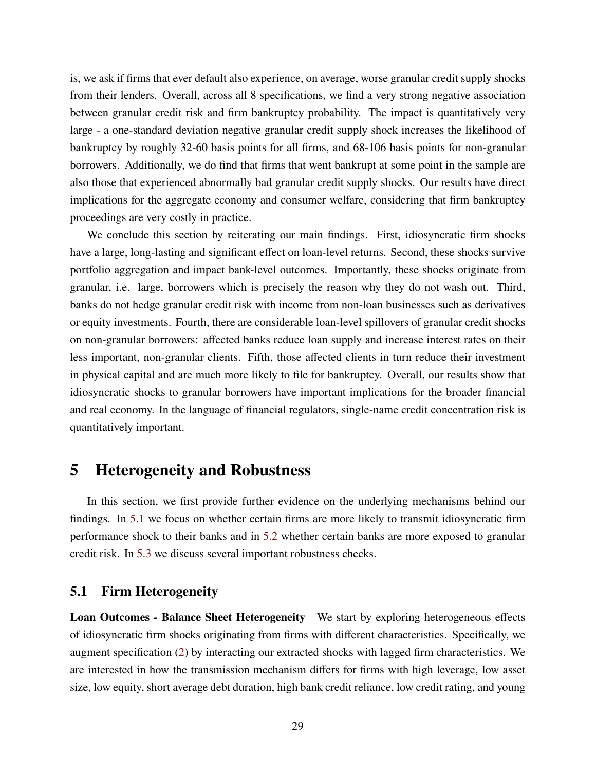is, we ask if firms that ever default also experience, on average, worse granular credit supply shocks from their lenders. Overall, across all 8 specifications, we find a very strong negative association between granular credit risk and firm bankruptcy probability. The impact is quantitatively very large - a one-standard deviation negative granular credit supply shock increases the likelihood of bankruptcy by roughly 32-60 basis points for all firms, and 68-106 basis points for non-granular borrowers. Additionally, we do find that firms that went bankrupt at some point in the sample are also those that experienced abnormally bad granular credit supply shocks. Our results have direct implications for the aggregate economy and consumer welfare, considering that firm bankruptcy proceedings are very costly in practice.

We conclude this section by reiterating our main findings. First, idiosyncratic firm shocks have a large, long-lasting and significant effect on loan-level returns. Second, these shocks survive portfolio aggregation and impact bank-level outcomes. Importantly, these shocks originate from granular, i.e. large, borrowers which is precisely the reason why they do not wash out. Third, banks do not hedge granular credit risk with income from non-loan businesses such as derivatives or equity investments. Fourth, there are considerable loan-level spillovers of granular credit shocks on non-granular borrowers: affected banks reduce loan supply and increase interest rates on their less important, non-granular clients. Fifth, those affected clients in turn reduce their investment in physical capital and are much more likely to file for bankruptcy. Overall, our results show that idiosyncratic shocks to granular borrowers have important implications for the broader financial and real economy. In the language of financial regulators, single-name credit concentration risk is quantitatively important.

### <span id="page-28-0"></span>**5 Heterogeneity and Robustness**

In this section, we first provide further evidence on the underlying mechanisms behind our findings. In [5.1](#page-28-1) we focus on whether certain firms are more likely to transmit idiosyncratic firm performance shock to their banks and in [5.2](#page-30-0) whether certain banks are more exposed to granular credit risk. In [5.3](#page-32-0) we discuss several important robustness checks.

### <span id="page-28-1"></span>**5.1 Firm Heterogeneity**

**Loan Outcomes - Balance Sheet Heterogeneity** We start by exploring heterogeneous effects of idiosyncratic firm shocks originating from firms with different characteristics. Specifically, we augment specification [\(2\)](#page-14-2) by interacting our extracted shocks with lagged firm characteristics. We are interested in how the transmission mechanism differs for firms with high leverage, low asset size, low equity, short average debt duration, high bank credit reliance, low credit rating, and young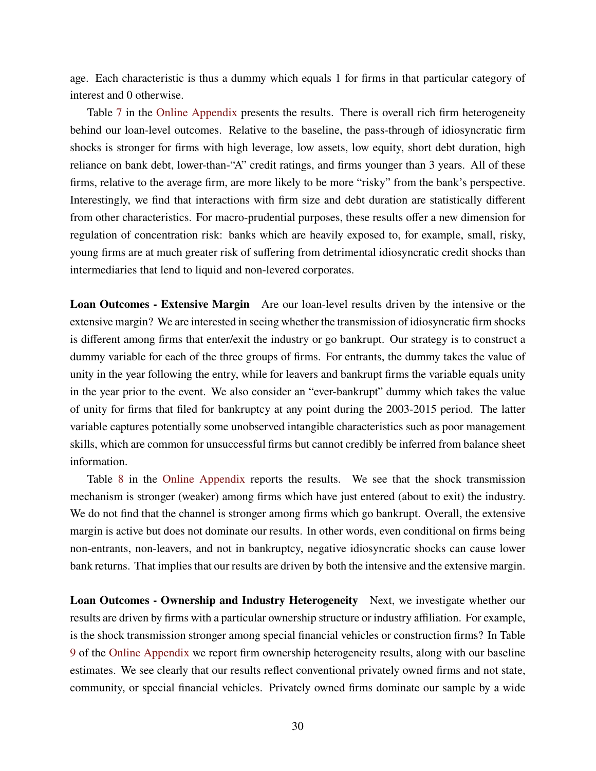age. Each characteristic is thus a dummy which equals 1 for firms in that particular category of interest and 0 otherwise.

Table [7](#page-58-0) in the [Online Appendix](#page-48-0) presents the results. There is overall rich firm heterogeneity behind our loan-level outcomes. Relative to the baseline, the pass-through of idiosyncratic firm shocks is stronger for firms with high leverage, low assets, low equity, short debt duration, high reliance on bank debt, lower-than-"A" credit ratings, and firms younger than 3 years. All of these firms, relative to the average firm, are more likely to be more "risky" from the bank's perspective. Interestingly, we find that interactions with firm size and debt duration are statistically different from other characteristics. For macro-prudential purposes, these results offer a new dimension for regulation of concentration risk: banks which are heavily exposed to, for example, small, risky, young firms are at much greater risk of suffering from detrimental idiosyncratic credit shocks than intermediaries that lend to liquid and non-levered corporates.

**Loan Outcomes - Extensive Margin** Are our loan-level results driven by the intensive or the extensive margin? We are interested in seeing whether the transmission of idiosyncratic firm shocks is different among firms that enter/exit the industry or go bankrupt. Our strategy is to construct a dummy variable for each of the three groups of firms. For entrants, the dummy takes the value of unity in the year following the entry, while for leavers and bankrupt firms the variable equals unity in the year prior to the event. We also consider an "ever-bankrupt" dummy which takes the value of unity for firms that filed for bankruptcy at any point during the 2003-2015 period. The latter variable captures potentially some unobserved intangible characteristics such as poor management skills, which are common for unsuccessful firms but cannot credibly be inferred from balance sheet information.

Table [8](#page-59-0) in the [Online Appendix](#page-48-0) reports the results. We see that the shock transmission mechanism is stronger (weaker) among firms which have just entered (about to exit) the industry. We do not find that the channel is stronger among firms which go bankrupt. Overall, the extensive margin is active but does not dominate our results. In other words, even conditional on firms being non-entrants, non-leavers, and not in bankruptcy, negative idiosyncratic shocks can cause lower bank returns. That implies that our results are driven by both the intensive and the extensive margin.

**Loan Outcomes - Ownership and Industry Heterogeneity** Next, we investigate whether our results are driven by firms with a particular ownership structure or industry affiliation. For example, is the shock transmission stronger among special financial vehicles or construction firms? In Table [9](#page-60-0) of the [Online Appendix](#page-48-0) we report firm ownership heterogeneity results, along with our baseline estimates. We see clearly that our results reflect conventional privately owned firms and not state, community, or special financial vehicles. Privately owned firms dominate our sample by a wide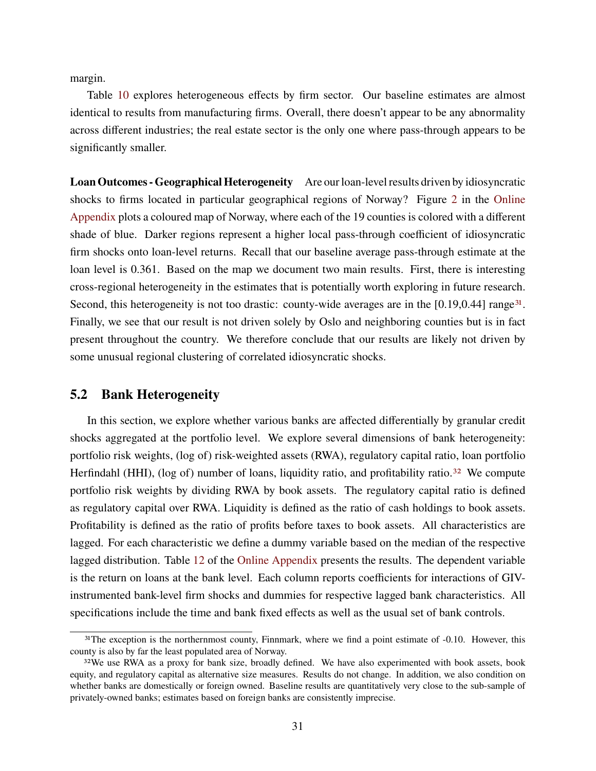margin.

Table [10](#page-61-0) explores heterogeneous effects by firm sector. Our baseline estimates are almost identical to results from manufacturing firms. Overall, there doesn't appear to be any abnormality across different industries; the real estate sector is the only one where pass-through appears to be significantly smaller.

**Loan Outcomes - Geographical Heterogeneity** Are our loan-level results driven by idiosyncratic shocks to firms located in particular geographical regions of Norway? Figure [2](#page-57-0) in the [Online](#page-48-0) [Appendix](#page-48-0) plots a coloured map of Norway, where each of the 19 counties is colored with a different shade of blue. Darker regions represent a higher local pass-through coefficient of idiosyncratic firm shocks onto loan-level returns. Recall that our baseline average pass-through estimate at the loan level is 0.361. Based on the map we document two main results. First, there is interesting cross-regional heterogeneity in the estimates that is potentially worth exploring in future research. Second, this heterogeneity is not too drastic: county-wide averages are in the [0.19,0.44] range<sup>[31](#page-0-0)</sup>. Finally, we see that our result is not driven solely by Oslo and neighboring counties but is in fact present throughout the country. We therefore conclude that our results are likely not driven by some unusual regional clustering of correlated idiosyncratic shocks.

### <span id="page-30-0"></span>**5.2 Bank Heterogeneity**

In this section, we explore whether various banks are affected differentially by granular credit shocks aggregated at the portfolio level. We explore several dimensions of bank heterogeneity: portfolio risk weights, (log of) risk-weighted assets (RWA), regulatory capital ratio, loan portfolio Herfindahl (HHI), (log of) number of loans, liquidity ratio, and profitability ratio.<sup>[32](#page-0-0)</sup> We compute portfolio risk weights by dividing RWA by book assets. The regulatory capital ratio is defined as regulatory capital over RWA. Liquidity is defined as the ratio of cash holdings to book assets. Profitability is defined as the ratio of profits before taxes to book assets. All characteristics are lagged. For each characteristic we define a dummy variable based on the median of the respective lagged distribution. Table [12](#page-65-0) of the [Online Appendix](#page-48-0) presents the results. The dependent variable is the return on loans at the bank level. Each column reports coefficients for interactions of GIVinstrumented bank-level firm shocks and dummies for respective lagged bank characteristics. All specifications include the time and bank fixed effects as well as the usual set of bank controls.

<sup>&</sup>lt;sup>31</sup>The exception is the northernmost county, Finnmark, where we find a point estimate of -0.10. However, this county is also by far the least populated area of Norway.

<sup>&</sup>lt;sup>32</sup>We use RWA as a proxy for bank size, broadly defined. We have also experimented with book assets, book equity, and regulatory capital as alternative size measures. Results do not change. In addition, we also condition on whether banks are domestically or foreign owned. Baseline results are quantitatively very close to the sub-sample of privately-owned banks; estimates based on foreign banks are consistently imprecise.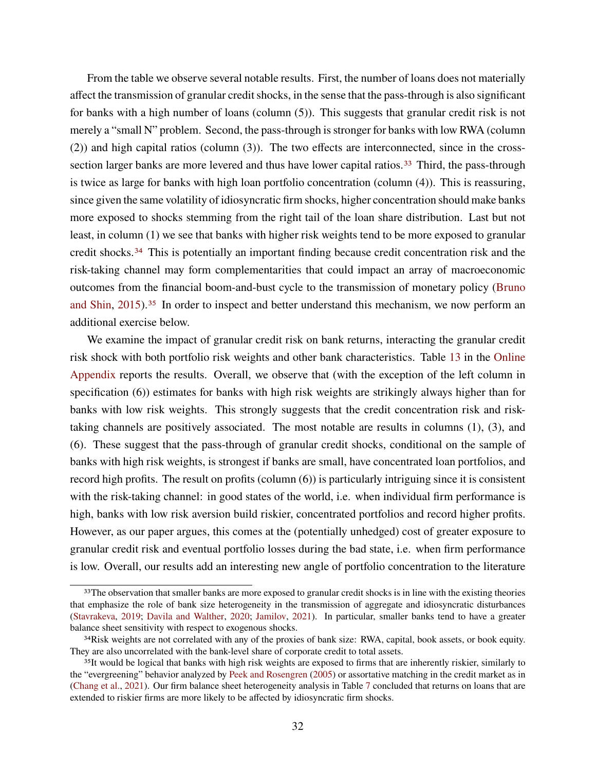From the table we observe several notable results. First, the number of loans does not materially affect the transmission of granular credit shocks, in the sense that the pass-through is also significant for banks with a high number of loans (column (5)). This suggests that granular credit risk is not merely a "small N" problem. Second, the pass-through is stronger for banks with low RWA (column (2)) and high capital ratios (column (3)). The two effects are interconnected, since in the cross-section larger banks are more levered and thus have lower capital ratios.<sup>[33](#page-0-0)</sup> Third, the pass-through is twice as large for banks with high loan portfolio concentration (column (4)). This is reassuring, since given the same volatility of idiosyncratic firm shocks, higher concentration should make banks more exposed to shocks stemming from the right tail of the loan share distribution. Last but not least, in column (1) we see that banks with higher risk weights tend to be more exposed to granular credit shocks.[34](#page-0-0) This is potentially an important finding because credit concentration risk and the risk-taking channel may form complementarities that could impact an array of macroeconomic outcomes from the financial boom-and-bust cycle to the transmission of monetary policy [\(Bruno](#page-44-11) [and Shin,](#page-44-11) [2015\)](#page-44-11).<sup>[35](#page-0-0)</sup> In order to inspect and better understand this mechanism, we now perform an additional exercise below.

We examine the impact of granular credit risk on bank returns, interacting the granular credit risk shock with both portfolio risk weights and other bank characteristics. Table [13](#page-66-0) in the [Online](#page-48-0) [Appendix](#page-48-0) reports the results. Overall, we observe that (with the exception of the left column in specification (6)) estimates for banks with high risk weights are strikingly always higher than for banks with low risk weights. This strongly suggests that the credit concentration risk and risktaking channels are positively associated. The most notable are results in columns (1), (3), and (6). These suggest that the pass-through of granular credit shocks, conditional on the sample of banks with high risk weights, is strongest if banks are small, have concentrated loan portfolios, and record high profits. The result on profits (column (6)) is particularly intriguing since it is consistent with the risk-taking channel: in good states of the world, i.e. when individual firm performance is high, banks with low risk aversion build riskier, concentrated portfolios and record higher profits. However, as our paper argues, this comes at the (potentially unhedged) cost of greater exposure to granular credit risk and eventual portfolio losses during the bad state, i.e. when firm performance is low. Overall, our results add an interesting new angle of portfolio concentration to the literature

<sup>&</sup>lt;sup>33</sup>The observation that smaller banks are more exposed to granular credit shocks is in line with the existing theories that emphasize the role of bank size heterogeneity in the transmission of aggregate and idiosyncratic disturbances [\(Stavrakeva,](#page-47-5) [2019;](#page-47-5) [Davila and Walther,](#page-44-12) [2020;](#page-44-12) [Jamilov,](#page-46-12) [2021\)](#page-46-12). In particular, smaller banks tend to have a greater balance sheet sensitivity with respect to exogenous shocks.

<sup>&</sup>lt;sup>34</sup>Risk weights are not correlated with any of the proxies of bank size: RWA, capital, book assets, or book equity. They are also uncorrelated with the bank-level share of corporate credit to total assets.

<sup>&</sup>lt;sup>35</sup>It would be logical that banks with high risk weights are exposed to firms that are inherently riskier, similarly to the "evergreening" behavior analyzed by [Peek and Rosengren](#page-47-6) [\(2005\)](#page-47-6) or assortative matching in the credit market as in [\(Chang et al.,](#page-44-13) [2021\)](#page-44-13). Our firm balance sheet heterogeneity analysis in Table [7](#page-58-0) concluded that returns on loans that are extended to riskier firms are more likely to be affected by idiosyncratic firm shocks.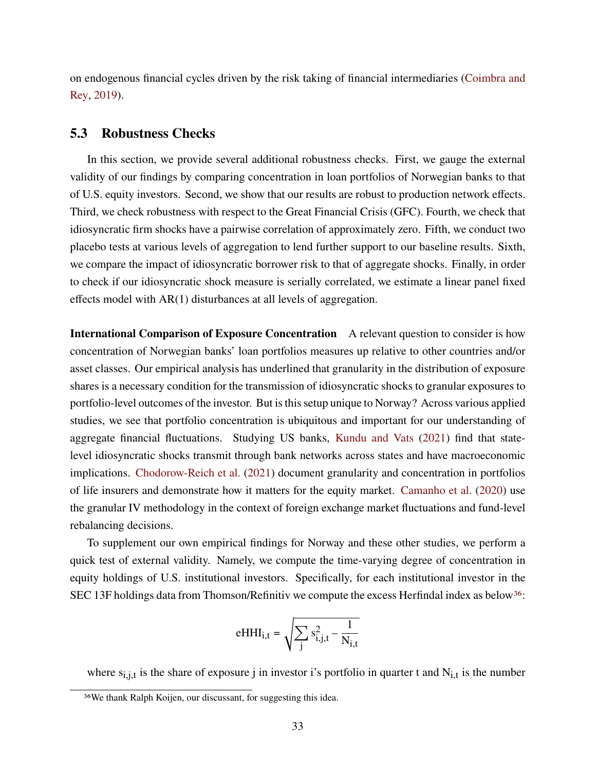on endogenous financial cycles driven by the risk taking of financial intermediaries [\(Coimbra and](#page-44-9) [Rey,](#page-44-9) [2019\)](#page-44-9).

### <span id="page-32-0"></span>**5.3 Robustness Checks**

In this section, we provide several additional robustness checks. First, we gauge the external validity of our findings by comparing concentration in loan portfolios of Norwegian banks to that of U.S. equity investors. Second, we show that our results are robust to production network effects. Third, we check robustness with respect to the Great Financial Crisis (GFC). Fourth, we check that idiosyncratic firm shocks have a pairwise correlation of approximately zero. Fifth, we conduct two placebo tests at various levels of aggregation to lend further support to our baseline results. Sixth, we compare the impact of idiosyncratic borrower risk to that of aggregate shocks. Finally, in order to check if our idiosyncratic shock measure is serially correlated, we estimate a linear panel fixed effects model with AR(1) disturbances at all levels of aggregation.

**International Comparison of Exposure Concentration** A relevant question to consider is how concentration of Norwegian banks' loan portfolios measures up relative to other countries and/or asset classes. Our empirical analysis has underlined that granularity in the distribution of exposure shares is a necessary condition for the transmission of idiosyncratic shocks to granular exposures to portfolio-level outcomes of the investor. But is this setup unique to Norway? Across various applied studies, we see that portfolio concentration is ubiquitous and important for our understanding of aggregate financial fluctuations. Studying US banks, [Kundu and Vats](#page-46-7) [\(2021\)](#page-46-7) find that statelevel idiosyncratic shocks transmit through bank networks across states and have macroeconomic implications. [Chodorow-Reich et al.](#page-44-4) [\(2021\)](#page-44-4) document granularity and concentration in portfolios of life insurers and demonstrate how it matters for the equity market. [Camanho et al.](#page-44-5) [\(2020\)](#page-44-5) use the granular IV methodology in the context of foreign exchange market fluctuations and fund-level rebalancing decisions.

To supplement our own empirical findings for Norway and these other studies, we perform a quick test of external validity. Namely, we compute the time-varying degree of concentration in equity holdings of U.S. institutional investors. Specifically, for each institutional investor in the SEC 13F holdings data from Thomson/Refinitiv we compute the excess Herfindal index as below<sup>[36](#page-0-0)</sup>:

$$
eHHI_{i,t} = \sqrt{\sum_{j} s_{i,j,t}^2 - \frac{1}{N_{i,t}}}
$$

where  $s_{i,i,t}$  is the share of exposure j in investor i's portfolio in quarter t and  $N_{i,t}$  is the number

<sup>36</sup>We thank Ralph Koijen, our discussant, for suggesting this idea.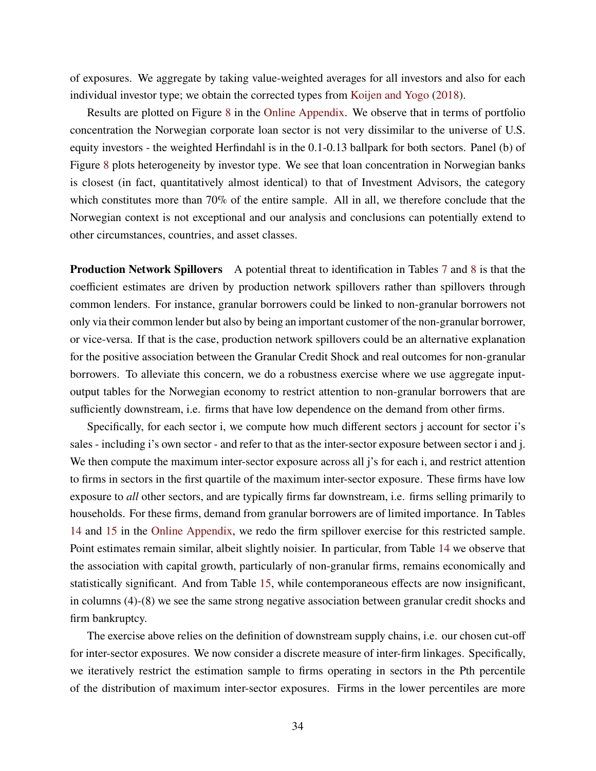of exposures. We aggregate by taking value-weighted averages for all investors and also for each individual investor type; we obtain the corrected types from [Koijen and Yogo](#page-46-13) [\(2018\)](#page-46-13).

Results are plotted on Figure [8](#page-74-0) in the [Online Appendix.](#page-48-0) We observe that in terms of portfolio concentration the Norwegian corporate loan sector is not very dissimilar to the universe of U.S. equity investors - the weighted Herfindahl is in the 0.1-0.13 ballpark for both sectors. Panel (b) of Figure [8](#page-74-0) plots heterogeneity by investor type. We see that loan concentration in Norwegian banks is closest (in fact, quantitatively almost identical) to that of Investment Advisors, the category which constitutes more than 70% of the entire sample. All in all, we therefore conclude that the Norwegian context is not exceptional and our analysis and conclusions can potentially extend to other circumstances, countries, and asset classes.

**Production Network Spillovers** A potential threat to identification in Tables [7](#page-26-0) and [8](#page-27-0) is that the coefficient estimates are driven by production network spillovers rather than spillovers through common lenders. For instance, granular borrowers could be linked to non-granular borrowers not only via their common lender but also by being an important customer of the non-granular borrower, or vice-versa. If that is the case, production network spillovers could be an alternative explanation for the positive association between the Granular Credit Shock and real outcomes for non-granular borrowers. To alleviate this concern, we do a robustness exercise where we use aggregate inputoutput tables for the Norwegian economy to restrict attention to non-granular borrowers that are sufficiently downstream, i.e. firms that have low dependence on the demand from other firms.

Specifically, for each sector i, we compute how much different sectors j account for sector i's sales - including i's own sector - and refer to that as the inter-sector exposure between sector i and j. We then compute the maximum inter-sector exposure across all j's for each i, and restrict attention to firms in sectors in the first quartile of the maximum inter-sector exposure. These firms have low exposure to *all* other sectors, and are typically firms far downstream, i.e. firms selling primarily to households. For these firms, demand from granular borrowers are of limited importance. In Tables [14](#page-69-0) and [15](#page-70-0) in the [Online Appendix,](#page-48-0) we redo the firm spillover exercise for this restricted sample. Point estimates remain similar, albeit slightly noisier. In particular, from Table [14](#page-69-0) we observe that the association with capital growth, particularly of non-granular firms, remains economically and statistically significant. And from Table [15,](#page-70-0) while contemporaneous effects are now insignificant, in columns (4)-(8) we see the same strong negative association between granular credit shocks and firm bankruptcy.

The exercise above relies on the definition of downstream supply chains, i.e. our chosen cut-off for inter-sector exposures. We now consider a discrete measure of inter-firm linkages. Specifically, we iteratively restrict the estimation sample to firms operating in sectors in the Pth percentile of the distribution of maximum inter-sector exposures. Firms in the lower percentiles are more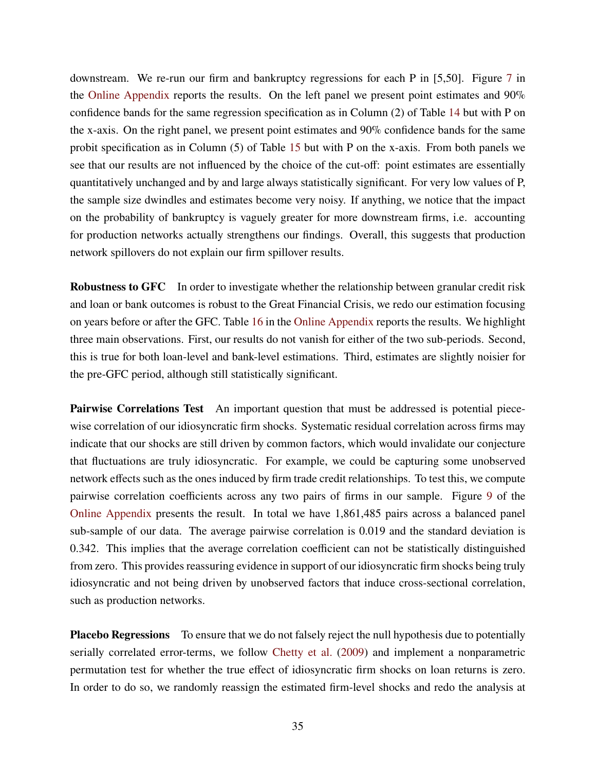downstream. We re-run our firm and bankruptcy regressions for each P in [5,50]. Figure [7](#page-71-0) in the [Online Appendix](#page-48-0) reports the results. On the left panel we present point estimates and 90% confidence bands for the same regression specification as in Column (2) of Table [14](#page-69-0) but with P on the x-axis. On the right panel, we present point estimates and 90% confidence bands for the same probit specification as in Column (5) of Table [15](#page-70-0) but with P on the x-axis. From both panels we see that our results are not influenced by the choice of the cut-off: point estimates are essentially quantitatively unchanged and by and large always statistically significant. For very low values of P, the sample size dwindles and estimates become very noisy. If anything, we notice that the impact on the probability of bankruptcy is vaguely greater for more downstream firms, i.e. accounting for production networks actually strengthens our findings. Overall, this suggests that production network spillovers do not explain our firm spillover results.

**Robustness to GFC** In order to investigate whether the relationship between granular credit risk and loan or bank outcomes is robust to the Great Financial Crisis, we redo our estimation focusing on years before or after the GFC. Table [16](#page-76-0) in the [Online Appendix](#page-48-0) reports the results. We highlight three main observations. First, our results do not vanish for either of the two sub-periods. Second, this is true for both loan-level and bank-level estimations. Third, estimates are slightly noisier for the pre-GFC period, although still statistically significant.

**Pairwise Correlations Test** An important question that must be addressed is potential piecewise correlation of our idiosyncratic firm shocks. Systematic residual correlation across firms may indicate that our shocks are still driven by common factors, which would invalidate our conjecture that fluctuations are truly idiosyncratic. For example, we could be capturing some unobserved network effects such as the ones induced by firm trade credit relationships. To test this, we compute pairwise correlation coefficients across any two pairs of firms in our sample. Figure [9](#page-75-0) of the [Online Appendix](#page-48-0) presents the result. In total we have 1,861,485 pairs across a balanced panel sub-sample of our data. The average pairwise correlation is 0.019 and the standard deviation is 0.342. This implies that the average correlation coefficient can not be statistically distinguished from zero. This provides reassuring evidence in support of our idiosyncratic firm shocks being truly idiosyncratic and not being driven by unobserved factors that induce cross-sectional correlation, such as production networks.

**Placebo Regressions** To ensure that we do not falsely reject the null hypothesis due to potentially serially correlated error-terms, we follow [Chetty et al.](#page-44-14) [\(2009\)](#page-44-14) and implement a nonparametric permutation test for whether the true effect of idiosyncratic firm shocks on loan returns is zero. In order to do so, we randomly reassign the estimated firm-level shocks and redo the analysis at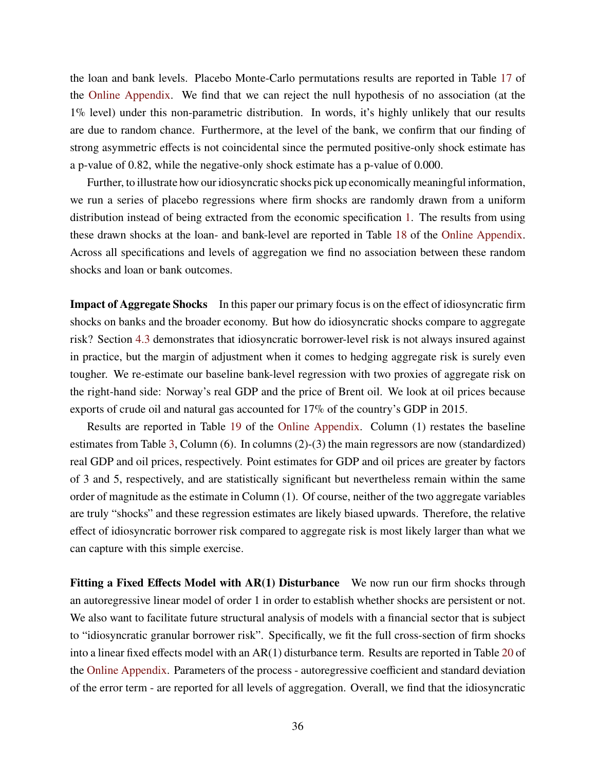the loan and bank levels. Placebo Monte-Carlo permutations results are reported in Table [17](#page-77-0) of the [Online Appendix.](#page-48-0) We find that we can reject the null hypothesis of no association (at the 1% level) under this non-parametric distribution. In words, it's highly unlikely that our results are due to random chance. Furthermore, at the level of the bank, we confirm that our finding of strong asymmetric effects is not coincidental since the permuted positive-only shock estimate has a p-value of 0.82, while the negative-only shock estimate has a p-value of 0.000.

Further, to illustrate how our idiosyncratic shocks pick up economically meaningful information, we run a series of placebo regressions where firm shocks are randomly drawn from a uniform distribution instead of being extracted from the economic specification [1.](#page-12-0) The results from using these drawn shocks at the loan- and bank-level are reported in Table [18](#page-78-0) of the [Online Appendix.](#page-48-0) Across all specifications and levels of aggregation we find no association between these random shocks and loan or bank outcomes.

**Impact of Aggregate Shocks** In this paper our primary focus is on the effect of idiosyncratic firm shocks on banks and the broader economy. But how do idiosyncratic shocks compare to aggregate risk? Section [4.3](#page-22-0) demonstrates that idiosyncratic borrower-level risk is not always insured against in practice, but the margin of adjustment when it comes to hedging aggregate risk is surely even tougher. We re-estimate our baseline bank-level regression with two proxies of aggregate risk on the right-hand side: Norway's real GDP and the price of Brent oil. We look at oil prices because exports of crude oil and natural gas accounted for 17% of the country's GDP in 2015.

Results are reported in Table [19](#page-79-0) of the [Online Appendix.](#page-48-0) Column (1) restates the baseline estimates from Table [3,](#page-19-1) Column (6). In columns (2)-(3) the main regressors are now (standardized) real GDP and oil prices, respectively. Point estimates for GDP and oil prices are greater by factors of 3 and 5, respectively, and are statistically significant but nevertheless remain within the same order of magnitude as the estimate in Column (1). Of course, neither of the two aggregate variables are truly "shocks" and these regression estimates are likely biased upwards. Therefore, the relative effect of idiosyncratic borrower risk compared to aggregate risk is most likely larger than what we can capture with this simple exercise.

**Fitting a Fixed Effects Model with AR(1) Disturbance** We now run our firm shocks through an autoregressive linear model of order 1 in order to establish whether shocks are persistent or not. We also want to facilitate future structural analysis of models with a financial sector that is subject to "idiosyncratic granular borrower risk". Specifically, we fit the full cross-section of firm shocks into a linear fixed effects model with an AR(1) disturbance term. Results are reported in Table [20](#page-80-0) of the [Online Appendix.](#page-48-0) Parameters of the process - autoregressive coefficient and standard deviation of the error term - are reported for all levels of aggregation. Overall, we find that the idiosyncratic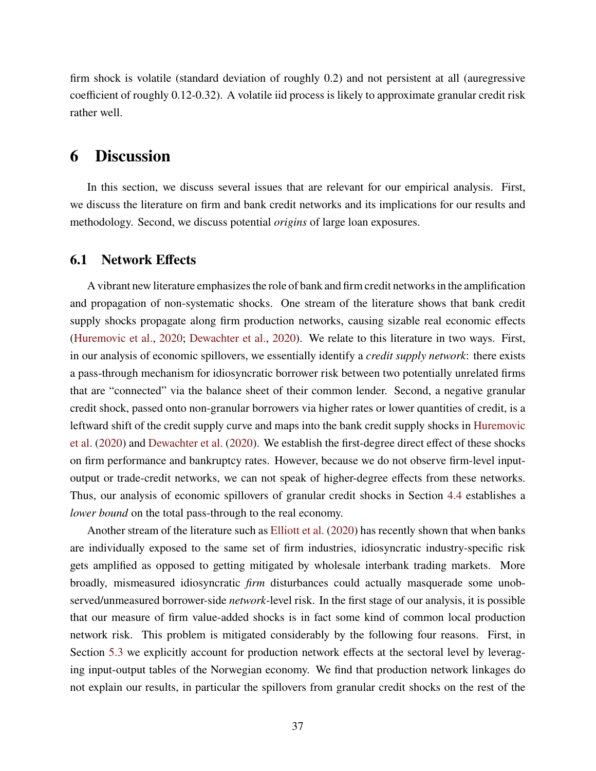firm shock is volatile (standard deviation of roughly 0.2) and not persistent at all (auregressive coefficient of roughly 0.12-0.32). A volatile iid process is likely to approximate granular credit risk rather well.

### **6 Discussion**

In this section, we discuss several issues that are relevant for our empirical analysis. First, we discuss the literature on firm and bank credit networks and its implications for our results and methodology. Second, we discuss potential *origins* of large loan exposures.

#### **6.1 Network Effects**

A vibrant new literature emphasizes the role of bank and firm credit networks in the amplification and propagation of non-systematic shocks. One stream of the literature shows that bank credit supply shocks propagate along firm production networks, causing sizable real economic effects [\(Huremovic et al.,](#page-46-0) [2020;](#page-46-0) [Dewachter et al.,](#page-45-0) [2020\)](#page-45-0). We relate to this literature in two ways. First, in our analysis of economic spillovers, we essentially identify a *credit supply network*: there exists a pass-through mechanism for idiosyncratic borrower risk between two potentially unrelated firms that are "connected" via the balance sheet of their common lender. Second, a negative granular credit shock, passed onto non-granular borrowers via higher rates or lower quantities of credit, is a leftward shift of the credit supply curve and maps into the bank credit supply shocks in [Huremovic](#page-46-0) [et al.](#page-46-0) [\(2020\)](#page-46-0) and [Dewachter et al.](#page-45-0) [\(2020\)](#page-45-0). We establish the first-degree direct effect of these shocks on firm performance and bankruptcy rates. However, because we do not observe firm-level inputoutput or trade-credit networks, we can not speak of higher-degree effects from these networks. Thus, our analysis of economic spillovers of granular credit shocks in Section [4.4](#page-23-0) establishes a *lower bound* on the total pass-through to the real economy.

Another stream of the literature such as [Elliott et al.](#page-45-1) [\(2020\)](#page-45-1) has recently shown that when banks are individually exposed to the same set of firm industries, idiosyncratic industry-specific risk gets amplified as opposed to getting mitigated by wholesale interbank trading markets. More broadly, mismeasured idiosyncratic *firm* disturbances could actually masquerade some unobserved/unmeasured borrower-side *network*-level risk. In the first stage of our analysis, it is possible that our measure of firm value-added shocks is in fact some kind of common local production network risk. This problem is mitigated considerably by the following four reasons. First, in Section [5.3](#page-32-0) we explicitly account for production network effects at the sectoral level by leveraging input-output tables of the Norwegian economy. We find that production network linkages do not explain our results, in particular the spillovers from granular credit shocks on the rest of the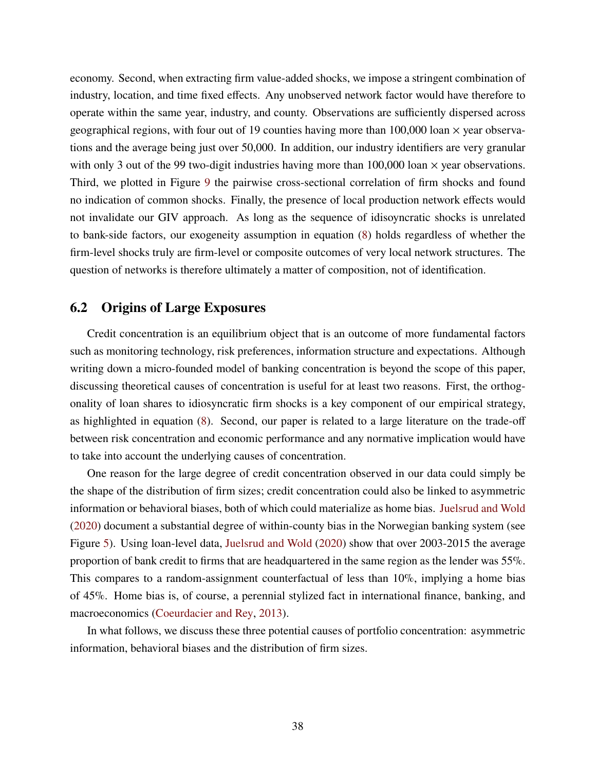economy. Second, when extracting firm value-added shocks, we impose a stringent combination of industry, location, and time fixed effects. Any unobserved network factor would have therefore to operate within the same year, industry, and county. Observations are sufficiently dispersed across geographical regions, with four out of 19 counties having more than  $100,000$  loan  $\times$  year observations and the average being just over 50,000. In addition, our industry identifiers are very granular with only 3 out of the 99 two-digit industries having more than  $100,000$  loan  $\times$  year observations. Third, we plotted in Figure [9](#page-75-0) the pairwise cross-sectional correlation of firm shocks and found no indication of common shocks. Finally, the presence of local production network effects would not invalidate our GIV approach. As long as the sequence of idisoyncratic shocks is unrelated to bank-side factors, our exogeneity assumption in equation [\(8\)](#page-15-0) holds regardless of whether the firm-level shocks truly are firm-level or composite outcomes of very local network structures. The question of networks is therefore ultimately a matter of composition, not of identification.

#### <span id="page-37-0"></span>**6.2 Origins of Large Exposures**

Credit concentration is an equilibrium object that is an outcome of more fundamental factors such as monitoring technology, risk preferences, information structure and expectations. Although writing down a micro-founded model of banking concentration is beyond the scope of this paper, discussing theoretical causes of concentration is useful for at least two reasons. First, the orthogonality of loan shares to idiosyncratic firm shocks is a key component of our empirical strategy, as highlighted in equation [\(8\)](#page-15-0). Second, our paper is related to a large literature on the trade-off between risk concentration and economic performance and any normative implication would have to take into account the underlying causes of concentration.

One reason for the large degree of credit concentration observed in our data could simply be the shape of the distribution of firm sizes; credit concentration could also be linked to asymmetric information or behavioral biases, both of which could materialize as home bias. [Juelsrud and Wold](#page-46-1) [\(2020\)](#page-46-1) document a substantial degree of within-county bias in the Norwegian banking system (see Figure [5\)](#page-67-0). Using loan-level data, [Juelsrud and Wold](#page-46-1) [\(2020\)](#page-46-1) show that over 2003-2015 the average proportion of bank credit to firms that are headquartered in the same region as the lender was 55%. This compares to a random-assignment counterfactual of less than 10%, implying a home bias of 45%. Home bias is, of course, a perennial stylized fact in international finance, banking, and macroeconomics [\(Coeurdacier and Rey,](#page-44-0) [2013\)](#page-44-0).

In what follows, we discuss these three potential causes of portfolio concentration: asymmetric information, behavioral biases and the distribution of firm sizes.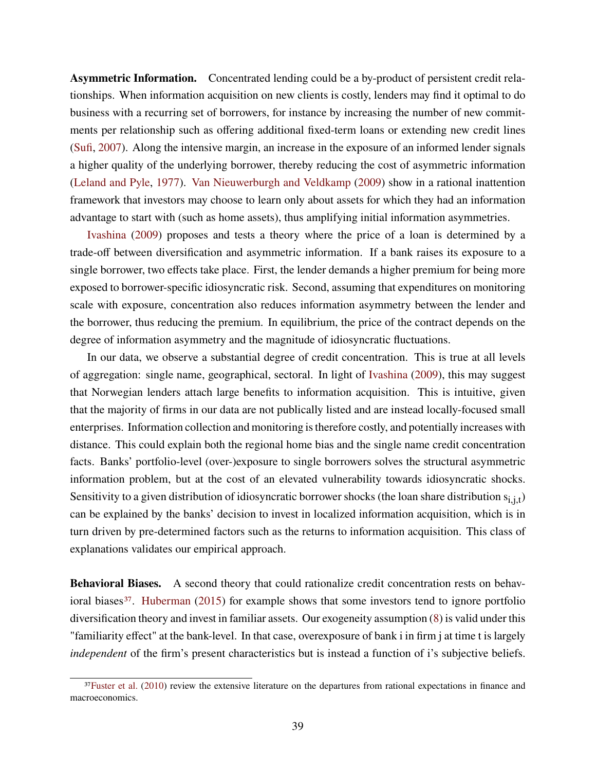**Asymmetric Information.** Concentrated lending could be a by-product of persistent credit relationships. When information acquisition on new clients is costly, lenders may find it optimal to do business with a recurring set of borrowers, for instance by increasing the number of new commitments per relationship such as offering additional fixed-term loans or extending new credit lines [\(Sufi,](#page-47-0) [2007\)](#page-47-0). Along the intensive margin, an increase in the exposure of an informed lender signals a higher quality of the underlying borrower, thereby reducing the cost of asymmetric information [\(Leland and Pyle,](#page-46-2) [1977\)](#page-46-2). [Van Nieuwerburgh and Veldkamp](#page-47-1) [\(2009\)](#page-47-1) show in a rational inattention framework that investors may choose to learn only about assets for which they had an information advantage to start with (such as home assets), thus amplifying initial information asymmetries.

[Ivashina](#page-46-3) [\(2009\)](#page-46-3) proposes and tests a theory where the price of a loan is determined by a trade-off between diversification and asymmetric information. If a bank raises its exposure to a single borrower, two effects take place. First, the lender demands a higher premium for being more exposed to borrower-specific idiosyncratic risk. Second, assuming that expenditures on monitoring scale with exposure, concentration also reduces information asymmetry between the lender and the borrower, thus reducing the premium. In equilibrium, the price of the contract depends on the degree of information asymmetry and the magnitude of idiosyncratic fluctuations.

In our data, we observe a substantial degree of credit concentration. This is true at all levels of aggregation: single name, geographical, sectoral. In light of [Ivashina](#page-46-3) [\(2009\)](#page-46-3), this may suggest that Norwegian lenders attach large benefits to information acquisition. This is intuitive, given that the majority of firms in our data are not publically listed and are instead locally-focused small enterprises. Information collection and monitoring is therefore costly, and potentially increases with distance. This could explain both the regional home bias and the single name credit concentration facts. Banks' portfolio-level (over-)exposure to single borrowers solves the structural asymmetric information problem, but at the cost of an elevated vulnerability towards idiosyncratic shocks. Sensitivity to a given distribution of idiosyncratic borrower shocks (the loan share distribution  $s_{i,i,t}$ ) can be explained by the banks' decision to invest in localized information acquisition, which is in turn driven by pre-determined factors such as the returns to information acquisition. This class of explanations validates our empirical approach.

**Behavioral Biases.** A second theory that could rationalize credit concentration rests on behav-ioral biases<sup>[37](#page-0-0)</sup>. [Huberman](#page-46-4) [\(2015\)](#page-46-4) for example shows that some investors tend to ignore portfolio diversification theory and invest in familiar assets. Our exogeneity assumption [\(8\)](#page-15-0) is valid under this "familiarity effect" at the bank-level. In that case, overexposure of bank i in firm j at time t is largely *independent* of the firm's present characteristics but is instead a function of i's subjective beliefs.

<sup>&</sup>lt;sup>37</sup>[Fuster et al.](#page-45-2) [\(2010\)](#page-45-2) review the extensive literature on the departures from rational expectations in finance and macroeconomics.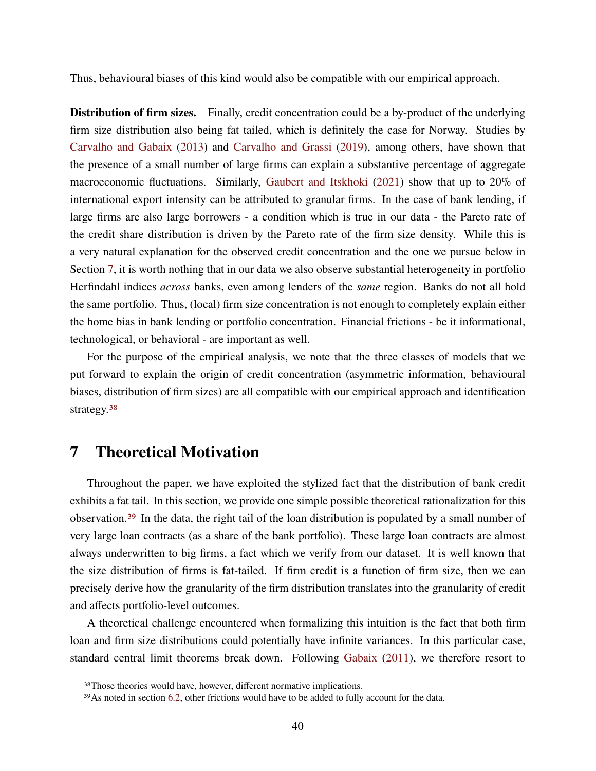Thus, behavioural biases of this kind would also be compatible with our empirical approach.

**Distribution of firm sizes.** Finally, credit concentration could be a by-product of the underlying firm size distribution also being fat tailed, which is definitely the case for Norway. Studies by [Carvalho and Gabaix](#page-44-1) [\(2013\)](#page-44-1) and [Carvalho and Grassi](#page-44-2) [\(2019\)](#page-44-2), among others, have shown that the presence of a small number of large firms can explain a substantive percentage of aggregate macroeconomic fluctuations. Similarly, [Gaubert and Itskhoki](#page-45-3) [\(2021\)](#page-45-3) show that up to 20% of international export intensity can be attributed to granular firms. In the case of bank lending, if large firms are also large borrowers - a condition which is true in our data - the Pareto rate of the credit share distribution is driven by the Pareto rate of the firm size density. While this is a very natural explanation for the observed credit concentration and the one we pursue below in Section [7,](#page-39-0) it is worth nothing that in our data we also observe substantial heterogeneity in portfolio Herfindahl indices *across* banks, even among lenders of the *same* region. Banks do not all hold the same portfolio. Thus, (local) firm size concentration is not enough to completely explain either the home bias in bank lending or portfolio concentration. Financial frictions - be it informational, technological, or behavioral - are important as well.

For the purpose of the empirical analysis, we note that the three classes of models that we put forward to explain the origin of credit concentration (asymmetric information, behavioural biases, distribution of firm sizes) are all compatible with our empirical approach and identification strategy.<sup>[38](#page-0-0)</sup>

### <span id="page-39-0"></span>**7 Theoretical Motivation**

Throughout the paper, we have exploited the stylized fact that the distribution of bank credit exhibits a fat tail. In this section, we provide one simple possible theoretical rationalization for this observation.[39](#page-0-0) In the data, the right tail of the loan distribution is populated by a small number of very large loan contracts (as a share of the bank portfolio). These large loan contracts are almost always underwritten to big firms, a fact which we verify from our dataset. It is well known that the size distribution of firms is fat-tailed. If firm credit is a function of firm size, then we can precisely derive how the granularity of the firm distribution translates into the granularity of credit and affects portfolio-level outcomes.

A theoretical challenge encountered when formalizing this intuition is the fact that both firm loan and firm size distributions could potentially have infinite variances. In this particular case, standard central limit theorems break down. Following [Gabaix](#page-45-4) [\(2011\)](#page-45-4), we therefore resort to

<sup>38</sup>Those theories would have, however, different normative implications.

<sup>39</sup>As noted in section [6.2,](#page-37-0) other frictions would have to be added to fully account for the data.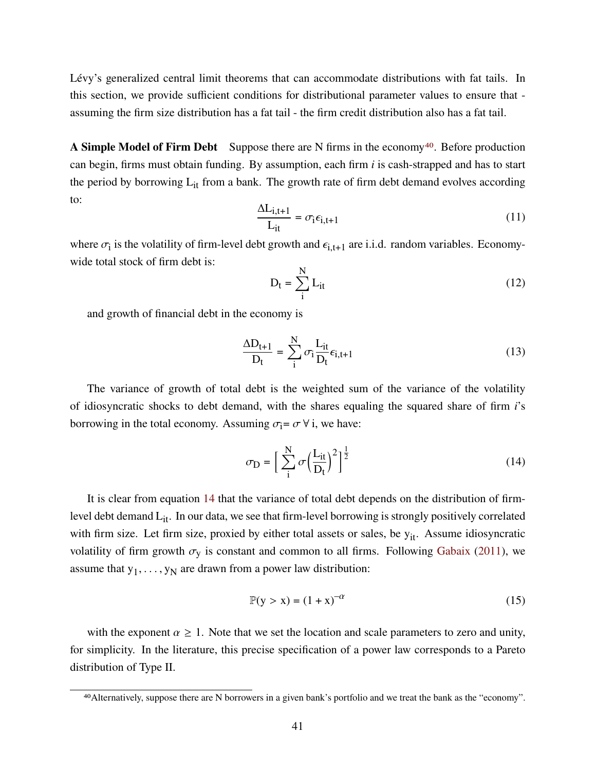Lévy's generalized central limit theorems that can accommodate distributions with fat tails. In this section, we provide sufficient conditions for distributional parameter values to ensure that assuming the firm size distribution has a fat tail - the firm credit distribution also has a fat tail.

**A Simple Model of Firm Debt** Suppose there are N firms in the economy<sup>[40](#page-0-0)</sup>. Before production can begin, firms must obtain funding. By assumption, each firm *i* is cash-strapped and has to start the period by borrowing  $L_{it}$  from a bank. The growth rate of firm debt demand evolves according to:

$$
\frac{\Delta L_{i,t+1}}{L_{it}} = \sigma_i \epsilon_{i,t+1}
$$
 (11)

where  $\sigma_i$  is the volatility of firm-level debt growth and  $\epsilon_{i,t+1}$  are i.i.d. random variables. Economywide total stock of firm debt is:

$$
D_t = \sum_{i}^{N} L_{it}
$$
 (12)

and growth of financial debt in the economy is

$$
\frac{\Delta D_{t+1}}{D_t} = \sum_{i}^{N} \sigma_i \frac{L_{it}}{D_t} \epsilon_{i, t+1}
$$
\n(13)

The variance of growth of total debt is the weighted sum of the variance of the volatility of idiosyncratic shocks to debt demand, with the shares equaling the squared share of firm *i*'s borrowing in the total economy. Assuming  $\sigma_i = \sigma \,\forall i$ , we have:

<span id="page-40-0"></span>
$$
\sigma_{\mathbf{D}} = \left[\sum_{i}^{N} \sigma \left(\frac{L_{it}}{D_t}\right)^2\right]^{\frac{1}{2}}
$$
\n(14)

It is clear from equation [14](#page-40-0) that the variance of total debt depends on the distribution of firmlevel debt demand  $L_{it}$ . In our data, we see that firm-level borrowing is strongly positively correlated with firm size. Let firm size, proxied by either total assets or sales, be  $y_{it}$ . Assume idiosyncratic volatility of firm growth  $\sigma_y$  is constant and common to all firms. Following [Gabaix](#page-45-4) [\(2011\)](#page-45-4), we assume that  $y_1, \ldots, y_N$  are drawn from a power law distribution:

$$
\mathbb{P}(y > x) = (1 + x)^{-\alpha} \tag{15}
$$

with the exponent  $\alpha \geq 1$ . Note that we set the location and scale parameters to zero and unity, for simplicity. In the literature, this precise specification of a power law corresponds to a Pareto distribution of Type II.

<sup>40</sup>Alternatively, suppose there are N borrowers in a given bank's portfolio and we treat the bank as the "economy".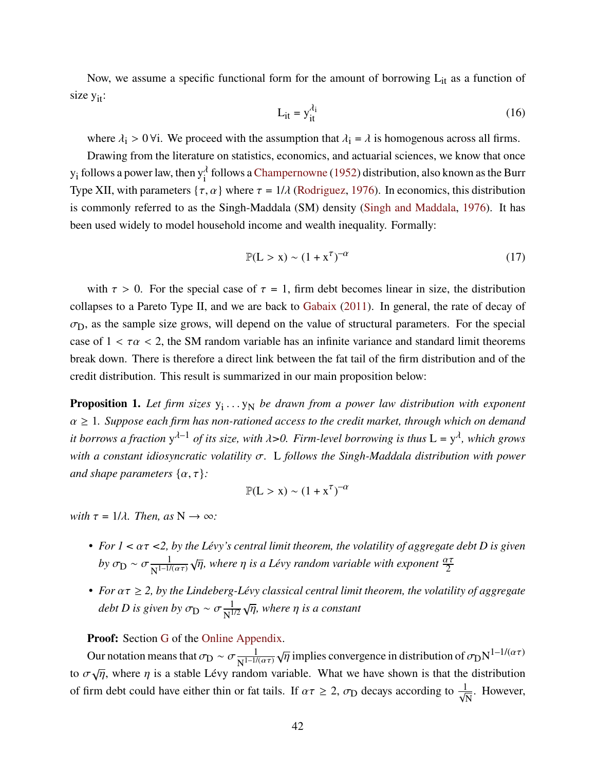Now, we assume a specific functional form for the amount of borrowing  $L_{it}$  as a function of size  $y_{it}$ :

<span id="page-41-0"></span>
$$
L_{it} = y_{it}^{\lambda_i} \tag{16}
$$

where  $\lambda_i > 0$   $\forall i$ . We proceed with the assumption that  $\lambda_i = \lambda$  is homogenous across all firms.

Drawing from the literature on statistics, economics, and actuarial sciences, we know that once  $y_i$  follows a power law, then  $y_i^{\lambda}$  follows a [Champernowne](#page-44-3) [\(1952\)](#page-44-3) distribution, also known as the Burr Type XII, with parameters  $\{\tau, \alpha\}$  where  $\tau = 1/\lambda$  [\(Rodriguez,](#page-47-2) [1976\)](#page-47-2). In economics, this distribution is commonly referred to as the Singh-Maddala (SM) density [\(Singh and Maddala,](#page-47-3) [1976\)](#page-47-3). It has been used widely to model household income and wealth inequality. Formally:

$$
\mathbb{P}(\mathbf{L} > \mathbf{x}) \sim (1 + \mathbf{x}^{\tau})^{-\alpha} \tag{17}
$$

with  $\tau > 0$ . For the special case of  $\tau = 1$ , firm debt becomes linear in size, the distribution collapses to a Pareto Type II, and we are back to [Gabaix](#page-45-4) [\(2011\)](#page-45-4). In general, the rate of decay of  $\sigma_D$ , as the sample size grows, will depend on the value of structural parameters. For the special case of  $1 < \tau \alpha < 2$ , the SM random variable has an infinite variance and standard limit theorems break down. There is therefore a direct link between the fat tail of the firm distribution and of the credit distribution. This result is summarized in our main proposition below:

**Proposition 1.** Let firm sizes  $y_1 \ldots y_N$  be drawn from a power law distribution with exponent  $\alpha \geq 1$ . Suppose each firm has non-rationed access to the credit market, through which on demand it borrows a fraction  $y^{\lambda-1}$  of its size, with  $\lambda > 0$ . Firm-level borrowing is thus  $L = y^{\lambda}$ , which grows *with a constant idiosyncratic volatility*  $\sigma$ . L *follows the Singh-Maddala distribution with power and shape parameters*  $\{\alpha, \tau\}$ *:* 

$$
\mathbb{P}(L > x) \sim (1 + x^{\tau})^{-\alpha}
$$

*with*  $\tau = 1/\lambda$ *. Then, as*  $N \rightarrow \infty$ *:* 

- For  $1 < \alpha \tau < 2$ , by the Lévy's central limit theorem, the volatility of aggregate debt D is given *by*  $\sigma_{\rm D} \sim \sigma \frac{1}{\mathbf{v} \cdot \mathbf{l} - 1}$  $\overline{N^{1-1/(\alpha\tau)}}$  $\sqrt{\eta}$ , where  $\eta$  is a Lévy random variable with exponent  $\frac{\alpha \tau}{2}$
- For  $\alpha \tau \geq 2$ , by the Lindeberg-Lévy classical central limit theorem, the volatility of aggregate *debt D is given by*  $\sigma_{\rm D} \sim \sigma \frac{1}{N}$  $\overline{\text{N}^{1/2}}$ √ 𝜂*, where* 𝜂 *is a constant*

**Proof:** Section [G](#page-82-0) of the [Online Appendix.](#page-48-0)

Our notation means that  $\sigma_{\text{D}} \sim \sigma \frac{1}{\text{N}}$  $\overline{N^{1-1/(\alpha\tau)}}$  $\sqrt{\eta}$  implies convergence in distribution of  $\sigma_{\text{D}}N^{1-1/(\alpha\tau)}$ to  $\sigma \sqrt{n}$ , where *n* is a stable Lévy random variable. What we have shown is that the distribution of firm debt could have either thin or fat tails. If  $\alpha \tau \geq 2$ ,  $\sigma_D$  decays according to  $\frac{1}{\sqrt{N}}$ . However,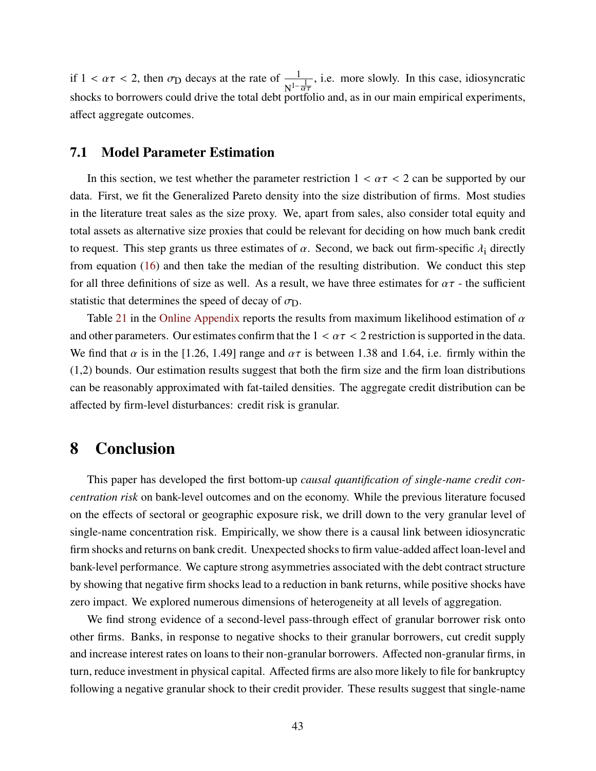if  $1 < \alpha \tau < 2$ , then  $\sigma_D$  decays at the rate of  $\frac{1}{N^{1-\frac{1}{\alpha\tau}}}$ , i.e. more slowly. In this case, idiosyncratic shocks to borrowers could drive the total debt portfolio and, as in our main empirical experiments, affect aggregate outcomes.

#### **7.1 Model Parameter Estimation**

In this section, we test whether the parameter restriction  $1 < \alpha \tau < 2$  can be supported by our data. First, we fit the Generalized Pareto density into the size distribution of firms. Most studies in the literature treat sales as the size proxy. We, apart from sales, also consider total equity and total assets as alternative size proxies that could be relevant for deciding on how much bank credit to request. This step grants us three estimates of  $\alpha$ . Second, we back out firm-specific  $\lambda_i$  directly from equation [\(16\)](#page-41-0) and then take the median of the resulting distribution. We conduct this step for all three definitions of size as well. As a result, we have three estimates for  $\alpha\tau$  - the sufficient statistic that determines the speed of decay of  $\sigma_{\text{D}}$ .

Table [21](#page-81-0) in the [Online Appendix](#page-48-0) reports the results from maximum likelihood estimation of  $\alpha$ and other parameters. Our estimates confirm that the  $1 < \alpha \tau < 2$  restriction is supported in the data. We find that  $\alpha$  is in the [1.26, 1.49] range and  $\alpha\tau$  is between 1.38 and 1.64, i.e. firmly within the (1,2) bounds. Our estimation results suggest that both the firm size and the firm loan distributions can be reasonably approximated with fat-tailed densities. The aggregate credit distribution can be affected by firm-level disturbances: credit risk is granular.

### **8 Conclusion**

This paper has developed the first bottom-up *causal quantification of single-name credit concentration risk* on bank-level outcomes and on the economy. While the previous literature focused on the effects of sectoral or geographic exposure risk, we drill down to the very granular level of single-name concentration risk. Empirically, we show there is a causal link between idiosyncratic firm shocks and returns on bank credit. Unexpected shocks to firm value-added affect loan-level and bank-level performance. We capture strong asymmetries associated with the debt contract structure by showing that negative firm shocks lead to a reduction in bank returns, while positive shocks have zero impact. We explored numerous dimensions of heterogeneity at all levels of aggregation.

We find strong evidence of a second-level pass-through effect of granular borrower risk onto other firms. Banks, in response to negative shocks to their granular borrowers, cut credit supply and increase interest rates on loans to their non-granular borrowers. Affected non-granular firms, in turn, reduce investment in physical capital. Affected firms are also more likely to file for bankruptcy following a negative granular shock to their credit provider. These results suggest that single-name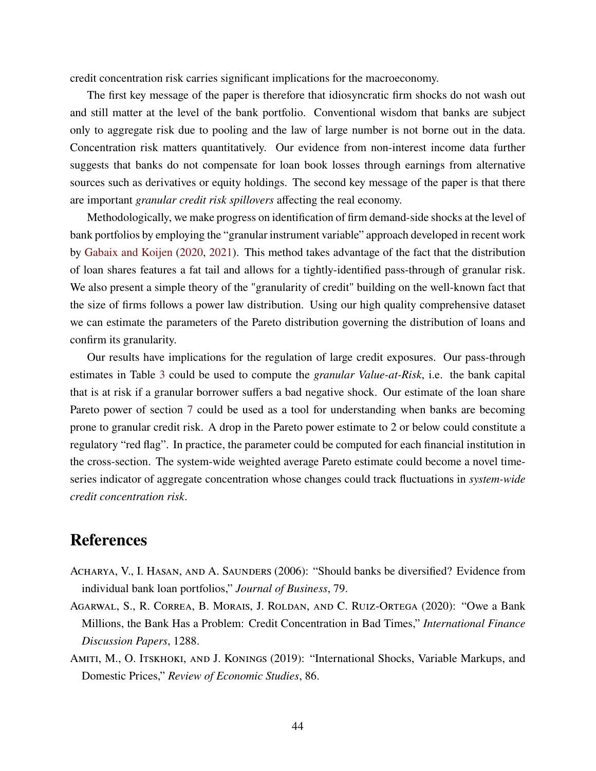credit concentration risk carries significant implications for the macroeconomy.

The first key message of the paper is therefore that idiosyncratic firm shocks do not wash out and still matter at the level of the bank portfolio. Conventional wisdom that banks are subject only to aggregate risk due to pooling and the law of large number is not borne out in the data. Concentration risk matters quantitatively. Our evidence from non-interest income data further suggests that banks do not compensate for loan book losses through earnings from alternative sources such as derivatives or equity holdings. The second key message of the paper is that there are important *granular credit risk spillovers* affecting the real economy.

Methodologically, we make progress on identification of firm demand-side shocks at the level of bank portfolios by employing the "granular instrument variable" approach developed in recent work by [Gabaix and Koijen](#page-45-5) [\(2020,](#page-45-5) [2021\)](#page-45-6). This method takes advantage of the fact that the distribution of loan shares features a fat tail and allows for a tightly-identified pass-through of granular risk. We also present a simple theory of the "granularity of credit" building on the well-known fact that the size of firms follows a power law distribution. Using our high quality comprehensive dataset we can estimate the parameters of the Pareto distribution governing the distribution of loans and confirm its granularity.

Our results have implications for the regulation of large credit exposures. Our pass-through estimates in Table [3](#page-19-0) could be used to compute the *granular Value-at-Risk*, i.e. the bank capital that is at risk if a granular borrower suffers a bad negative shock. Our estimate of the loan share Pareto power of section [7](#page-39-0) could be used as a tool for understanding when banks are becoming prone to granular credit risk. A drop in the Pareto power estimate to 2 or below could constitute a regulatory "red flag". In practice, the parameter could be computed for each financial institution in the cross-section. The system-wide weighted average Pareto estimate could become a novel timeseries indicator of aggregate concentration whose changes could track fluctuations in *system-wide credit concentration risk*.

## **References**

- ACHARYA, V., I. HASAN, AND A. SAUNDERS (2006): "Should banks be diversified? Evidence from individual bank loan portfolios," *Journal of Business*, 79.
- Agarwal, S., R. Correa, B. Morais, J. Roldan, and C. Ruiz-Ortega (2020): "Owe a Bank Millions, the Bank Has a Problem: Credit Concentration in Bad Times," *International Finance Discussion Papers*, 1288.
- AMITI, M., O. ITSKHOKI, AND J. KONINGS (2019): "International Shocks, Variable Markups, and Domestic Prices," *Review of Economic Studies*, 86.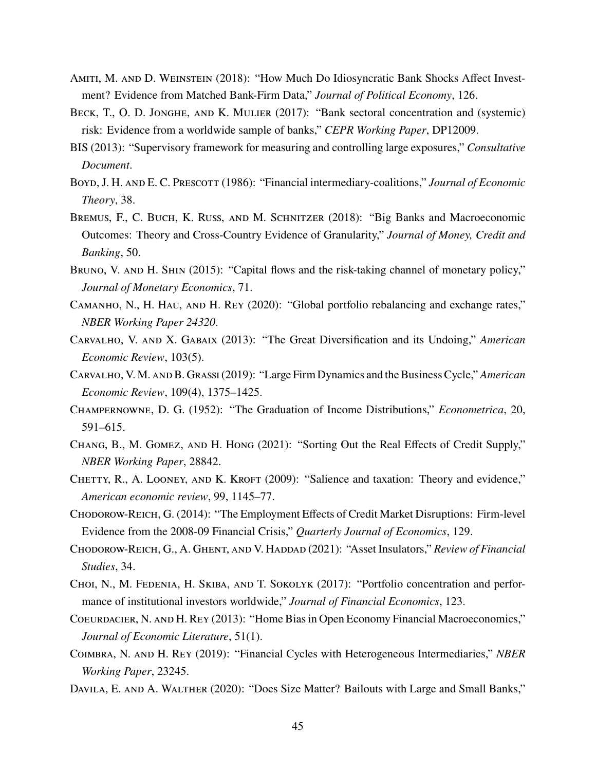- Amiti, M. and D. Weinstein (2018): "How Much Do Idiosyncratic Bank Shocks Affect Investment? Evidence from Matched Bank-Firm Data," *Journal of Political Economy*, 126.
- BECK, T., O. D. JONGHE, AND K. MULIER (2017): "Bank sectoral concentration and (systemic) risk: Evidence from a worldwide sample of banks," *CEPR Working Paper*, DP12009.
- BIS (2013): "Supervisory framework for measuring and controlling large exposures," *Consultative Document*.
- Boyd, J. H. and E. C. Prescott (1986): "Financial intermediary-coalitions," *Journal of Economic Theory*, 38.
- Bremus, F., C. Buch, K. Russ, and M. Schnitzer (2018): "Big Banks and Macroeconomic Outcomes: Theory and Cross-Country Evidence of Granularity," *Journal of Money, Credit and Banking*, 50.
- BRUNO, V. AND H. SHIN (2015): "Capital flows and the risk-taking channel of monetary policy," *Journal of Monetary Economics*, 71.
- Camanho, N., H. Hau, and H. Rey (2020): "Global portfolio rebalancing and exchange rates," *NBER Working Paper 24320*.
- <span id="page-44-1"></span>Carvalho, V. and X. Gabaix (2013): "The Great Diversification and its Undoing," *American Economic Review*, 103(5).
- <span id="page-44-2"></span>Carvalho, V. M. and B. Grassi(2019): "Large Firm Dynamics and the Business Cycle," *American Economic Review*, 109(4), 1375–1425.
- <span id="page-44-3"></span>Champernowne, D. G. (1952): "The Graduation of Income Distributions," *Econometrica*, 20, 591–615.
- Chang, B., M. Gomez, and H. Hong (2021): "Sorting Out the Real Effects of Credit Supply," *NBER Working Paper*, 28842.
- CHETTY, R., A. LOONEY, AND K. KROFT (2009): "Salience and taxation: Theory and evidence," *American economic review*, 99, 1145–77.
- Chodorow-Reich, G. (2014): "The Employment Effects of Credit Market Disruptions: Firm-level Evidence from the 2008-09 Financial Crisis," *Quarterly Journal of Economics*, 129.
- Chodorow-Reich, G., A. Ghent, and V. Haddad (2021): "Asset Insulators," *Review of Financial Studies*, 34.
- Choi, N., M. Fedenia, H. Skiba, and T. Sokolyk (2017): "Portfolio concentration and performance of institutional investors worldwide," *Journal of Financial Economics*, 123.
- <span id="page-44-0"></span>Coeurdacier, N. and H. Rey (2013): "Home Bias in Open Economy Financial Macroeconomics," *Journal of Economic Literature*, 51(1).
- Coimbra, N. and H. Rey (2019): "Financial Cycles with Heterogeneous Intermediaries," *NBER Working Paper*, 23245.
- DAVILA, E. AND A. WALTHER (2020): "Does Size Matter? Bailouts with Large and Small Banks,"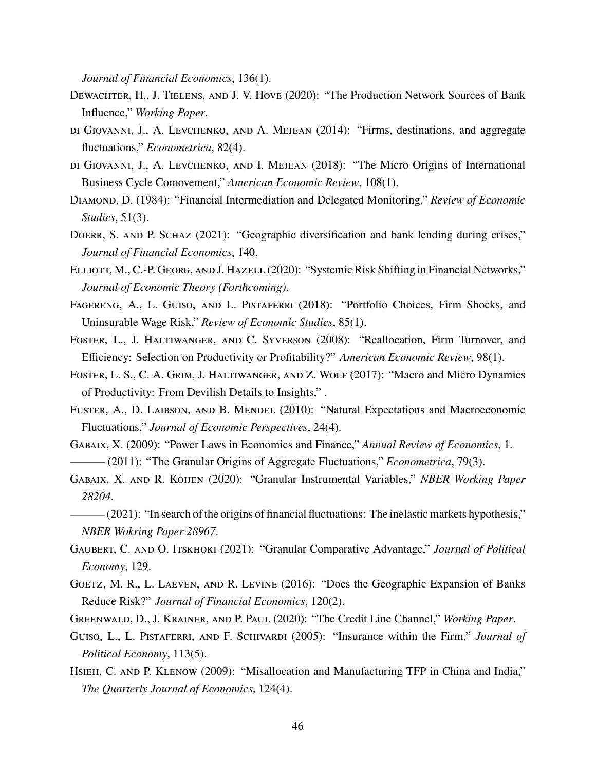*Journal of Financial Economics*, 136(1).

- <span id="page-45-0"></span>Dewachter, H., J. Tielens, and J. V. Hove (2020): "The Production Network Sources of Bank Influence," *Working Paper*.
- di Giovanni, J., A. Levchenko, and A. Mejean (2014): "Firms, destinations, and aggregate fluctuations," *Econometrica*, 82(4).
- di Giovanni, J., A. Levchenko, and I. Mejean (2018): "The Micro Origins of International Business Cycle Comovement," *American Economic Review*, 108(1).
- Diamond, D. (1984): "Financial Intermediation and Delegated Monitoring," *Review of Economic Studies*, 51(3).
- DOERR, S. AND P. SCHAZ (2021): "Geographic diversification and bank lending during crises," *Journal of Financial Economics*, 140.
- <span id="page-45-1"></span>Elliott, M., C.-P. Georg, and J. Hazell (2020): "Systemic Risk Shifting in Financial Networks," *Journal of Economic Theory (Forthcoming)*.
- Fagereng, A., L. Guiso, and L. Pistaferri (2018): "Portfolio Choices, Firm Shocks, and Uninsurable Wage Risk," *Review of Economic Studies*, 85(1).
- Foster, L., J. Haltiwanger, and C. Syverson (2008): "Reallocation, Firm Turnover, and Efficiency: Selection on Productivity or Profitability?" *American Economic Review*, 98(1).
- FOSTER, L. S., C. A. GRIM, J. HALTIWANGER, AND Z. WOLF (2017): "Macro and Micro Dynamics of Productivity: From Devilish Details to Insights," .
- <span id="page-45-2"></span>FUSTER, A., D. LAIBSON, AND B. MENDEL (2010): "Natural Expectations and Macroeconomic Fluctuations," *Journal of Economic Perspectives*, 24(4).
- <span id="page-45-4"></span>Gabaix, X. (2009): "Power Laws in Economics and Finance," *Annual Review of Economics*, 1. ——— (2011): "The Granular Origins of Aggregate Fluctuations," *Econometrica*, 79(3).
- <span id="page-45-5"></span>Gabaix, X. and R. Koijen (2020): "Granular Instrumental Variables," *NBER Working Paper 28204*.
- <span id="page-45-6"></span>——— (2021): "In search of the origins of financial fluctuations: The inelastic markets hypothesis," *NBER Wokring Paper 28967*.
- <span id="page-45-3"></span>Gaubert, C. and O. Itskhoki (2021): "Granular Comparative Advantage," *Journal of Political Economy*, 129.
- Goetz, M. R., L. Laeven, and R. Levine (2016): "Does the Geographic Expansion of Banks Reduce Risk?" *Journal of Financial Economics*, 120(2).
- Greenwald, D., J. Krainer, and P. Paul (2020): "The Credit Line Channel," *Working Paper*.
- GUISO, L., L. PISTAFERRI, AND F. SCHIVARDI (2005): "Insurance within the Firm," *Journal of Political Economy*, 113(5).
- HSIEH, C. AND P. KLENOW (2009): "Misallocation and Manufacturing TFP in China and India," *The Quarterly Journal of Economics*, 124(4).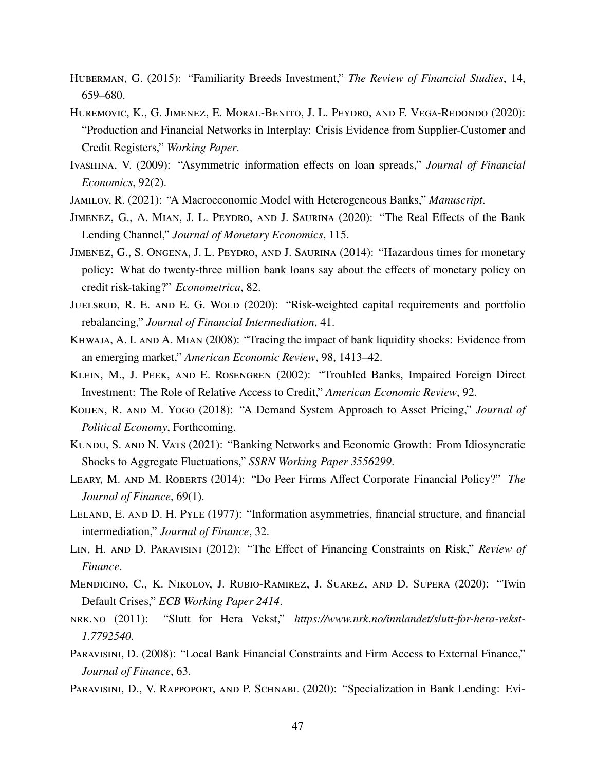- <span id="page-46-4"></span>Huberman, G. (2015): "Familiarity Breeds Investment," *The Review of Financial Studies*, 14, 659–680.
- <span id="page-46-0"></span>Huremovic, K., G. Jimenez, E. Moral-Benito, J. L. Peydro, and F. Vega-Redondo (2020): "Production and Financial Networks in Interplay: Crisis Evidence from Supplier-Customer and Credit Registers," *Working Paper*.
- <span id="page-46-3"></span>Ivashina, V. (2009): "Asymmetric information effects on loan spreads," *Journal of Financial Economics*, 92(2).
- Jamilov, R. (2021): "A Macroeconomic Model with Heterogeneous Banks," *Manuscript*.
- Jimenez, G., A. Mian, J. L. Peydro, and J. Saurina (2020): "The Real Effects of the Bank Lending Channel," *Journal of Monetary Economics*, 115.
- Jimenez, G., S. Ongena, J. L. Peydro, and J. Saurina (2014): "Hazardous times for monetary policy: What do twenty-three million bank loans say about the effects of monetary policy on credit risk-taking?" *Econometrica*, 82.
- <span id="page-46-1"></span>JUELSRUD, R. E. AND E. G. WOLD (2020): "Risk-weighted capital requirements and portfolio rebalancing," *Journal of Financial Intermediation*, 41.
- KHWAJA, A. I. AND A. MIAN (2008): "Tracing the impact of bank liquidity shocks: Evidence from an emerging market," *American Economic Review*, 98, 1413–42.
- Klein, M., J. Peek, and E. Rosengren (2002): "Troubled Banks, Impaired Foreign Direct Investment: The Role of Relative Access to Credit," *American Economic Review*, 92.
- Koijen, R. and M. Yogo (2018): "A Demand System Approach to Asset Pricing," *Journal of Political Economy*, Forthcoming.
- KUNDU, S. AND N. VATS (2021): "Banking Networks and Economic Growth: From Idiosyncratic Shocks to Aggregate Fluctuations," *SSRN Working Paper 3556299*.
- Leary, M. and M. Roberts (2014): "Do Peer Firms Affect Corporate Financial Policy?" *The Journal of Finance*, 69(1).
- <span id="page-46-2"></span>Leland, E. and D. H. Pyle (1977): "Information asymmetries, financial structure, and financial intermediation," *Journal of Finance*, 32.
- Lin, H. and D. Paravisini (2012): "The Effect of Financing Constraints on Risk," *Review of Finance*.
- Mendicino, C., K. Nikolov, J. Rubio-Ramirez, J. Suarez, and D. Supera (2020): "Twin Default Crises," *ECB Working Paper 2414*.
- nrk.no (2011): "Slutt for Hera Vekst," *https://www.nrk.no/innlandet/slutt-for-hera-vekst-1.7792540*.
- Paravisini, D. (2008): "Local Bank Financial Constraints and Firm Access to External Finance," *Journal of Finance*, 63.
- PARAVISINI, D., V. RAPPOPORT, AND P. SCHNABL (2020): "Specialization in Bank Lending: Evi-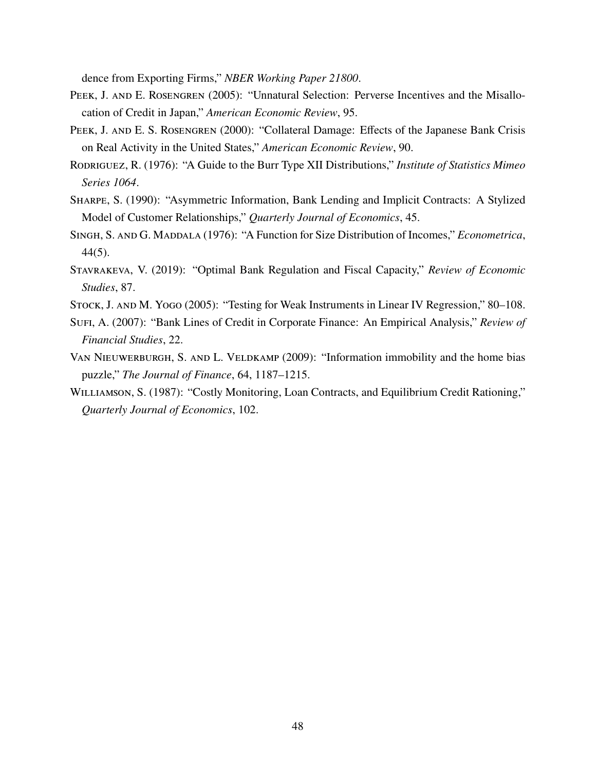dence from Exporting Firms," *NBER Working Paper 21800*.

- PEEK, J. AND E. ROSENGREN (2005): "Unnatural Selection: Perverse Incentives and the Misallocation of Credit in Japan," *American Economic Review*, 95.
- PEEK, J. AND E. S. ROSENGREN (2000): "Collateral Damage: Effects of the Japanese Bank Crisis on Real Activity in the United States," *American Economic Review*, 90.
- <span id="page-47-2"></span>Rodriguez, R. (1976): "A Guide to the Burr Type XII Distributions," *Institute of Statistics Mimeo Series 1064*.
- Sharpe, S. (1990): "Asymmetric Information, Bank Lending and Implicit Contracts: A Stylized Model of Customer Relationships," *Quarterly Journal of Economics*, 45.
- <span id="page-47-3"></span>SINGH, S. AND G. MADDALA (1976): "A Function for Size Distribution of Incomes," *Econometrica*, 44(5).
- Stavrakeva, V. (2019): "Optimal Bank Regulation and Fiscal Capacity," *Review of Economic Studies*, 87.
- <span id="page-47-0"></span>STOCK, J. AND M. YOGO (2005): "Testing for Weak Instruments in Linear IV Regression," 80–108.
- Sufi, A. (2007): "Bank Lines of Credit in Corporate Finance: An Empirical Analysis," *Review of Financial Studies*, 22.
- <span id="page-47-1"></span>VAN NIEUWERBURGH, S. AND L. VELDKAMP (2009): "Information immobility and the home bias puzzle," *The Journal of Finance*, 64, 1187–1215.
- WILLIAMSON, S. (1987): "Costly Monitoring, Loan Contracts, and Equilibrium Credit Rationing," *Quarterly Journal of Economics*, 102.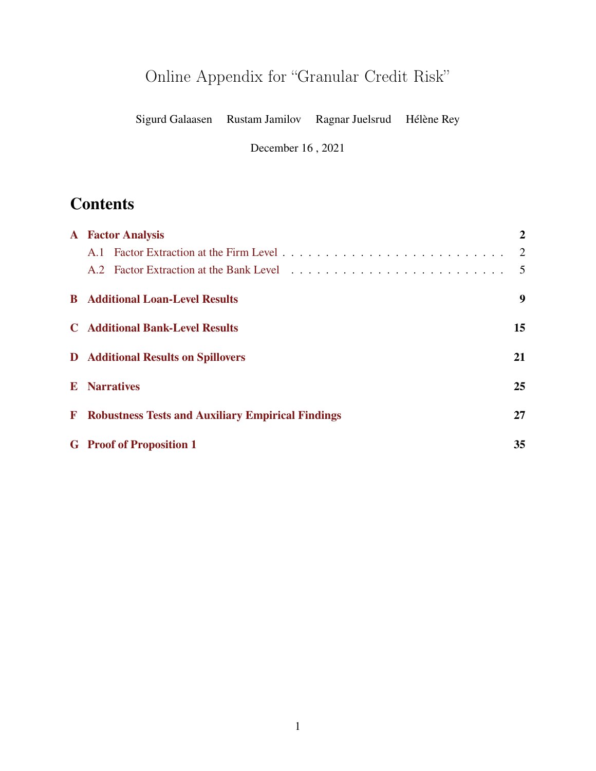# <span id="page-48-0"></span>Online Appendix for "Granular Credit Risk"

Sigurd Galaasen Rustam Jamilov Ragnar Juelsrud Hélène Rey

December 16 , 2021

## **Contents**

|              | <b>A</b> Factor Analysis                                 | $\overline{2}$ |
|--------------|----------------------------------------------------------|----------------|
|              |                                                          | 2              |
|              |                                                          | $\overline{5}$ |
|              | <b>B</b> Additional Loan-Level Results                   | 9              |
|              | <b>C</b> Additional Bank-Level Results                   | 15             |
|              | <b>D</b> Additional Results on Spillovers                | 21             |
|              | <b>E</b> Narratives                                      | 25             |
| $\mathbf{F}$ | <b>Robustness Tests and Auxiliary Empirical Findings</b> | 27             |
|              | <b>G</b> Proof of Proposition 1                          | 35             |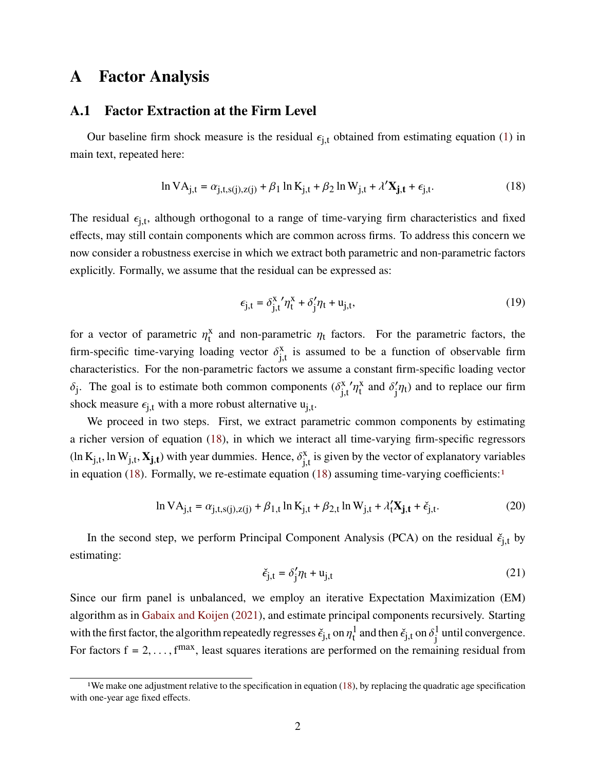## <span id="page-49-0"></span>**A Factor Analysis**

#### <span id="page-49-1"></span>**A.1 Factor Extraction at the Firm Level**

Our baseline firm shock measure is the residual  $\epsilon_{i,t}$  obtained from estimating equation [\(1\)](#page-12-0) in main text, repeated here:

$$
\ln VA_{j,t} = \alpha_{j,t,s(j),z(j)} + \beta_1 \ln K_{j,t} + \beta_2 \ln W_{j,t} + \lambda' \mathbf{X}_{j,t} + \epsilon_{j,t}.
$$
 (18)

The residual  $\epsilon_{i,t}$ , although orthogonal to a range of time-varying firm characteristics and fixed effects, may still contain components which are common across firms. To address this concern we now consider a robustness exercise in which we extract both parametric and non-parametric factors explicitly. Formally, we assume that the residual can be expressed as:

<span id="page-49-2"></span>
$$
\epsilon_{j,t} = \delta_{j,t}^x' \eta_t^x + \delta_j' \eta_t + u_{j,t},
$$
\n(19)

for a vector of parametric  $n<sub>x</sub>$ <sup>x</sup>  $\frac{x}{t}$  and non-parametric  $\eta_t$  factors. For the parametric factors, the firm-specific time-varying loading vector  $\delta^x$ .  $\frac{x}{i}$  is assumed to be a function of observable firm characteristics. For the non-parametric factors we assume a constant firm-specific loading vector  $\delta_i$ . The goal is to estimate both common components  $(\delta_i^x)$  $\int_{i,t}^{x} \eta_t^x$  $\frac{x}{t}$  and  $\delta'_1 \eta_t$ ) and to replace our firm shock measure  $\epsilon_{i,t}$  with a more robust alternative  $u_{i,t}$ .

We proceed in two steps. First, we extract parametric common components by estimating a richer version of equation [\(18\)](#page-49-2), in which we interact all time-varying firm-specific regressors  $(\ln K_{j,t}, \ln W_{j,t}, \mathbf{X_{j,t}})$  with year dummies. Hence,  $\delta_{i,j}^x$  $\frac{x}{i}$ , is given by the vector of explanatory variables in equation [\(18\)](#page-49-2). Formally, we re-estimate equation ([1](#page-0-0)8) assuming time-varying coefficients:<sup>1</sup>

$$
\ln VA_{j,t} = \alpha_{j,t,s(j),z(j)} + \beta_{1,t} \ln K_{j,t} + \beta_{2,t} \ln W_{j,t} + \lambda_t' \mathbf{X}_{j,t} + \check{\epsilon}_{j,t}.
$$
 (20)

In the second step, we perform Principal Component Analysis (PCA) on the residual  $\check{\epsilon}_{i,t}$  by estimating:

<span id="page-49-4"></span><span id="page-49-3"></span>
$$
\check{\epsilon}_{j,t} = \delta'_j \eta_t + u_{j,t} \tag{21}
$$

Since our firm panel is unbalanced, we employ an iterative Expectation Maximization (EM) algorithm as in [Gabaix and Koijen](#page-45-6) [\(2021\)](#page-45-6), and estimate principal components recursively. Starting with the first factor, the algorithm repeatedly regresses  $\check{\epsilon}_{i,t}$  on  $\eta_t^1$  $\frac{1}{t}$  and then  $\check{\epsilon}_{i,t}$  on  $\delta_i^1$  $\frac{1}{i}$  until convergence. For factors  $f = 2, \ldots, f^{max}$ , least squares iterations are performed on the remaining residual from

<sup>&</sup>lt;sup>1</sup>We make one adjustment relative to the specification in equation  $(18)$ , by replacing the quadratic age specification with one-year age fixed effects.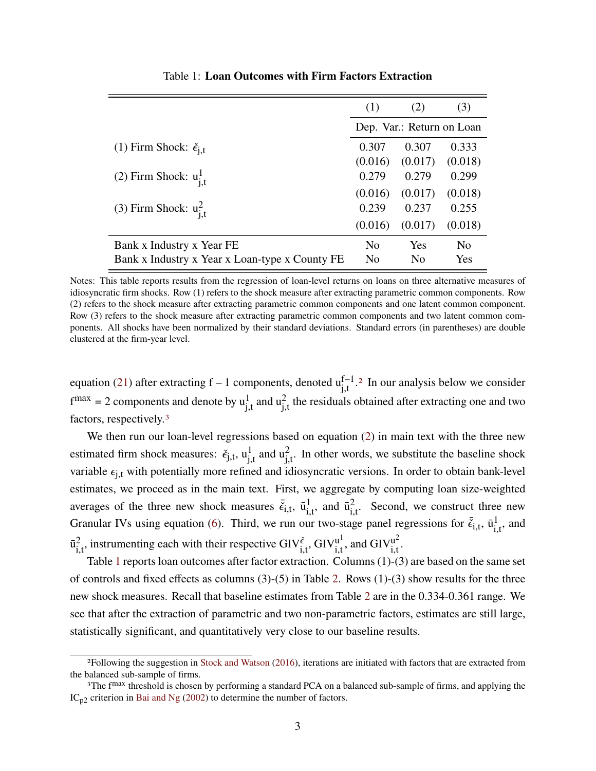<span id="page-50-0"></span>

|                                                | (1)            | (2)                       | (3)     |  |  |  |
|------------------------------------------------|----------------|---------------------------|---------|--|--|--|
|                                                |                | Dep. Var.: Return on Loan |         |  |  |  |
| (1) Firm Shock: $\check{\epsilon}_{i,t}$       | 0.307          | 0.307                     | 0.333   |  |  |  |
|                                                | (0.016)        | (0.017)                   | (0.018) |  |  |  |
| (2) Firm Shock: $u_{i,t}^1$                    | 0.279          | 0.279                     | 0.299   |  |  |  |
|                                                | (0.016)        | (0.017)                   | (0.018) |  |  |  |
| (3) Firm Shock: $u_{i,t}^2$                    | 0.239          | 0.237                     | 0.255   |  |  |  |
|                                                | (0.016)        | (0.017)                   | (0.018) |  |  |  |
| Bank x Industry x Year FE                      | N <sub>0</sub> | Yes                       | No      |  |  |  |
| Bank x Industry x Year x Loan-type x County FE | No             | N <sub>0</sub>            | Yes     |  |  |  |

Table 1: **Loan Outcomes with Firm Factors Extraction**

Notes: This table reports results from the regression of loan-level returns on loans on three alternative measures of idiosyncratic firm shocks. Row (1) refers to the shock measure after extracting parametric common components. Row (2) refers to the shock measure after extracting parametric common components and one latent common component. Row (3) refers to the shock measure after extracting parametric common components and two latent common components. All shocks have been normalized by their standard deviations. Standard errors (in parentheses) are double clustered at the firm-year level.

equation [\(21\)](#page-49-3) after extracting  $f - 1$  components, denoted  $u_{i,t}^{f-1}$ .<sup>[2](#page-0-0)</sup> In our analysis below we consider  $f^{max} = 2$  components and denote by  $u_{i,t}^1$  and  $u_{i,t}^2$  the residuals obtained after extracting one and two factors, respectively.[3](#page-0-0)

We then run our loan-level regressions based on equation [\(2\)](#page-14-0) in main text with the three new estimated firm shock measures:  $\check{\epsilon}_{j,t}$ ,  $u_{i,t}^1$  and  $u_{i,t}^2$ . In other words, we substitute the baseline shock variable  $\epsilon_{i,t}$  with potentially more refined and idiosyncratic versions. In order to obtain bank-level estimates, we proceed as in the main text. First, we aggregate by computing loan size-weighted averages of the three new shock measures  $\vec{\xi}_{i,t}$ ,  $\vec{u}_i^1$  $\frac{1}{\mathrm{i} \cdot \mathrm{t}},$  and  $\bar{u}^2$  $\frac{2}{\mu}$ . Second, we construct three new Granular IVs using equation [\(6\)](#page-15-1). Third, we run our two-stage panel regressions for  $\bar{\xi}_{i,t}$ ,  $\bar{u}_i^1$  $\frac{1}{i}$ , and  $\bar{u}^2$  $\mu_{i,t}^2$ , instrumenting each with their respective GIV $\epsilon_{i,t}^{\epsilon}$ , GIV $\mu_i^{\rm ul}$  $\frac{u^1}{i.t}$ , and  $\text{GIV}^{u^2}_{i.t}$  $\frac{u^2}{i.t}$ .

Table [1](#page-50-0) reports loan outcomes after factor extraction. Columns (1)-(3) are based on the same set of controls and fixed effects as columns  $(3)-(5)$  in Table [2.](#page-18-0) Rows  $(1)-(3)$  show results for the three new shock measures. Recall that baseline estimates from Table [2](#page-18-0) are in the 0.334-0.361 range. We see that after the extraction of parametric and two non-parametric factors, estimates are still large, statistically significant, and quantitatively very close to our baseline results.

<sup>2</sup>Following the suggestion in [Stock and Watson](#page-84-0) [\(2016\)](#page-84-0), iterations are initiated with factors that are extracted from the balanced sub-sample of firms.

<sup>&</sup>lt;sup>3</sup>The f<sup>max</sup> threshold is chosen by performing a standard PCA on a balanced sub-sample of firms, and applying the  $IC_{p2}$  criterion in [Bai and Ng](#page-84-1) [\(2002\)](#page-84-1) to determine the number of factors.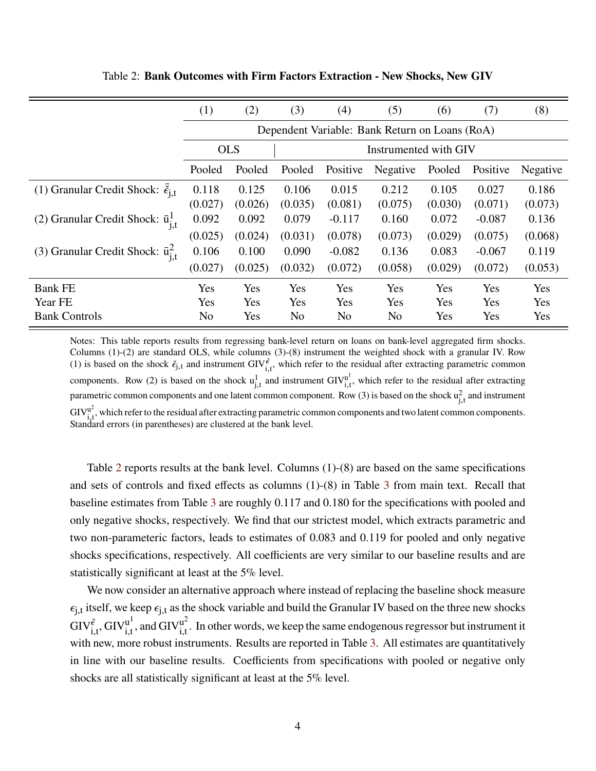|                                                     | (1)            | (2)                                            | (3)     | (4)            | (5)                   | (6)     | (7)      | (8)      |  |
|-----------------------------------------------------|----------------|------------------------------------------------|---------|----------------|-----------------------|---------|----------|----------|--|
|                                                     |                | Dependent Variable: Bank Return on Loans (RoA) |         |                |                       |         |          |          |  |
|                                                     | <b>OLS</b>     |                                                |         |                | Instrumented with GIV |         |          |          |  |
|                                                     | Pooled         | Pooled                                         | Pooled  | Positive       | Negative              | Pooled  | Positive | Negative |  |
| (1) Granular Credit Shock: $\check{\epsilon}_{i,t}$ | 0.118          | 0.125                                          | 0.106   | 0.015          | 0.212                 | 0.105   | 0.027    | 0.186    |  |
|                                                     | (0.027)        | (0.026)                                        | (0.035) | (0.081)        | (0.075)               | (0.030) | (0.071)  | (0.073)  |  |
| (2) Granular Credit Shock: $\bar{u}^1_{j,t}$        | 0.092          | 0.092                                          | 0.079   | $-0.117$       | 0.160                 | 0.072   | $-0.087$ | 0.136    |  |
|                                                     | (0.025)        | (0.024)                                        | (0.031) | (0.078)        | (0.073)               | (0.029) | (0.075)  | (0.068)  |  |
| (3) Granular Credit Shock: $\bar{u}^2_{j,t}$        | 0.106          | 0.100                                          | 0.090   | $-0.082$       | 0.136                 | 0.083   | $-0.067$ | 0.119    |  |
|                                                     | (0.027)        | (0.025)                                        | (0.032) | (0.072)        | (0.058)               | (0.029) | (0.072)  | (0.053)  |  |
| <b>Bank FE</b>                                      | Yes            | Yes                                            | Yes     | Yes            | Yes                   | Yes     | Yes      | Yes      |  |
| Year FE                                             | Yes            | Yes                                            | Yes     | Yes            | Yes                   | Yes     | Yes      | Yes      |  |
| <b>Bank Controls</b>                                | N <sub>o</sub> | Yes                                            | No      | N <sub>o</sub> | N <sub>0</sub>        | Yes     | Yes      | Yes      |  |

<span id="page-51-0"></span>Table 2: **Bank Outcomes with Firm Factors Extraction - New Shocks, New GIV**

Notes: This table reports results from regressing bank-level return on loans on bank-level aggregated firm shocks. Columns (1)-(2) are standard OLS, while columns (3)-(8) instrument the weighted shock with a granular IV. Row (1) is based on the shock  $\check{\epsilon}_{j,t}$  and instrument GIV $\check{\epsilon}$ <sub>i,t</sub>, which refer to the residual after extracting parametric common components. Row (2) is based on the shock  $u<sub>i,t</sub><sup>1</sup>$  and instrument  $GIV<sub>i,t</sub><sup>u<sup>1</sup></sup>$  $\int_{i,t}^{u}$ , which refer to the residual after extracting parametric common components and one latent common component. Row (3) is based on the shock  $u_{i,t}^2$  and instrument  $\text{GIV}^{\text{u}^2}$  $\frac{u^2}{u^2}$ , which refer to the residual after extracting parametric common components and two latent common components. Standard errors (in parentheses) are clustered at the bank level.

Table [2](#page-51-0) reports results at the bank level. Columns (1)-(8) are based on the same specifications and sets of controls and fixed effects as columns (1)-(8) in Table [3](#page-19-0) from main text. Recall that baseline estimates from Table [3](#page-19-0) are roughly 0.117 and 0.180 for the specifications with pooled and only negative shocks, respectively. We find that our strictest model, which extracts parametric and two non-parameteric factors, leads to estimates of 0.083 and 0.119 for pooled and only negative shocks specifications, respectively. All coefficients are very similar to our baseline results and are statistically significant at least at the 5% level.

We now consider an alternative approach where instead of replacing the baseline shock measure  $\epsilon_{i,t}$  itself, we keep  $\epsilon_{i,t}$  as the shock variable and build the Granular IV based on the three new shocks  $\text{GIV}^{\check{\epsilon}}_{i,t}$ ,  $\text{GIV}^{\text{u}^1}_{i,t}$  $\frac{u^1}{i.t}$ , and  $\text{GIV}^{u^2}_{i.t}$  $\frac{u^2}{i}$ . In other words, we keep the same endogenous regressor but instrument it with new, more robust instruments. Results are reported in Table [3.](#page-52-1) All estimates are quantitatively in line with our baseline results. Coefficients from specifications with pooled or negative only shocks are all statistically significant at least at the 5% level.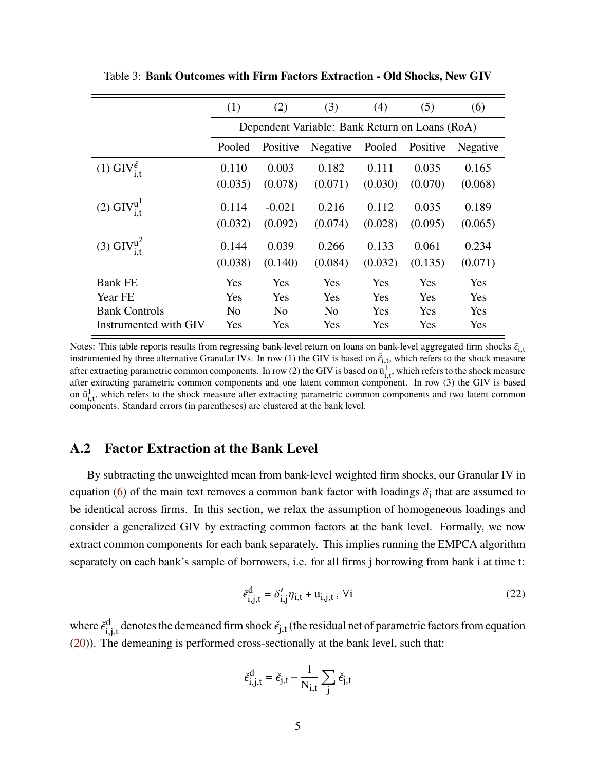|                                          | (1)                                                              | (2)                                            | (3)            | (4)     | (5)     | (6)        |  |  |  |
|------------------------------------------|------------------------------------------------------------------|------------------------------------------------|----------------|---------|---------|------------|--|--|--|
|                                          |                                                                  | Dependent Variable: Bank Return on Loans (RoA) |                |         |         |            |  |  |  |
|                                          | Pooled<br>Pooled<br>Positive<br>Negative<br>Positive<br>Negative |                                                |                |         |         |            |  |  |  |
| (1) $\text{GIV}^{\epsilon}_{\text{i.t}}$ | 0.110                                                            | 0.003                                          | 0.182          | 0.111   | 0.035   | 0.165      |  |  |  |
|                                          | (0.035)                                                          | (0.078)                                        | (0.071)        | (0.030) | (0.070) | (0.068)    |  |  |  |
| $(2)$ GIV $_{i,t}^{u}$                   | 0.114                                                            | $-0.021$                                       | 0.216          | 0.112   | 0.035   | 0.189      |  |  |  |
|                                          | (0.032)                                                          | (0.092)                                        | (0.074)        | (0.028) | (0.095) | (0.065)    |  |  |  |
| $(3)$ GIV $_{i,t}^{u^2}$                 | 0.144                                                            | 0.039                                          | 0.266          | 0.133   | 0.061   | 0.234      |  |  |  |
|                                          | (0.038)                                                          | (0.140)                                        | (0.084)        | (0.032) | (0.135) | (0.071)    |  |  |  |
| <b>Bank FE</b>                           | Yes                                                              | Yes                                            | Yes            | Yes     | Yes     | <b>Yes</b> |  |  |  |
| Year FE                                  | Yes                                                              | Yes                                            | Yes            | Yes     | Yes     | Yes        |  |  |  |
| <b>Bank Controls</b>                     | N <sub>0</sub>                                                   | N <sub>0</sub>                                 | N <sub>0</sub> | Yes     | Yes     | Yes        |  |  |  |
| Instrumented with GIV                    | Yes                                                              | Yes                                            | Yes            | Yes     | Yes     | Yes        |  |  |  |

<span id="page-52-1"></span>Table 3: **Bank Outcomes with Firm Factors Extraction - Old Shocks, New GIV**

Notes: This table reports results from regressing bank-level return on loans on bank-level aggregated firm shocks  $\bar{\epsilon}_{i,t}$ instrumented by three alternative Granular IVs. In row (1) the GIV is based on  $\vec{\xi}_{1,t}$ , which refers to the shock measure after extracting parametric common components. In row (2) the GIV is based on  $\overline{u}^1_{i,t}$ , which refers to the shock measure after extracting parametric common components and one latent common component. In row (3) the GIV is based on  $\bar{u}_{i,t}^1$ , which refers to the shock measure after extracting parametric common components and two latent common components. Standard errors (in parentheses) are clustered at the bank level.

#### <span id="page-52-0"></span>**A.2 Factor Extraction at the Bank Level**

By subtracting the unweighted mean from bank-level weighted firm shocks, our Granular IV in equation [\(6\)](#page-15-1) of the main text removes a common bank factor with loadings  $\delta_i$  that are assumed to be identical across firms. In this section, we relax the assumption of homogeneous loadings and consider a generalized GIV by extracting common factors at the bank level. Formally, we now extract common components for each bank separately. This implies running the EMPCA algorithm separately on each bank's sample of borrowers, i.e. for all firms j borrowing from bank i at time t:

<span id="page-52-2"></span>
$$
\check{\epsilon}_{i,j,t}^{d} = \delta'_{i,j} \eta_{i,t} + u_{i,j,t}, \ \forall i
$$
\n(22)

where  $\check{\epsilon}^{\text{d}}$  $\mu_{i,i,t}^d$  denotes the demeaned firm shock  $\check{\epsilon}_{j,t}$  (the residual net of parametric factors from equation [\(20\)](#page-49-4)). The demeaning is performed cross-sectionally at the bank level, such that:

$$
\check{\epsilon}_{i,j,t}^{d} = \check{\epsilon}_{j,t} - \frac{1}{N_{i,t}} \sum_{j} \check{\epsilon}_{j,t}
$$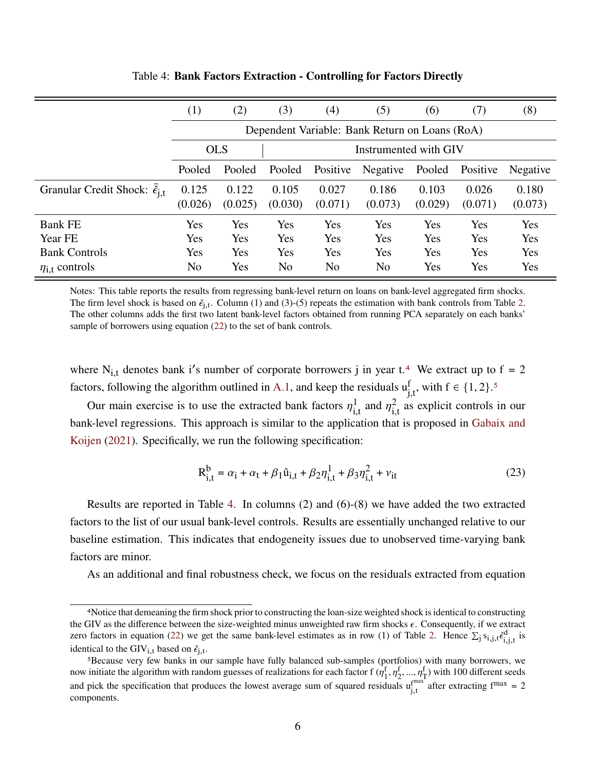<span id="page-53-0"></span>

|                                                 | (1)     | (2)                                            | (3)     | (4)      | (5)            | (6)     | (7)      | (8)      |  |
|-------------------------------------------------|---------|------------------------------------------------|---------|----------|----------------|---------|----------|----------|--|
|                                                 |         | Dependent Variable: Bank Return on Loans (RoA) |         |          |                |         |          |          |  |
|                                                 |         | <b>OLS</b><br>Instrumented with GIV            |         |          |                |         |          |          |  |
|                                                 | Pooled  | Pooled                                         | Pooled  | Positive | Negative       | Pooled  | Positive | Negative |  |
| Granular Credit Shock: $\check{\epsilon}_{i,t}$ | 0.125   | 0.122                                          | 0.105   | 0.027    | 0.186          | 0.103   | 0.026    | 0.180    |  |
|                                                 | (0.026) | (0.025)                                        | (0.030) | (0.071)  | (0.073)        | (0.029) | (0.071)  | (0.073)  |  |
| <b>Bank FE</b>                                  | Yes     | Yes                                            | Yes     | Yes      | Yes            | Yes     | Yes      | Yes      |  |
| Year FE                                         | Yes     | Yes                                            | Yes     | Yes      | Yes            | Yes     | Yes      | Yes      |  |
| <b>Bank Controls</b>                            | Yes     | Yes                                            | Yes     | Yes      | Yes            | Yes     | Yes      | Yes      |  |
| $\eta_{i,t}$ controls                           | No      | Yes                                            | No      | No       | N <sub>0</sub> | Yes     | Yes      | Yes      |  |

Table 4: **Bank Factors Extraction - Controlling for Factors Directly**

Notes: This table reports the results from regressing bank-level return on loans on bank-level aggregated firm shocks. The firm level shock is based on  $\check{\epsilon}_{i,t}$ . Column (1) and (3)-(5) repeats the estimation with bank controls from Table [2.](#page-51-0) The other columns adds the first two latent bank-level factors obtained from running PCA separately on each banks' sample of borrowers using equation [\(22\)](#page-52-2) to the set of bank controls.

where N<sub>i,t</sub> denotes bank i's number of corporate borrowers j in year t.<sup>[4](#page-0-0)</sup> We extract up to f = 2 factors, following the algorithm outlined in [A.1,](#page-49-1) and keep the residuals  $u_{i,t}^f$ , with  $f \in \{1,2\}$ .<sup>[5](#page-0-0)</sup>

Our main exercise is to use the extracted bank factors  $n<sup>1</sup>$  $\frac{1}{i}$  and  $\eta_{i}^2$  $\frac{2}{\pi}$  as explicit controls in our bank-level regressions. This approach is similar to the application that is proposed in [Gabaix and](#page-45-6) [Koijen](#page-45-6) [\(2021\)](#page-45-6). Specifically, we run the following specification:

$$
R_{i,t}^{b} = \alpha_i + \alpha_t + \beta_1 \hat{u}_{i,t} + \beta_2 \eta_{i,t}^{1} + \beta_3 \eta_{i,t}^{2} + \nu_{it}
$$
 (23)

Results are reported in Table [4.](#page-53-0) In columns (2) and (6)-(8) we have added the two extracted factors to the list of our usual bank-level controls. Results are essentially unchanged relative to our baseline estimation. This indicates that endogeneity issues due to unobserved time-varying bank factors are minor.

As an additional and final robustness check, we focus on the residuals extracted from equation

<sup>4</sup>Notice that demeaning the firm shock prior to constructing the loan-size weighted shock is identical to constructing the GIV as the difference between the size-weighted minus unweighted raw firm shocks  $\epsilon$ . Consequently, if we extract zero factors in equation [\(22\)](#page-52-2) we get the same bank-level estimates as in row (1) of Table [2.](#page-51-0) Hence  $\Sigma_j s_{i,j,t} \xi_{i,i,t}^d$  is identical to the  $\text{GIV}_{i,t}$  based on  $\check{\epsilon}_{i,t}$ .

<sup>5</sup>Because very few banks in our sample have fully balanced sub-samples (portfolios) with many borrowers, we now initiate the algorithm with random guesses of realizations for each factor  $f(\eta_1^f, \eta_2^f, ..., \eta_T^f)$  with 100 different seeds and pick the specification that produces the lowest average sum of squared residuals  $u^{f^{max}}$ .  $\int_{i,t}^{max}$  after extracting  $f^{max} = 2$ components.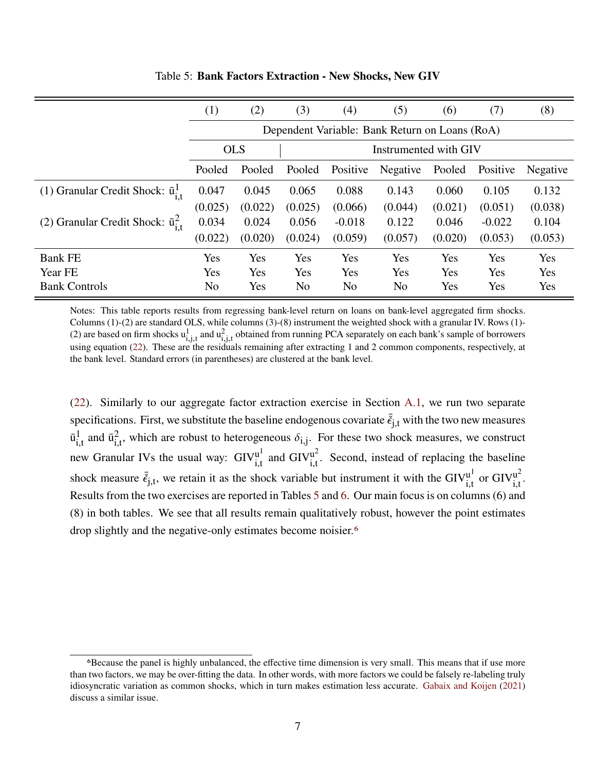<span id="page-54-0"></span>

|                                              | $\left(1\right)$ | (2)                                            | (3)     | (4)      | (5)      | (6)     | (7)      | (8)      |  |
|----------------------------------------------|------------------|------------------------------------------------|---------|----------|----------|---------|----------|----------|--|
|                                              |                  | Dependent Variable: Bank Return on Loans (RoA) |         |          |          |         |          |          |  |
|                                              |                  | <b>OLS</b><br>Instrumented with GIV            |         |          |          |         |          |          |  |
|                                              | Pooled           | Pooled                                         | Pooled  | Positive | Negative | Pooled  | Positive | Negative |  |
| (1) Granular Credit Shock: $\bar{u}^1_{i,j}$ | 0.047            | 0.045                                          | 0.065   | 0.088    | 0.143    | 0.060   | 0.105    | 0.132    |  |
|                                              | (0.025)          | (0.022)                                        | (0.025) | (0.066)  | (0.044)  | (0.021) | (0.051)  | (0.038)  |  |
| (2) Granular Credit Shock: $\bar{u}^2_{i}$   | 0.034            | 0.024                                          | 0.056   | $-0.018$ | 0.122    | 0.046   | $-0.022$ | 0.104    |  |
|                                              | (0.022)          | (0.020)                                        | (0.024) | (0.059)  | (0.057)  | (0.020) | (0.053)  | (0.053)  |  |
| <b>Bank FE</b>                               | Yes              | Yes                                            | Yes     | Yes      | Yes      | Yes     | Yes      | Yes      |  |
| Year FE                                      | Yes              | Yes                                            | Yes     | Yes      | Yes      | Yes     | Yes      | Yes      |  |
| <b>Bank Controls</b>                         | N <sub>o</sub>   | Yes                                            | No      | No       | No       | Yes     | Yes      | Yes      |  |

Table 5: **Bank Factors Extraction - New Shocks, New GIV**

Notes: This table reports results from regressing bank-level return on loans on bank-level aggregated firm shocks. Columns (1)-(2) are standard OLS, while columns (3)-(8) instrument the weighted shock with a granular IV. Rows (1)- (2) are based on firm shocks  $u^1_{i,j,t}$  and  $u^2_{i,j,t}$  obtained from running PCA separately on each bank's sample of borrowers using equation [\(22\)](#page-52-2). These are the residuals remaining after extracting 1 and 2 common components, respectively, at the bank level. Standard errors (in parentheses) are clustered at the bank level.

[\(22\)](#page-52-2). Similarly to our aggregate factor extraction exercise in Section [A.1,](#page-49-1) we run two separate specifications. First, we substitute the baseline endogenous covariate  $\bar{\xi}_{j,t}$  with the two new measures  $\bar{u}^1$  $\frac{1}{i}$  and  $\bar{u}^2$  $\epsilon_{i,t}^2$ , which are robust to heterogeneous  $\delta_{i,j}$ . For these two shock measures, we construct new Granular IVs the usual way:  $\text{GIV}^{\text{u}}$  $\frac{u^1}{u}$  and  $\text{GIV}^{u^2}_{i,t}$  $\int_{i,t}^{u^2}$ . Second, instead of replacing the baseline shock measure  $\vec{\epsilon}_{i,t}$ , we retain it as the shock variable but instrument it with the GIV $_{i,t}^{u}$  $\frac{u^1}{u}$  or GIV $\frac{u^2}{u}$ u<sup>2</sup><br>i.t Results from the two exercises are reported in Tables [5](#page-54-0) and [6.](#page-55-1) Our main focus is on columns (6) and (8) in both tables. We see that all results remain qualitatively robust, however the point estimates drop slightly and the negative-only estimates become noisier.[6](#page-0-0)

<sup>6</sup>Because the panel is highly unbalanced, the effective time dimension is very small. This means that if use more than two factors, we may be over-fitting the data. In other words, with more factors we could be falsely re-labeling truly idiosyncratic variation as common shocks, which in turn makes estimation less accurate. [Gabaix and Koijen](#page-45-6) [\(2021\)](#page-45-6) discuss a similar issue.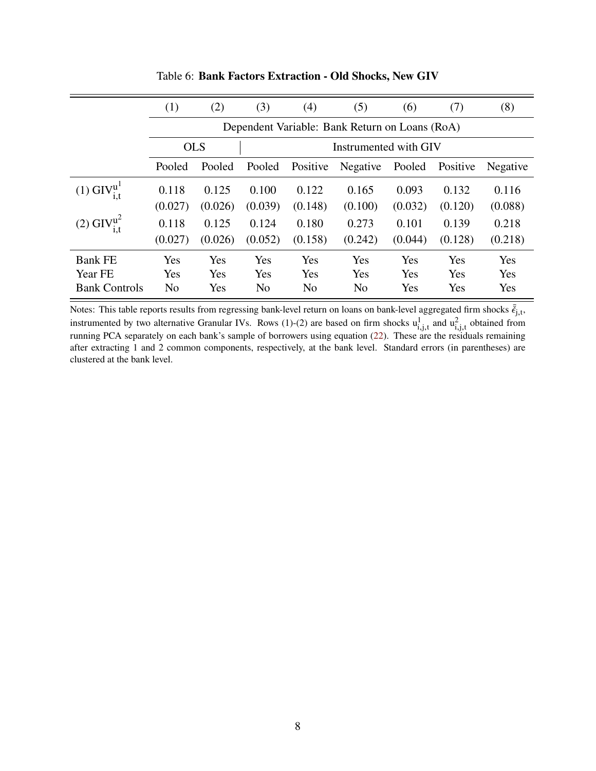<span id="page-55-1"></span>

|                                       | (1)            | (2)                                            | (3)            | (4)            | (5)            | (6)     | (7)      | (8)      |  |  |
|---------------------------------------|----------------|------------------------------------------------|----------------|----------------|----------------|---------|----------|----------|--|--|
|                                       |                | Dependent Variable: Bank Return on Loans (RoA) |                |                |                |         |          |          |  |  |
|                                       |                | Instrumented with GIV<br><b>OLS</b>            |                |                |                |         |          |          |  |  |
|                                       | Pooled         | Pooled                                         | Pooled         | Positive       | Negative       | Pooled  | Positive | Negative |  |  |
| $(1)$ GIV <sup>u</sup>                | 0.118          | 0.125                                          | 0.100          | 0.122          | 0.165          | 0.093   | 0.132    | 0.116    |  |  |
|                                       | (0.027)        | (0.026)                                        | (0.039)        | (0.148)        | (0.100)        | (0.032) | (0.120)  | (0.088)  |  |  |
| $(2)$ GIV <sup><math>u^2</math></sup> | 0.118          | 0.125                                          | 0.124          | 0.180          | 0.273          | 0.101   | 0.139    | 0.218    |  |  |
|                                       | (0.027)        | (0.026)                                        | (0.052)        | (0.158)        | (0.242)        | (0.044) | (0.128)  | (0.218)  |  |  |
| <b>Bank FE</b>                        | Yes            | Yes                                            | Yes            | Yes            | Yes            | Yes     | Yes      | Yes      |  |  |
| Year FE                               | Yes            | Yes                                            | Yes            | Yes            | Yes            | Yes     | Yes      | Yes      |  |  |
| <b>Bank Controls</b>                  | N <sub>0</sub> | Yes                                            | N <sub>0</sub> | N <sub>0</sub> | N <sub>o</sub> | Yes     | Yes      | Yes      |  |  |

Table 6: **Bank Factors Extraction - Old Shocks, New GIV**

<span id="page-55-0"></span>Notes: This table reports results from regressing bank-level return on loans on bank-level aggregated firm shocks  $\bar{\vec{\epsilon}}_{i,t}$ , instrumented by two alternative Granular IVs. Rows (1)-(2) are based on firm shocks  $u^1_{i,j,t}$  and  $u^2_{i,j,t}$  obtained from running PCA separately on each bank's sample of borrowers using equation [\(22\)](#page-52-2). These are the residuals remaining after extracting 1 and 2 common components, respectively, at the bank level. Standard errors (in parentheses) are clustered at the bank level.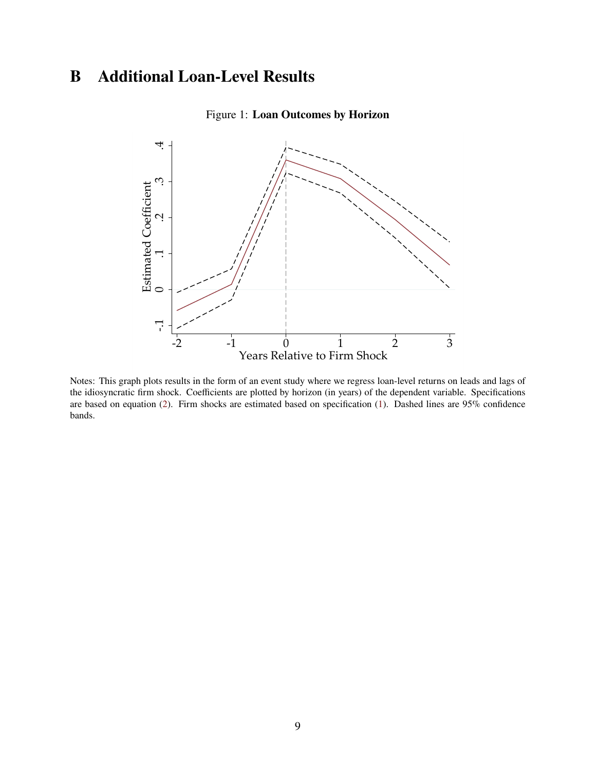## **B Additional Loan-Level Results**



#### Figure 1: **Loan Outcomes by Horizon**

Notes: This graph plots results in the form of an event study where we regress loan-level returns on leads and lags of the idiosyncratic firm shock. Coefficients are plotted by horizon (in years) of the dependent variable. Specifications are based on equation [\(2\)](#page-14-0). Firm shocks are estimated based on specification [\(1\)](#page-12-0). Dashed lines are 95% confidence bands.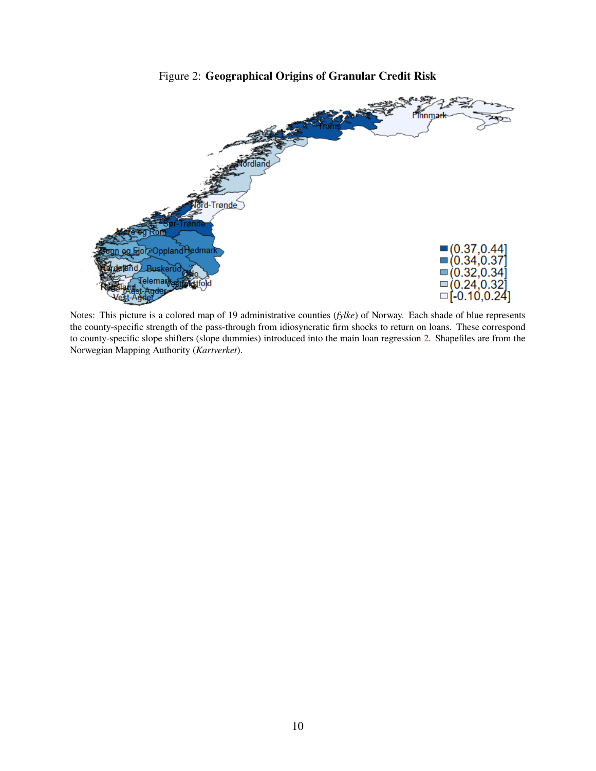

Figure 2: **Geographical Origins of Granular Credit Risk**

Notes: This picture is a colored map of 19 administrative counties (*fylke*) of Norway. Each shade of blue represents the county-specific strength of the pass-through from idiosyncratic firm shocks to return on loans. These correspond to county-specific slope shifters (slope dummies) introduced into the main loan regression [2.](#page-14-0) Shapefiles are from the Norwegian Mapping Authority (*Kartverket*).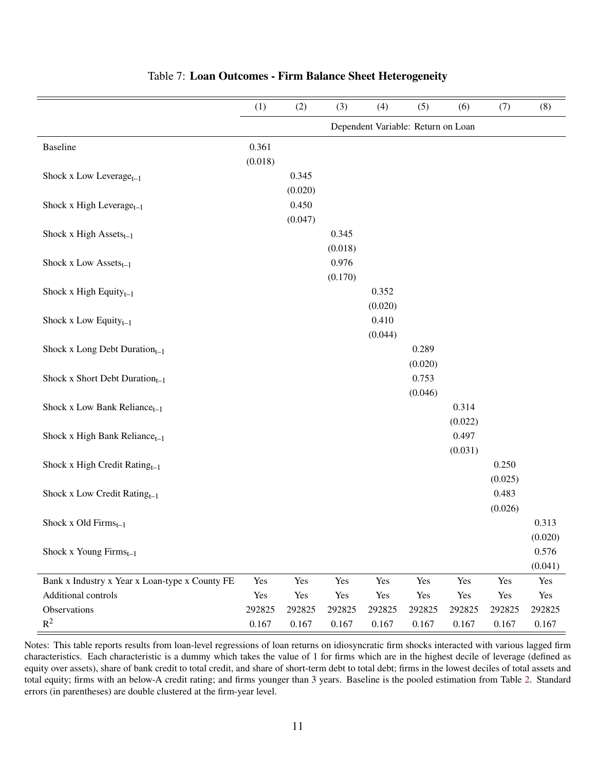|                                                | (1)     | (2)     | (3)     | (4)                                | (5)     | (6)     | (7)     | (8)              |
|------------------------------------------------|---------|---------|---------|------------------------------------|---------|---------|---------|------------------|
|                                                |         |         |         | Dependent Variable: Return on Loan |         |         |         |                  |
| <b>Baseline</b>                                | 0.361   |         |         |                                    |         |         |         |                  |
|                                                | (0.018) |         |         |                                    |         |         |         |                  |
| Shock x Low Leverage $_{t-1}$                  |         | 0.345   |         |                                    |         |         |         |                  |
|                                                |         | (0.020) |         |                                    |         |         |         |                  |
| Shock x High Leverage $_{t-1}$                 |         | 0.450   |         |                                    |         |         |         |                  |
|                                                |         | (0.047) |         |                                    |         |         |         |                  |
| Shock x High Assets $_{t-1}$                   |         |         | 0.345   |                                    |         |         |         |                  |
|                                                |         |         | (0.018) |                                    |         |         |         |                  |
| Shock x Low $\operatorname{Assets}_{t-1}$      |         |         | 0.976   |                                    |         |         |         |                  |
|                                                |         |         | (0.170) |                                    |         |         |         |                  |
| Shock x High Equity $_{t-1}$                   |         |         |         | 0.352                              |         |         |         |                  |
|                                                |         |         |         | (0.020)                            |         |         |         |                  |
| Shock x Low Equity $_{t-1}$                    |         |         |         | 0.410                              |         |         |         |                  |
|                                                |         |         |         | (0.044)                            |         |         |         |                  |
| Shock x Long Debt Duration $_{t-1}$            |         |         |         |                                    | 0.289   |         |         |                  |
|                                                |         |         |         |                                    | (0.020) |         |         |                  |
| Shock x Short Debt Duration $_{t-1}$           |         |         |         |                                    | 0.753   |         |         |                  |
|                                                |         |         |         |                                    | (0.046) |         |         |                  |
| Shock x Low Bank Reliance $_{t-1}$             |         |         |         |                                    |         | 0.314   |         |                  |
|                                                |         |         |         |                                    |         | (0.022) |         |                  |
| Shock x High Bank Reliance $_{t-1}$            |         |         |         |                                    |         | 0.497   |         |                  |
|                                                |         |         |         |                                    |         | (0.031) |         |                  |
| Shock x High Credit Rating $_{t-1}$            |         |         |         |                                    |         |         | 0.250   |                  |
|                                                |         |         |         |                                    |         |         | (0.025) |                  |
| Shock x Low Credit Rating <sub>t-1</sub>       |         |         |         |                                    |         |         | 0.483   |                  |
|                                                |         |         |         |                                    |         |         | (0.026) |                  |
| Shock x Old Firms $_{t-1}$                     |         |         |         |                                    |         |         |         | 0.313            |
|                                                |         |         |         |                                    |         |         |         | (0.020)          |
| Shock x Young $Firms_{t-1}$                    |         |         |         |                                    |         |         |         | 0.576<br>(0.041) |
| Bank x Industry x Year x Loan-type x County FE | Yes     | Yes     | Yes     | Yes                                | Yes     | Yes     | Yes     | Yes              |
| Additional controls                            | Yes     | Yes     | Yes     | Yes                                | Yes     | Yes     | Yes     | Yes              |
| Observations                                   | 292825  | 292825  | 292825  | 292825                             | 292825  | 292825  | 292825  | 292825           |
| $R^2$                                          | 0.167   | 0.167   | 0.167   | 0.167                              | 0.167   | 0.167   | 0.167   | 0.167            |

#### Table 7: **Loan Outcomes - Firm Balance Sheet Heterogeneity**

Notes: This table reports results from loan-level regressions of loan returns on idiosyncratic firm shocks interacted with various lagged firm characteristics. Each characteristic is a dummy which takes the value of 1 for firms which are in the highest decile of leverage (defined as equity over assets), share of bank credit to total credit, and share of short-term debt to total debt; firms in the lowest deciles of total assets and total equity; firms with an below-A credit rating; and firms younger than 3 years. Baseline is the pooled estimation from Table [2.](#page-18-0) Standard errors (in parentheses) are double clustered at the firm-year level.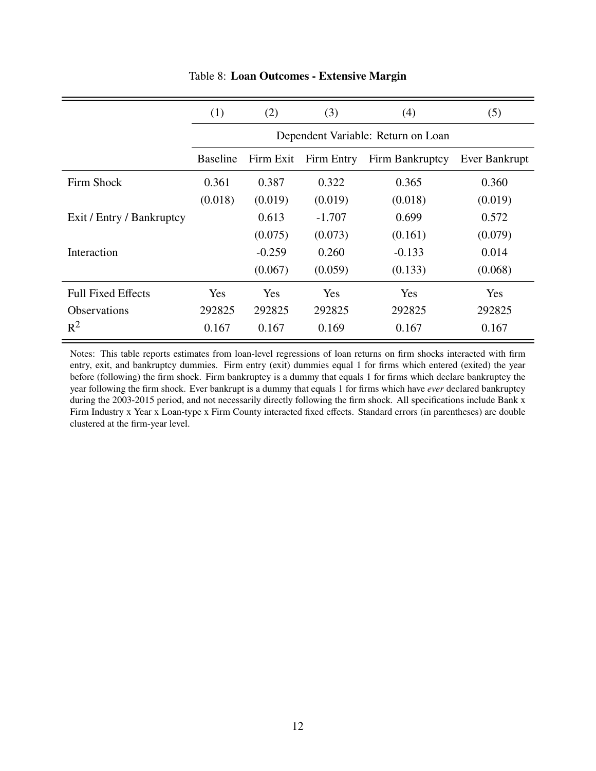|                           | (1)             | (2)                                | (3)        | (4)             | (5)           |  |  |  |  |  |
|---------------------------|-----------------|------------------------------------|------------|-----------------|---------------|--|--|--|--|--|
|                           |                 | Dependent Variable: Return on Loan |            |                 |               |  |  |  |  |  |
|                           | <b>Baseline</b> | Firm Exit                          | Firm Entry | Firm Bankruptcy | Ever Bankrupt |  |  |  |  |  |
| Firm Shock                | 0.361           | 0.387                              | 0.322      | 0.365           | 0.360         |  |  |  |  |  |
|                           | (0.018)         | (0.019)                            | (0.019)    | (0.018)         | (0.019)       |  |  |  |  |  |
| Exit / Entry / Bankruptcy |                 | 0.613                              | $-1.707$   | 0.699           | 0.572         |  |  |  |  |  |
|                           |                 | (0.075)                            | (0.073)    | (0.161)         | (0.079)       |  |  |  |  |  |
| Interaction               |                 | $-0.259$                           | 0.260      | $-0.133$        | 0.014         |  |  |  |  |  |
|                           |                 | (0.067)                            | (0.059)    | (0.133)         | (0.068)       |  |  |  |  |  |
| <b>Full Fixed Effects</b> | Yes             | Yes                                | Yes        | <b>Yes</b>      | <b>Yes</b>    |  |  |  |  |  |
| <b>Observations</b>       | 292825          | 292825                             | 292825     | 292825          | 292825        |  |  |  |  |  |
| $R^2$                     | 0.167           | 0.167                              | 0.169      | 0.167           | 0.167         |  |  |  |  |  |

#### Table 8: **Loan Outcomes - Extensive Margin**

Notes: This table reports estimates from loan-level regressions of loan returns on firm shocks interacted with firm entry, exit, and bankruptcy dummies. Firm entry (exit) dummies equal 1 for firms which entered (exited) the year before (following) the firm shock. Firm bankruptcy is a dummy that equals 1 for firms which declare bankruptcy the year following the firm shock. Ever bankrupt is a dummy that equals 1 for firms which have *ever* declared bankruptcy during the 2003-2015 period, and not necessarily directly following the firm shock. All specifications include Bank x Firm Industry x Year x Loan-type x Firm County interacted fixed effects. Standard errors (in parentheses) are double clustered at the firm-year level.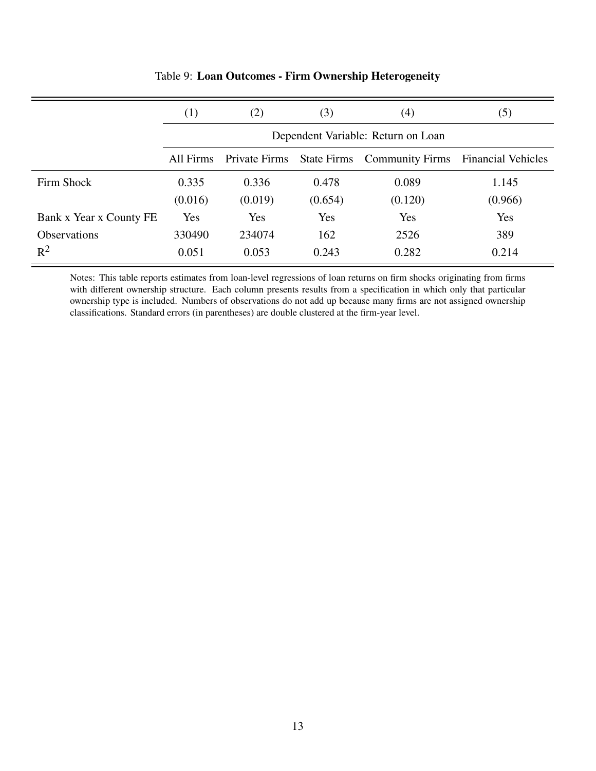|                         | (1)       | (2)                                | (3)     | (4)                                | (5)                       |  |  |  |  |  |
|-------------------------|-----------|------------------------------------|---------|------------------------------------|---------------------------|--|--|--|--|--|
|                         |           | Dependent Variable: Return on Loan |         |                                    |                           |  |  |  |  |  |
|                         | All Firms | Private Firms                      |         | <b>State Firms</b> Community Firms | <b>Financial Vehicles</b> |  |  |  |  |  |
| Firm Shock              | 0.335     | 0.336                              | 0.478   | 0.089                              | 1.145                     |  |  |  |  |  |
|                         | (0.016)   | (0.019)                            | (0.654) | (0.120)                            | (0.966)                   |  |  |  |  |  |
| Bank x Year x County FE | Yes       | Yes                                | Yes     | Yes                                | Yes                       |  |  |  |  |  |
| <b>Observations</b>     | 330490    | 234074                             | 162     | 2526                               | 389                       |  |  |  |  |  |
| $R^2$                   | 0.051     | 0.053                              | 0.243   | 0.282                              | 0.214                     |  |  |  |  |  |

#### Table 9: **Loan Outcomes - Firm Ownership Heterogeneity**

Notes: This table reports estimates from loan-level regressions of loan returns on firm shocks originating from firms with different ownership structure. Each column presents results from a specification in which only that particular ownership type is included. Numbers of observations do not add up because many firms are not assigned ownership classifications. Standard errors (in parentheses) are double clustered at the firm-year level.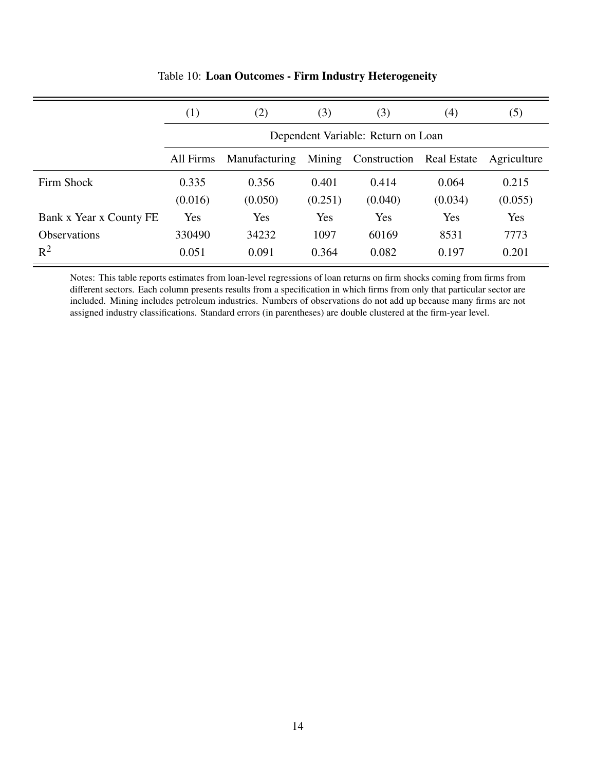|                         | (1)       | (2)                                | (3)     | (3)          | (4)                | (5)         |  |  |
|-------------------------|-----------|------------------------------------|---------|--------------|--------------------|-------------|--|--|
|                         |           | Dependent Variable: Return on Loan |         |              |                    |             |  |  |
|                         | All Firms | Manufacturing                      | Mining  | Construction | <b>Real Estate</b> | Agriculture |  |  |
| Firm Shock              | 0.335     | 0.356                              | 0.401   | 0.414        | 0.064              | 0.215       |  |  |
|                         | (0.016)   | (0.050)                            | (0.251) | (0.040)      | (0.034)            | (0.055)     |  |  |
| Bank x Year x County FE | Yes       | Yes                                | Yes     | Yes          | Yes                | Yes         |  |  |
| <b>Observations</b>     | 330490    | 34232                              | 1097    | 60169        | 8531               | 7773        |  |  |
| $R^2$                   | 0.051     | 0.091                              | 0.364   | 0.082        | 0.197              | 0.201       |  |  |

#### Table 10: **Loan Outcomes - Firm Industry Heterogeneity**

Notes: This table reports estimates from loan-level regressions of loan returns on firm shocks coming from firms from different sectors. Each column presents results from a specification in which firms from only that particular sector are included. Mining includes petroleum industries. Numbers of observations do not add up because many firms are not assigned industry classifications. Standard errors (in parentheses) are double clustered at the firm-year level.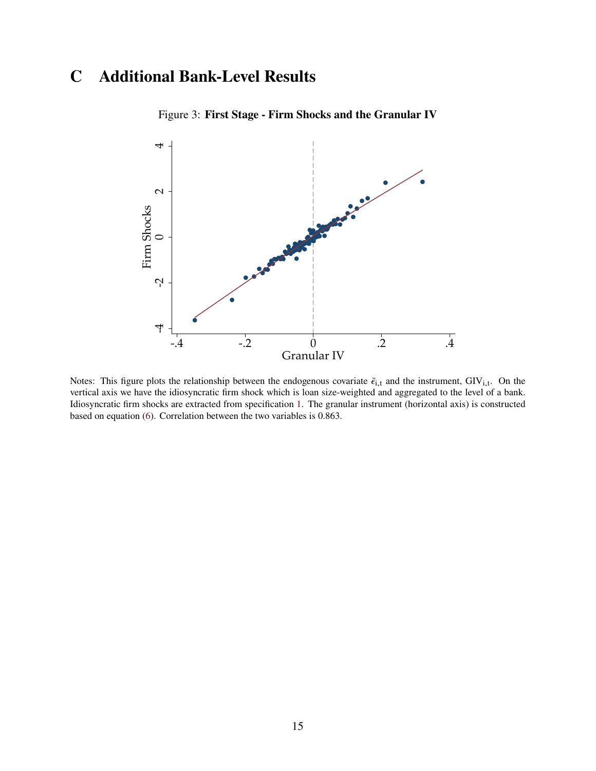## <span id="page-62-0"></span>**C Additional Bank-Level Results**



Figure 3: **First Stage - Firm Shocks and the Granular IV**

Notes: This figure plots the relationship between the endogenous covariate  $\bar{\epsilon}_{i,t}$  and the instrument, GIV<sub>i,t</sub>. On the vertical axis we have the idiosyncratic firm shock which is loan size-weighted and aggregated to the level of a bank. Idiosyncratic firm shocks are extracted from specification [1.](#page-12-0) The granular instrument (horizontal axis) is constructed based on equation [\(6\)](#page-15-1). Correlation between the two variables is 0.863.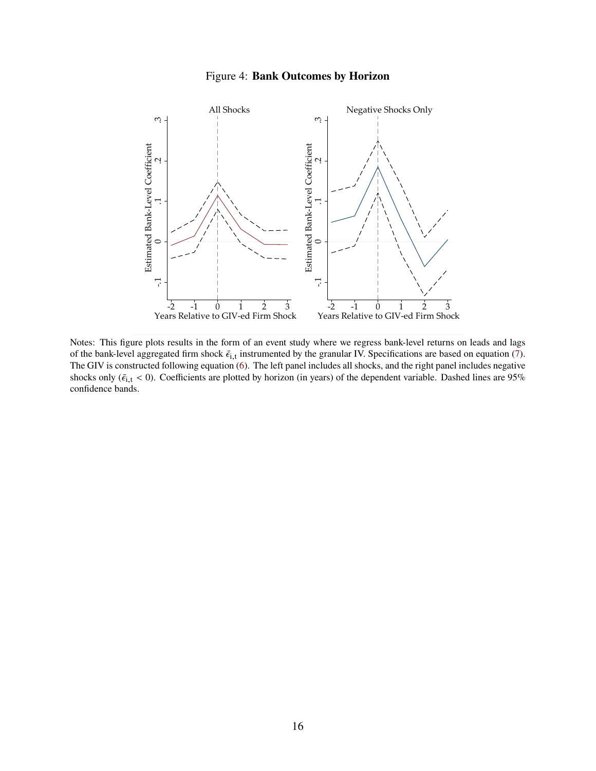#### Figure 4: **Bank Outcomes by Horizon**



Notes: This figure plots results in the form of an event study where we regress bank-level returns on leads and lags of the bank-level aggregated firm shock  $\bar{\epsilon}_{i,t}$  instrumented by the granular IV. Specifications are based on equation [\(7\)](#page-15-2). The GIV is constructed following equation [\(6\)](#page-15-1). The left panel includes all shocks, and the right panel includes negative shocks only ( $\bar{\epsilon}_{i,t}$  < 0). Coefficients are plotted by horizon (in years) of the dependent variable. Dashed lines are 95% confidence bands.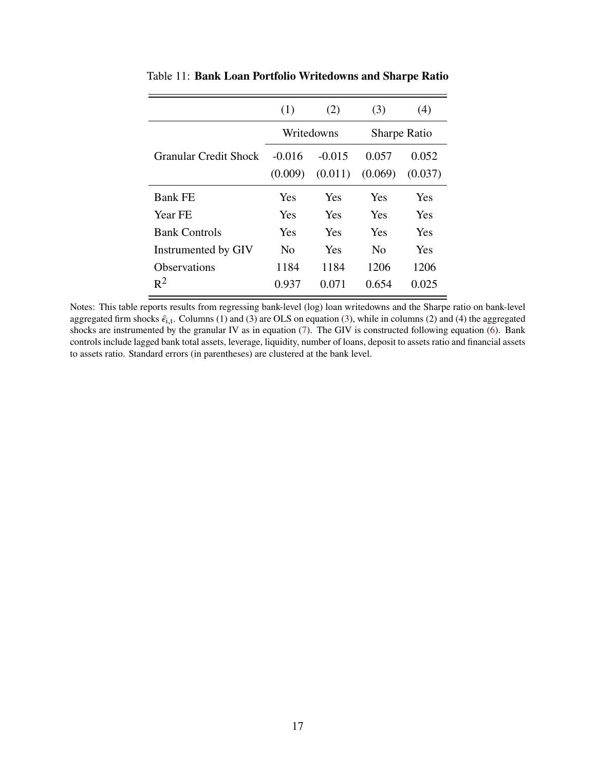|                              | (1)                 | (2)                 | (3)                 | (4)              |  |
|------------------------------|---------------------|---------------------|---------------------|------------------|--|
|                              |                     | Writedowns          | <b>Sharpe Ratio</b> |                  |  |
| <b>Granular Credit Shock</b> | $-0.016$<br>(0.009) | $-0.015$<br>(0.011) | 0.057<br>(0.069)    | 0.052<br>(0.037) |  |
| <b>Bank FE</b>               | <b>Yes</b>          | <b>Yes</b>          | Yes                 | <b>Yes</b>       |  |
| <b>Year FE</b>               | Yes                 | Yes                 | Yes                 | Yes              |  |
| <b>Bank Controls</b>         | Yes                 | Yes                 | Yes                 | Yes              |  |
| Instrumented by GIV          | N <sub>0</sub>      | Yes                 | N <sub>0</sub>      | <b>Yes</b>       |  |
| <b>Observations</b>          | 1184                | 1184                | 1206                | 1206             |  |
| $R^2$                        | 0.937               | 0.071               | 0.654               | 0.025            |  |

Table 11: **Bank Loan Portfolio Writedowns and Sharpe Ratio**

Notes: This table reports results from regressing bank-level (log) loan writedowns and the Sharpe ratio on bank-level aggregated firm shocks  $\bar{\epsilon}_{i,t}$ . Columns (1) and [\(3\)](#page-14-1) are OLS on equation (3), while in columns (2) and (4) the aggregated shocks are instrumented by the granular IV as in equation [\(7\)](#page-15-2). The GIV is constructed following equation [\(6\)](#page-15-1). Bank controls include lagged bank total assets, leverage, liquidity, number of loans, deposit to assets ratio and financial assets to assets ratio. Standard errors (in parentheses) are clustered at the bank level.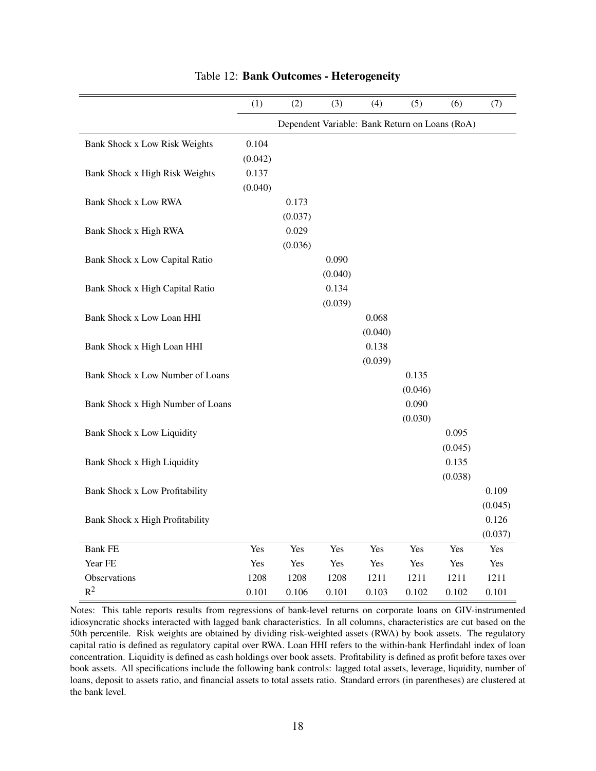|                                       | (1)     | (2)                                            | (3)     | (4)     | (5)     | (6)     | (7)     |
|---------------------------------------|---------|------------------------------------------------|---------|---------|---------|---------|---------|
|                                       |         | Dependent Variable: Bank Return on Loans (RoA) |         |         |         |         |         |
| Bank Shock x Low Risk Weights         | 0.104   |                                                |         |         |         |         |         |
|                                       | (0.042) |                                                |         |         |         |         |         |
| Bank Shock x High Risk Weights        | 0.137   |                                                |         |         |         |         |         |
|                                       | (0.040) |                                                |         |         |         |         |         |
| <b>Bank Shock x Low RWA</b>           |         | 0.173                                          |         |         |         |         |         |
|                                       |         | (0.037)                                        |         |         |         |         |         |
| Bank Shock x High RWA                 |         | 0.029                                          |         |         |         |         |         |
|                                       |         | (0.036)                                        |         |         |         |         |         |
| <b>Bank Shock x Low Capital Ratio</b> |         |                                                | 0.090   |         |         |         |         |
|                                       |         |                                                | (0.040) |         |         |         |         |
| Bank Shock x High Capital Ratio       |         |                                                | 0.134   |         |         |         |         |
|                                       |         |                                                | (0.039) |         |         |         |         |
| Bank Shock x Low Loan HHI             |         |                                                |         | 0.068   |         |         |         |
|                                       |         |                                                |         | (0.040) |         |         |         |
| Bank Shock x High Loan HHI            |         |                                                |         | 0.138   |         |         |         |
|                                       |         |                                                |         | (0.039) |         |         |         |
| Bank Shock x Low Number of Loans      |         |                                                |         |         | 0.135   |         |         |
|                                       |         |                                                |         |         | (0.046) |         |         |
| Bank Shock x High Number of Loans     |         |                                                |         |         | 0.090   |         |         |
|                                       |         |                                                |         |         | (0.030) |         |         |
| <b>Bank Shock x Low Liquidity</b>     |         |                                                |         |         |         | 0.095   |         |
|                                       |         |                                                |         |         |         | (0.045) |         |
| Bank Shock x High Liquidity           |         |                                                |         |         |         | 0.135   |         |
|                                       |         |                                                |         |         |         | (0.038) |         |
| Bank Shock x Low Profitability        |         |                                                |         |         |         |         | 0.109   |
|                                       |         |                                                |         |         |         |         | (0.045) |
| Bank Shock x High Profitability       |         |                                                |         |         |         |         | 0.126   |
|                                       |         |                                                |         |         |         |         | (0.037) |
| <b>Bank FE</b>                        | Yes     | Yes                                            | Yes     | Yes     | Yes     | Yes     | Yes     |
| Year FE                               | Yes     | Yes                                            | Yes     | Yes     | Yes     | Yes     | Yes     |
| Observations                          | 1208    | 1208                                           | 1208    | 1211    | 1211    | 1211    | 1211    |
| $R^2$                                 | 0.101   | 0.106                                          | 0.101   | 0.103   | 0.102   | 0.102   | 0.101   |

Table 12: **Bank Outcomes - Heterogeneity**

Notes: This table reports results from regressions of bank-level returns on corporate loans on GIV-instrumented idiosyncratic shocks interacted with lagged bank characteristics. In all columns, characteristics are cut based on the 50th percentile. Risk weights are obtained by dividing risk-weighted assets (RWA) by book assets. The regulatory capital ratio is defined as regulatory capital over RWA. Loan HHI refers to the within-bank Herfindahl index of loan concentration. Liquidity is defined as cash holdings over book assets. Profitability is defined as profit before taxes over book assets. All specifications include the following bank controls: lagged total assets, leverage, liquidity, number of loans, deposit to assets ratio, and financial assets to total assets ratio. Standard errors (in parentheses) are clustered at the bank level.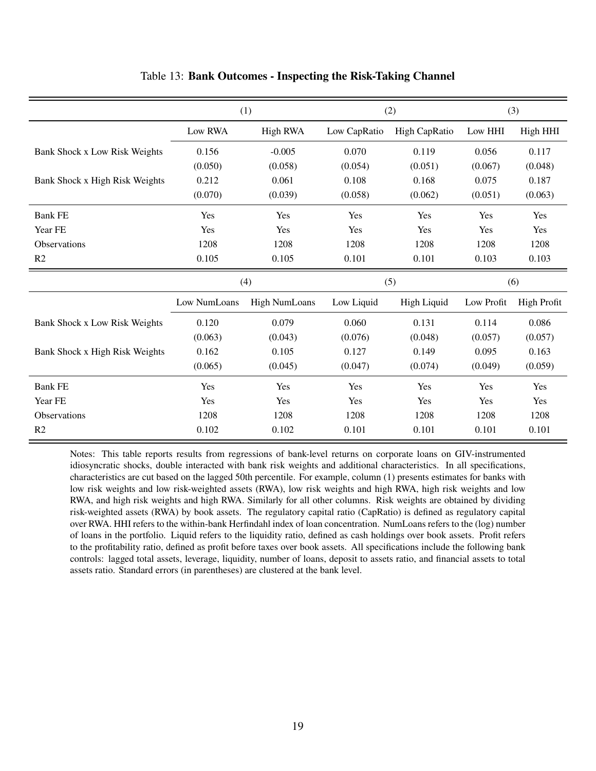|                                |              | (1)             |              | (2)                | (3)        |                    |  |
|--------------------------------|--------------|-----------------|--------------|--------------------|------------|--------------------|--|
|                                | Low RWA      | <b>High RWA</b> | Low CapRatio | High CapRatio      | Low HHI    | High HHI           |  |
| Bank Shock x Low Risk Weights  | 0.156        | $-0.005$        | 0.070        | 0.119              | 0.056      | 0.117              |  |
|                                | (0.050)      | (0.058)         | (0.054)      | (0.051)            | (0.067)    | (0.048)            |  |
| Bank Shock x High Risk Weights | 0.212        | 0.061           | 0.108        | 0.168              | 0.075      | 0.187              |  |
|                                | (0.070)      | (0.039)         | (0.058)      | (0.062)            | (0.051)    | (0.063)            |  |
| <b>Bank FE</b>                 | Yes          | Yes             | Yes          | Yes                | Yes        | Yes                |  |
| Year FE                        | Yes          | Yes             | Yes          | Yes                | Yes        | Yes                |  |
| <b>Observations</b>            | 1208         | 1208            | 1208         | 1208               | 1208       | 1208               |  |
| R <sub>2</sub>                 | 0.105        | 0.105           | 0.101        | 0.101              | 0.103      | 0.103              |  |
|                                |              | (4)             |              | (5)                | (6)        |                    |  |
|                                | Low NumLoans | High NumLoans   | Low Liquid   | <b>High Liquid</b> | Low Profit | <b>High Profit</b> |  |
| Bank Shock x Low Risk Weights  | 0.120        | 0.079           | 0.060        | 0.131              | 0.114      | 0.086              |  |
|                                | (0.063)      | (0.043)         | (0.076)      | (0.048)            | (0.057)    | (0.057)            |  |
| Bank Shock x High Risk Weights | 0.162        | 0.105           | 0.127        | 0.149              | 0.095      | 0.163              |  |
|                                | (0.065)      | (0.045)         | (0.047)      | (0.074)            | (0.049)    | (0.059)            |  |
| <b>Bank FE</b>                 | Yes          | Yes             | Yes          | Yes                | Yes        | Yes                |  |
| Year FE                        | Yes          | Yes             | Yes          | Yes                | Yes        | Yes                |  |
| <b>Observations</b>            | 1208         | 1208            | 1208         | 1208               | 1208       | 1208               |  |
| R <sub>2</sub>                 | 0.102        | 0.102           | 0.101        | 0.101              | 0.101      | 0.101              |  |

#### Table 13: **Bank Outcomes - Inspecting the Risk-Taking Channel**

Notes: This table reports results from regressions of bank-level returns on corporate loans on GIV-instrumented idiosyncratic shocks, double interacted with bank risk weights and additional characteristics. In all specifications, characteristics are cut based on the lagged 50th percentile. For example, column (1) presents estimates for banks with low risk weights and low risk-weighted assets (RWA), low risk weights and high RWA, high risk weights and low RWA, and high risk weights and high RWA. Similarly for all other columns. Risk weights are obtained by dividing risk-weighted assets (RWA) by book assets. The regulatory capital ratio (CapRatio) is defined as regulatory capital over RWA. HHI refers to the within-bank Herfindahl index of loan concentration. NumLoans refers to the (log) number of loans in the portfolio. Liquid refers to the liquidity ratio, defined as cash holdings over book assets. Profit refers to the profitability ratio, defined as profit before taxes over book assets. All specifications include the following bank controls: lagged total assets, leverage, liquidity, number of loans, deposit to assets ratio, and financial assets to total assets ratio. Standard errors (in parentheses) are clustered at the bank level.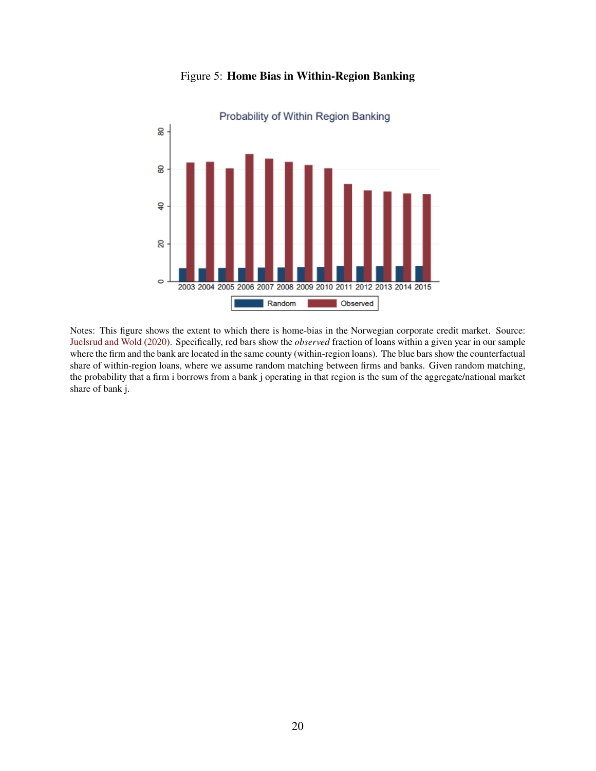<span id="page-67-0"></span>

Figure 5: **Home Bias in Within-Region Banking**

Notes: This figure shows the extent to which there is home-bias in the Norwegian corporate credit market. Source: [Juelsrud and Wold](#page-46-1) [\(2020\)](#page-46-1). Specifically, red bars show the *observed* fraction of loans within a given year in our sample where the firm and the bank are located in the same county (within-region loans). The blue bars show the counterfactual share of within-region loans, where we assume random matching between firms and banks. Given random matching, the probability that a firm i borrows from a bank j operating in that region is the sum of the aggregate/national market share of bank j.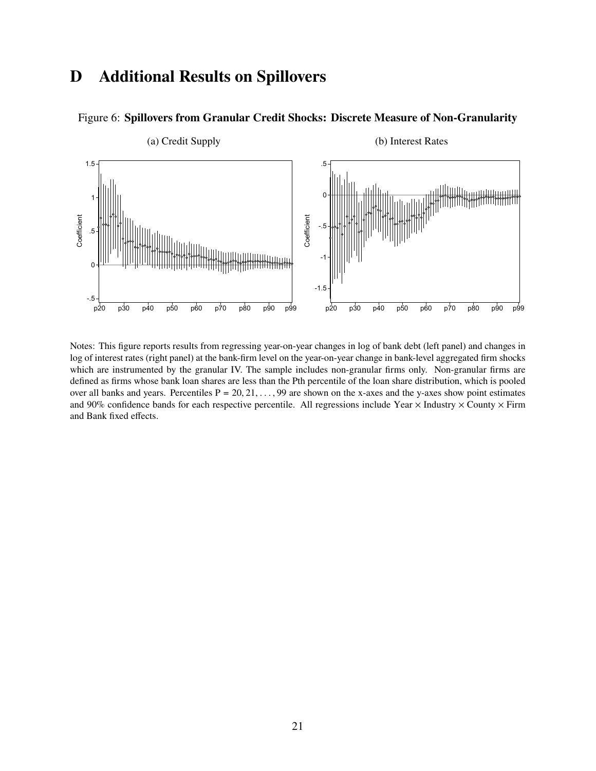## <span id="page-68-0"></span>**D Additional Results on Spillovers**



#### Figure 6: **Spillovers from Granular Credit Shocks: Discrete Measure of Non-Granularity**

Notes: This figure reports results from regressing year-on-year changes in log of bank debt (left panel) and changes in log of interest rates (right panel) at the bank-firm level on the year-on-year change in bank-level aggregated firm shocks which are instrumented by the granular IV. The sample includes non-granular firms only. Non-granular firms are defined as firms whose bank loan shares are less than the Pth percentile of the loan share distribution, which is pooled over all banks and years. Percentiles  $P = 20, 21, \ldots, 99$  are shown on the x-axes and the y-axes show point estimates and 90% confidence bands for each respective percentile. All regressions include Year  $\times$  Industry  $\times$  County  $\times$  Firm and Bank fixed effects.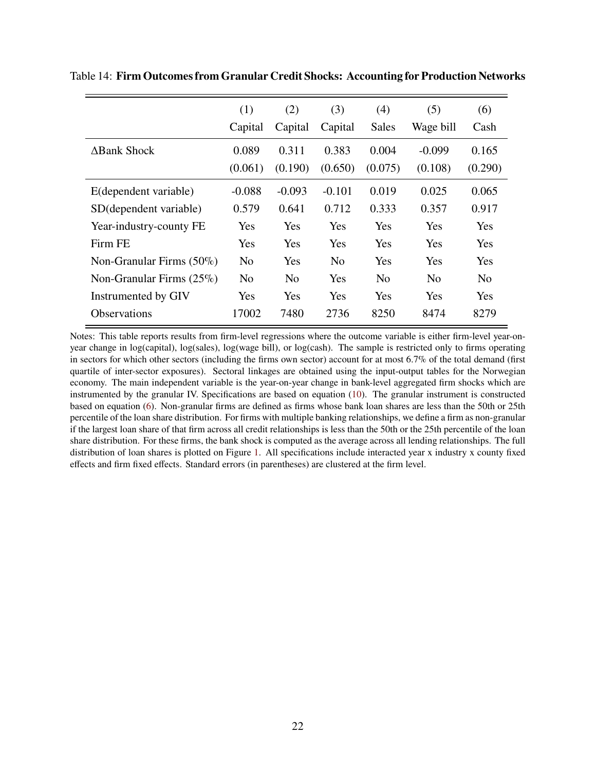|                             | (1)            | (2)            | (3)            | (4)            | (5)            | (6)            |
|-----------------------------|----------------|----------------|----------------|----------------|----------------|----------------|
|                             | Capital        | Capital        | Capital        | Sales          | Wage bill      | Cash           |
| $\Delta$ Bank Shock         | 0.089          | 0.311          | 0.383          | 0.004          | $-0.099$       | 0.165          |
|                             | (0.061)        | (0.190)        | (0.650)        | (0.075)        | (0.108)        | (0.290)        |
| E(dependent variable)       | $-0.088$       | $-0.093$       | $-0.101$       | 0.019          | 0.025          | 0.065          |
| SD(dependent variable)      | 0.579          | 0.641          | 0.712          | 0.333          | 0.357          | 0.917          |
| Year-industry-county FE     | Yes            | Yes            | Yes            | Yes            | Yes            | Yes            |
| Firm FE                     | Yes            | Yes            | Yes            | Yes            | Yes            | Yes            |
| Non-Granular Firms $(50\%)$ | N <sub>0</sub> | Yes            | N <sub>0</sub> | Yes            | Yes            | Yes            |
| Non-Granular Firms $(25\%)$ | N <sub>0</sub> | N <sub>0</sub> | Yes            | N <sub>0</sub> | N <sub>0</sub> | N <sub>0</sub> |
| Instrumented by GIV         | <b>Yes</b>     | Yes            | Yes            | Yes            | Yes            | Yes            |
| <b>Observations</b>         | 17002          | 7480           | 2736           | 8250           | 8474           | 8279           |

<span id="page-69-0"></span>Table 14: **Firm Outcomes from Granular Credit Shocks: Accounting for Production Networks**

Notes: This table reports results from firm-level regressions where the outcome variable is either firm-level year-onyear change in log(capital), log(sales), log(wage bill), or log(cash). The sample is restricted only to firms operating in sectors for which other sectors (including the firms own sector) account for at most 6.7% of the total demand (first quartile of inter-sector exposures). Sectoral linkages are obtained using the input-output tables for the Norwegian economy. The main independent variable is the year-on-year change in bank-level aggregated firm shocks which are instrumented by the granular IV. Specifications are based on equation [\(10\)](#page-17-0). The granular instrument is constructed based on equation [\(6\)](#page-15-1). Non-granular firms are defined as firms whose bank loan shares are less than the 50th or 25th percentile of the loan share distribution. For firms with multiple banking relationships, we define a firm as non-granular if the largest loan share of that firm across all credit relationships is less than the 50th or the 25th percentile of the loan share distribution. For these firms, the bank shock is computed as the average across all lending relationships. The full distribution of loan shares is plotted on Figure [1.](#page-11-0) All specifications include interacted year x industry x county fixed effects and firm fixed effects. Standard errors (in parentheses) are clustered at the firm level.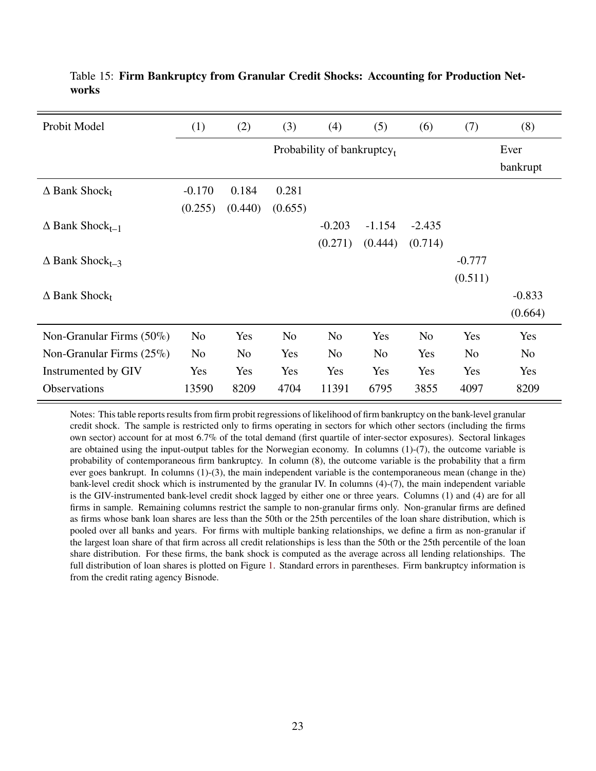| Probit Model                          | (1)                        | (2)            | (3)            | (4)            | (5)            | (6)            | (7)            | (8)            |
|---------------------------------------|----------------------------|----------------|----------------|----------------|----------------|----------------|----------------|----------------|
|                                       | Probability of bankruptcy, |                |                |                |                |                |                | Ever           |
|                                       |                            |                |                |                |                |                |                |                |
| $\Delta$ Bank Shock <sub>t</sub>      | $-0.170$                   | 0.184          | 0.281          |                |                |                |                |                |
|                                       | (0.255)                    | (0.440)        | (0.655)        |                |                |                |                |                |
| $\Delta$ Bank Shock <sub>t-1</sub>    |                            |                |                | $-0.203$       | $-1.154$       | $-2.435$       |                |                |
|                                       |                            |                |                | (0.271)        | (0.444)        | (0.714)        |                |                |
| $\triangle$ Bank Shock <sub>t-3</sub> |                            |                |                |                |                |                | $-0.777$       |                |
|                                       |                            |                |                |                |                |                | (0.511)        |                |
| $\Delta$ Bank Shock <sub>t</sub>      |                            |                |                |                |                |                |                | $-0.833$       |
|                                       |                            |                |                |                |                |                |                | (0.664)        |
| Non-Granular Firms (50%)              | N <sub>o</sub>             | Yes            | N <sub>0</sub> | N <sub>0</sub> | Yes            | N <sub>o</sub> | Yes            | Yes            |
| Non-Granular Firms $(25\%)$           | N <sub>0</sub>             | N <sub>0</sub> | Yes            | N <sub>0</sub> | N <sub>0</sub> | Yes            | N <sub>0</sub> | N <sub>0</sub> |
| Instrumented by GIV                   | Yes                        | Yes            | Yes            | Yes            | Yes            | Yes            | Yes            | Yes            |
| Observations                          | 13590                      | 8209           | 4704           | 11391          | 6795           | 3855           | 4097           | 8209           |

<span id="page-70-0"></span>Table 15: **Firm Bankruptcy from Granular Credit Shocks: Accounting for Production Networks**

Notes: This table reports results from firm probit regressions of likelihood of firm bankruptcy on the bank-level granular credit shock. The sample is restricted only to firms operating in sectors for which other sectors (including the firms own sector) account for at most 6.7% of the total demand (first quartile of inter-sector exposures). Sectoral linkages are obtained using the input-output tables for the Norwegian economy. In columns (1)-(7), the outcome variable is probability of contemporaneous firm bankruptcy. In column (8), the outcome variable is the probability that a firm ever goes bankrupt. In columns (1)-(3), the main independent variable is the contemporaneous mean (change in the) bank-level credit shock which is instrumented by the granular IV. In columns (4)-(7), the main independent variable is the GIV-instrumented bank-level credit shock lagged by either one or three years. Columns (1) and (4) are for all firms in sample. Remaining columns restrict the sample to non-granular firms only. Non-granular firms are defined as firms whose bank loan shares are less than the 50th or the 25th percentiles of the loan share distribution, which is pooled over all banks and years. For firms with multiple banking relationships, we define a firm as non-granular if the largest loan share of that firm across all credit relationships is less than the 50th or the 25th percentile of the loan share distribution. For these firms, the bank shock is computed as the average across all lending relationships. The full distribution of loan shares is plotted on Figure [1.](#page-11-0) Standard errors in parentheses. Firm bankruptcy information is from the credit rating agency Bisnode.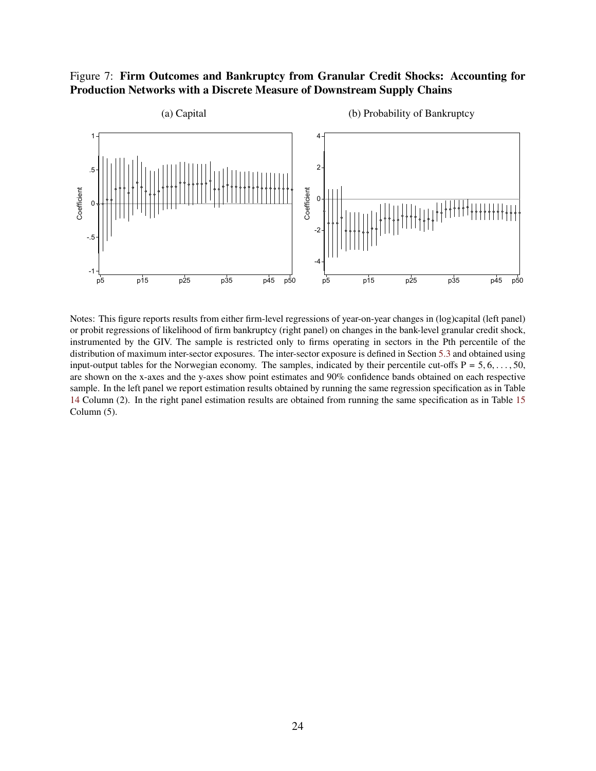#### Figure 7: **Firm Outcomes and Bankruptcy from Granular Credit Shocks: Accounting for Production Networks with a Discrete Measure of Downstream Supply Chains**



Notes: This figure reports results from either firm-level regressions of year-on-year changes in (log)capital (left panel) or probit regressions of likelihood of firm bankruptcy (right panel) on changes in the bank-level granular credit shock, instrumented by the GIV. The sample is restricted only to firms operating in sectors in the Pth percentile of the distribution of maximum inter-sector exposures. The inter-sector exposure is defined in Section [5.3](#page-32-0) and obtained using input-output tables for the Norwegian economy. The samples, indicated by their percentile cut-offs  $P = 5, 6, \ldots, 50$ , are shown on the x-axes and the y-axes show point estimates and 90% confidence bands obtained on each respective sample. In the left panel we report estimation results obtained by running the same regression specification as in Table [14](#page-69-0) Column (2). In the right panel estimation results are obtained from running the same specification as in Table [15](#page-70-0) Column (5).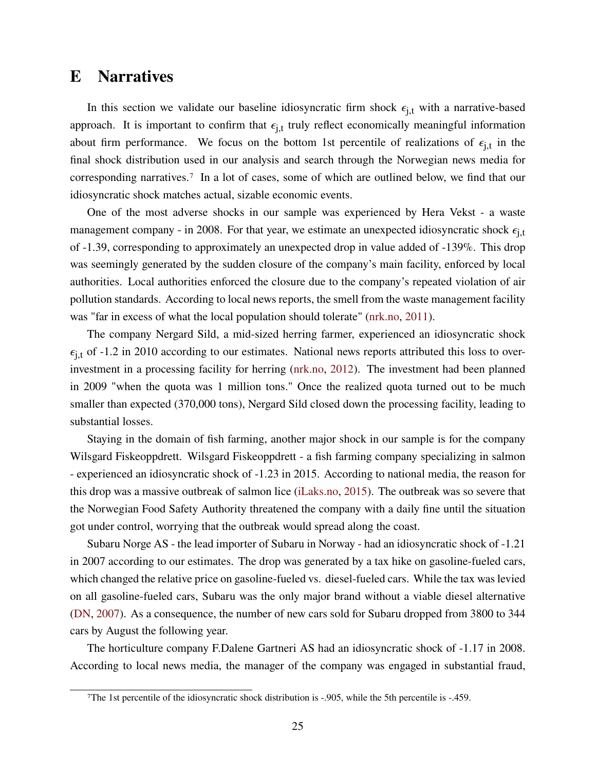## **E Narratives**

In this section we validate our baseline idiosyncratic firm shock  $\epsilon_{i,t}$  with a narrative-based approach. It is important to confirm that  $\epsilon_{i,t}$  truly reflect economically meaningful information about firm performance. We focus on the bottom 1st percentile of realizations of  $\epsilon_{i,t}$  in the final shock distribution used in our analysis and search through the Norwegian news media for corresponding narratives.[7](#page-0-0) In a lot of cases, some of which are outlined below, we find that our idiosyncratic shock matches actual, sizable economic events.

One of the most adverse shocks in our sample was experienced by Hera Vekst - a waste management company - in 2008. For that year, we estimate an unexpected idiosyncratic shock  $\epsilon_{i,t}$ of -1.39, corresponding to approximately an unexpected drop in value added of -139%. This drop was seemingly generated by the sudden closure of the company's main facility, enforced by local authorities. Local authorities enforced the closure due to the company's repeated violation of air pollution standards. According to local news reports, the smell from the waste management facility was "far in excess of what the local population should tolerate" [\(nrk.no,](#page-46-0) [2011\)](#page-46-0).

The company Nergard Sild, a mid-sized herring farmer, experienced an idiosyncratic shock  $\epsilon_{i,t}$  of -1.2 in 2010 according to our estimates. National news reports attributed this loss to overinvestment in a processing facility for herring [\(nrk.no,](#page-84-0) [2012\)](#page-84-0). The investment had been planned in 2009 "when the quota was 1 million tons." Once the realized quota turned out to be much smaller than expected (370,000 tons), Nergard Sild closed down the processing facility, leading to substantial losses.

Staying in the domain of fish farming, another major shock in our sample is for the company Wilsgard Fiskeoppdrett. Wilsgard Fiskeoppdrett - a fish farming company specializing in salmon - experienced an idiosyncratic shock of -1.23 in 2015. According to national media, the reason for this drop was a massive outbreak of salmon lice [\(iLaks.no,](#page-84-1) [2015\)](#page-84-1). The outbreak was so severe that the Norwegian Food Safety Authority threatened the company with a daily fine until the situation got under control, worrying that the outbreak would spread along the coast.

Subaru Norge AS - the lead importer of Subaru in Norway - had an idiosyncratic shock of -1.21 in 2007 according to our estimates. The drop was generated by a tax hike on gasoline-fueled cars, which changed the relative price on gasoline-fueled vs. diesel-fueled cars. While the tax was levied on all gasoline-fueled cars, Subaru was the only major brand without a viable diesel alternative [\(DN,](#page-84-2) [2007\)](#page-84-2). As a consequence, the number of new cars sold for Subaru dropped from 3800 to 344 cars by August the following year.

The horticulture company F.Dalene Gartneri AS had an idiosyncratic shock of -1.17 in 2008. According to local news media, the manager of the company was engaged in substantial fraud,

<sup>7</sup>The 1st percentile of the idiosyncratic shock distribution is -.905, while the 5th percentile is -.459.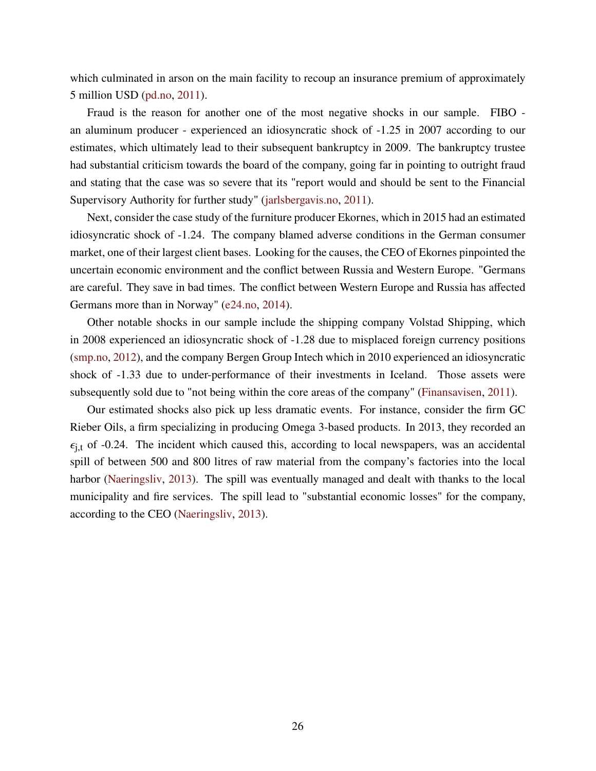which culminated in arson on the main facility to recoup an insurance premium of approximately 5 million USD [\(pd.no,](#page-84-3) [2011\)](#page-84-3).

Fraud is the reason for another one of the most negative shocks in our sample. FIBO an aluminum producer - experienced an idiosyncratic shock of -1.25 in 2007 according to our estimates, which ultimately lead to their subsequent bankruptcy in 2009. The bankruptcy trustee had substantial criticism towards the board of the company, going far in pointing to outright fraud and stating that the case was so severe that its "report would and should be sent to the Financial Supervisory Authority for further study" [\(jarlsbergavis.no,](#page-84-4) [2011\)](#page-84-4).

Next, consider the case study of the furniture producer Ekornes, which in 2015 had an estimated idiosyncratic shock of -1.24. The company blamed adverse conditions in the German consumer market, one of their largest client bases. Looking for the causes, the CEO of Ekornes pinpointed the uncertain economic environment and the conflict between Russia and Western Europe. "Germans are careful. They save in bad times. The conflict between Western Europe and Russia has affected Germans more than in Norway" [\(e24.no,](#page-84-5) [2014\)](#page-84-5).

Other notable shocks in our sample include the shipping company Volstad Shipping, which in 2008 experienced an idiosyncratic shock of -1.28 due to misplaced foreign currency positions [\(smp.no,](#page-84-6) [2012\)](#page-84-6), and the company Bergen Group Intech which in 2010 experienced an idiosyncratic shock of -1.33 due to under-performance of their investments in Iceland. Those assets were subsequently sold due to "not being within the core areas of the company" [\(Finansavisen,](#page-84-7) [2011\)](#page-84-7).

Our estimated shocks also pick up less dramatic events. For instance, consider the firm GC Rieber Oils, a firm specializing in producing Omega 3-based products. In 2013, they recorded an  $\epsilon_{i,t}$  of -0.24. The incident which caused this, according to local newspapers, was an accidental spill of between 500 and 800 litres of raw material from the company's factories into the local harbor [\(Naeringsliv,](#page-84-8) [2013\)](#page-84-8). The spill was eventually managed and dealt with thanks to the local municipality and fire services. The spill lead to "substantial economic losses" for the company, according to the CEO [\(Naeringsliv,](#page-84-8) [2013\)](#page-84-8).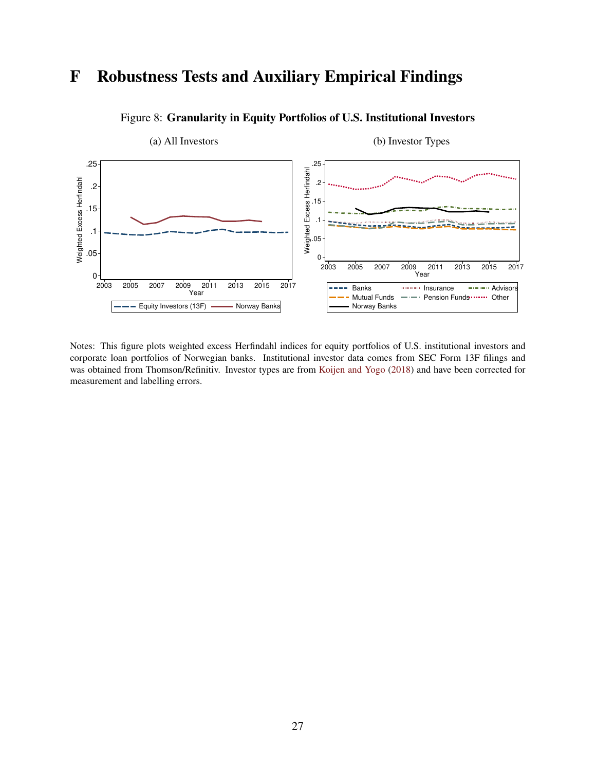# **F Robustness Tests and Auxiliary Empirical Findings**



#### Figure 8: **Granularity in Equity Portfolios of U.S. Institutional Investors**

Notes: This figure plots weighted excess Herfindahl indices for equity portfolios of U.S. institutional investors and corporate loan portfolios of Norwegian banks. Institutional investor data comes from SEC Form 13F filings and was obtained from Thomson/Refinitiv. Investor types are from [Koijen and Yogo](#page-46-1) [\(2018\)](#page-46-1) and have been corrected for measurement and labelling errors.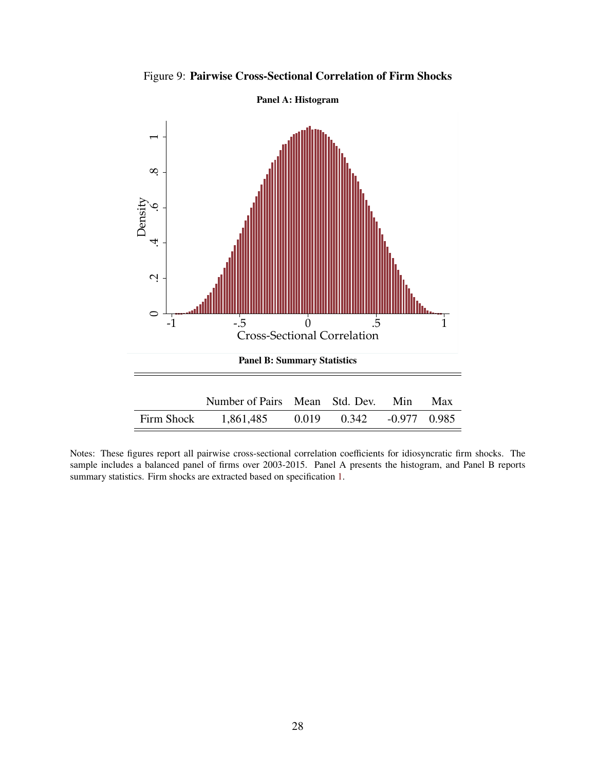

Figure 9: **Pairwise Cross-Sectional Correlation of Firm Shocks**

Notes: These figures report all pairwise cross-sectional correlation coefficients for idiosyncratic firm shocks. The sample includes a balanced panel of firms over 2003-2015. Panel A presents the histogram, and Panel B reports summary statistics. Firm shocks are extracted based on specification [1.](#page-12-0)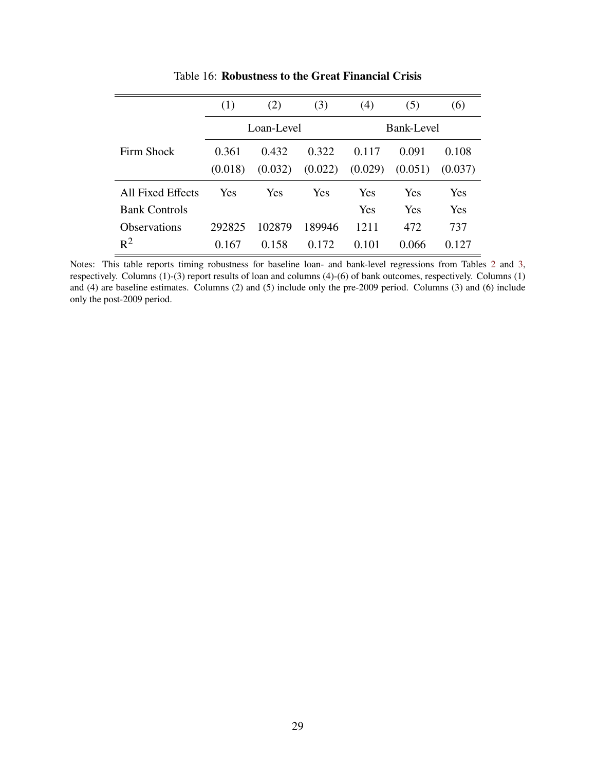|                      | (1)        | (2)        | (3)        | (4)     | (5)     | (6)     |
|----------------------|------------|------------|------------|---------|---------|---------|
|                      | Loan-Level |            | Bank-Level |         |         |         |
| Firm Shock           | 0.361      | 0.432      | 0.322      | 0.117   | 0.091   | 0.108   |
|                      | (0.018)    | (0.032)    | (0.022)    | (0.029) | (0.051) | (0.037) |
| All Fixed Effects    | Yes        | <b>Yes</b> | Yes        | Yes     | Yes     | Yes     |
| <b>Bank Controls</b> |            |            |            | Yes     | Yes     | Yes     |
| <b>Observations</b>  | 292825     | 102879     | 189946     | 1211    | 472     | 737     |
| $R^2$                | 0.167      | 0.158      | 0.172      | 0.101   | 0.066   | 0.127   |

Table 16: **Robustness to the Great Financial Crisis**

Notes: This table reports timing robustness for baseline loan- and bank-level regressions from Tables [2](#page-18-0) and [3,](#page-19-0) respectively. Columns (1)-(3) report results of loan and columns (4)-(6) of bank outcomes, respectively. Columns (1) and (4) are baseline estimates. Columns (2) and (5) include only the pre-2009 period. Columns (3) and (6) include only the post-2009 period.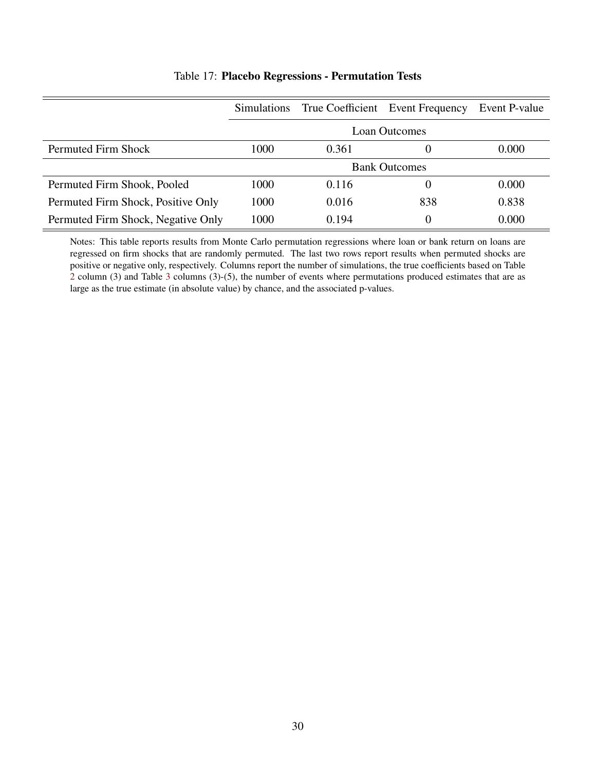|                                    | <b>Simulations</b>   |       | True Coefficient Event Frequency | Event P-value |
|------------------------------------|----------------------|-------|----------------------------------|---------------|
|                                    |                      |       | <b>Loan Outcomes</b>             |               |
| Permuted Firm Shock                | 1000                 | 0.361 | $\theta$                         | 0.000         |
|                                    | <b>Bank Outcomes</b> |       |                                  |               |
| Permuted Firm Shook, Pooled        | 1000                 | 0.116 | $\theta$                         | 0.000         |
| Permuted Firm Shock, Positive Only | 1000                 | 0.016 | 838                              | 0.838         |
| Permuted Firm Shock, Negative Only | 1000                 | 0.194 | $\left( \right)$                 | 0.000         |

#### Table 17: **Placebo Regressions - Permutation Tests**

Notes: This table reports results from Monte Carlo permutation regressions where loan or bank return on loans are regressed on firm shocks that are randomly permuted. The last two rows report results when permuted shocks are positive or negative only, respectively. Columns report the number of simulations, the true coefficients based on Table [2](#page-18-0) column (3) and Table [3](#page-19-0) columns (3)-(5), the number of events where permutations produced estimates that are as large as the true estimate (in absolute value) by chance, and the associated p-values.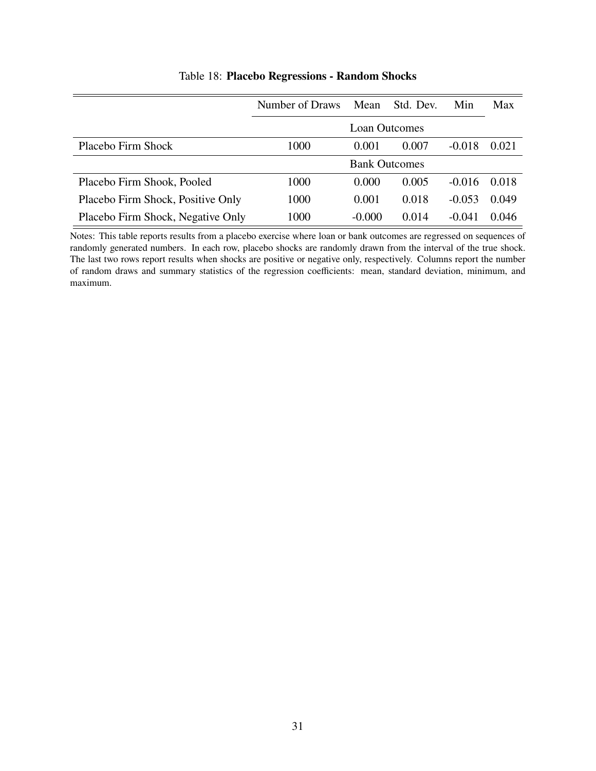|                                   | Number of Draws | Mean     | Std. Dev.            | Min      | Max   |
|-----------------------------------|-----------------|----------|----------------------|----------|-------|
|                                   |                 |          | <b>Loan Outcomes</b> |          |       |
| Placebo Firm Shock                | 1000            | 0.001    | 0.007                | $-0.018$ | 0.021 |
|                                   |                 |          | <b>Bank Outcomes</b> |          |       |
| Placebo Firm Shook, Pooled        | 1000            | 0.000    | 0.005                | $-0.016$ | 0.018 |
| Placebo Firm Shock, Positive Only | 1000            | 0.001    | 0.018                | $-0.053$ | 0.049 |
| Placebo Firm Shock, Negative Only | 1000            | $-0.000$ | 0.014                | $-0.041$ | 0.046 |

#### Table 18: **Placebo Regressions - Random Shocks**

Notes: This table reports results from a placebo exercise where loan or bank outcomes are regressed on sequences of randomly generated numbers. In each row, placebo shocks are randomly drawn from the interval of the true shock. The last two rows report results when shocks are positive or negative only, respectively. Columns report the number of random draws and summary statistics of the regression coefficients: mean, standard deviation, minimum, and maximum.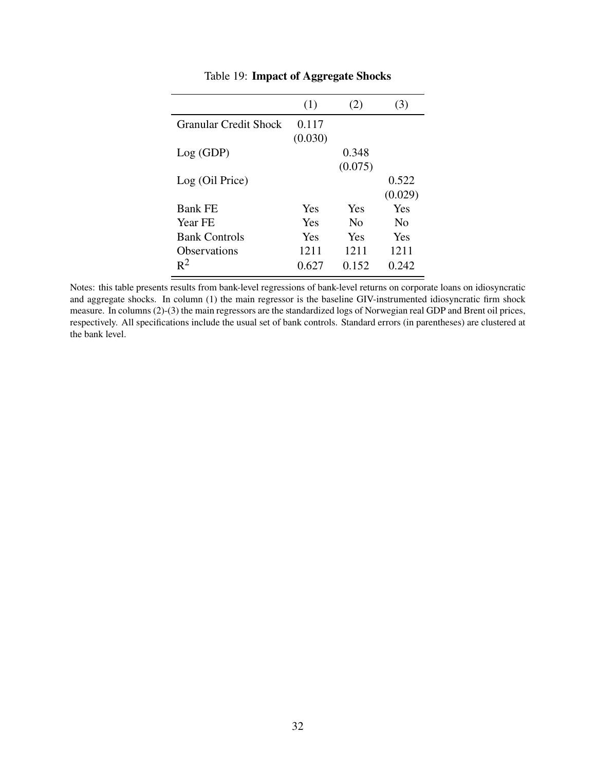|                              | (1)     | (2)            | 3)             |
|------------------------------|---------|----------------|----------------|
| <b>Granular Credit Shock</b> | 0.117   |                |                |
|                              | (0.030) |                |                |
| Log (GDP)                    |         | 0.348          |                |
|                              |         | (0.075)        |                |
| Log (Oil Price)              |         |                | 0.522          |
|                              |         |                | (0.029)        |
| <b>Bank FE</b>               | Yes     | Yes            | Yes            |
| <b>Year FE</b>               | Yes     | N <sub>0</sub> | N <sub>0</sub> |
| <b>Bank Controls</b>         | Yes     | Yes            | Yes            |
| <b>Observations</b>          | 1211    | 1211           | 1211           |
| $R^2$                        | 0.627   | 0.152          | 0.242          |

### Table 19: **Impact of Aggregate Shocks**

Notes: this table presents results from bank-level regressions of bank-level returns on corporate loans on idiosyncratic and aggregate shocks. In column (1) the main regressor is the baseline GIV-instrumented idiosyncratic firm shock measure. In columns (2)-(3) the main regressors are the standardized logs of Norwegian real GDP and Brent oil prices, respectively. All specifications include the usual set of bank controls. Standard errors (in parentheses) are clustered at the bank level.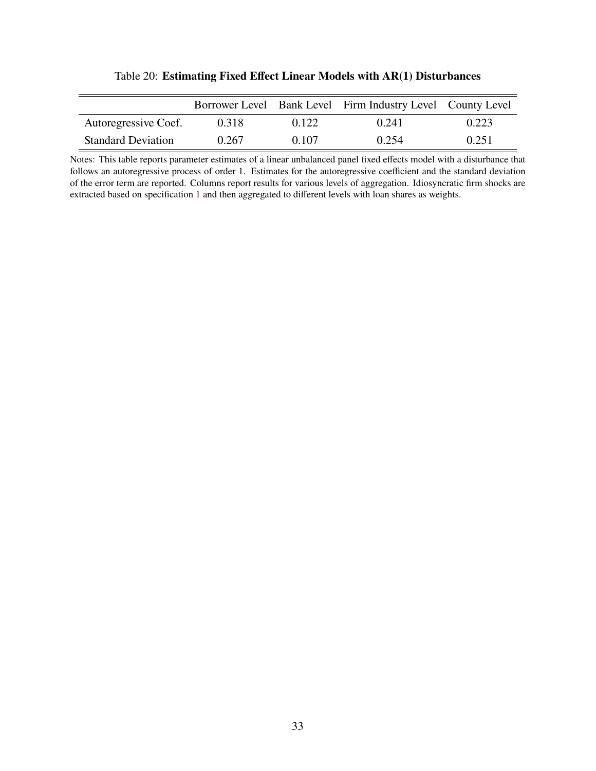|                           |       |       | Borrower Level Bank Level Firm Industry Level County Level |       |
|---------------------------|-------|-------|------------------------------------------------------------|-------|
| Autoregressive Coef.      | 0.318 | 0.122 | 0.241                                                      | 0.223 |
| <b>Standard Deviation</b> | 0.267 | 0.107 | 0.254                                                      | 0.251 |

Table 20: **Estimating Fixed Effect Linear Models with AR(1) Disturbances**

Notes: This table reports parameter estimates of a linear unbalanced panel fixed effects model with a disturbance that follows an autoregressive process of order 1. Estimates for the autoregressive coefficient and the standard deviation of the error term are reported. Columns report results for various levels of aggregation. Idiosyncratic firm shocks are extracted based on specification [1](#page-12-0) and then aggregated to different levels with loan shares as weights.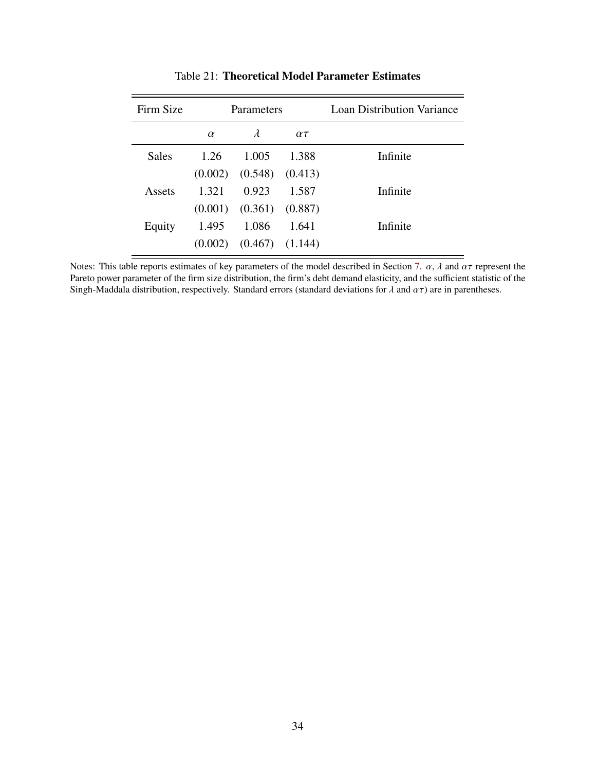| Firm Size    | Parameters |           |              | <b>Loan Distribution Variance</b> |
|--------------|------------|-----------|--------------|-----------------------------------|
|              | $\alpha$   | $\lambda$ | $\alpha\tau$ |                                   |
| <b>Sales</b> | 1.26       | 1.005     | 1.388        | Infinite                          |
|              | (0.002)    | (0.548)   | (0.413)      |                                   |
| Assets       | 1.321      | 0.923     | 1.587        | Infinite                          |
|              | (0.001)    | (0.361)   | (0.887)      |                                   |
| Equity       | 1.495      | 1.086     | 1.641        | Infinite                          |
|              | (0.002)    | (0.467)   | (1.144)      |                                   |

Table 21: **Theoretical Model Parameter Estimates**

Notes: This table reports estimates of key parameters of the model described in Section [7.](#page-39-0)  $\alpha$ ,  $\lambda$  and  $\alpha\tau$  represent the Pareto power parameter of the firm size distribution, the firm's debt demand elasticity, and the sufficient statistic of the Singh-Maddala distribution, respectively. Standard errors (standard deviations for  $\lambda$  and  $\alpha\tau$ ) are in parentheses.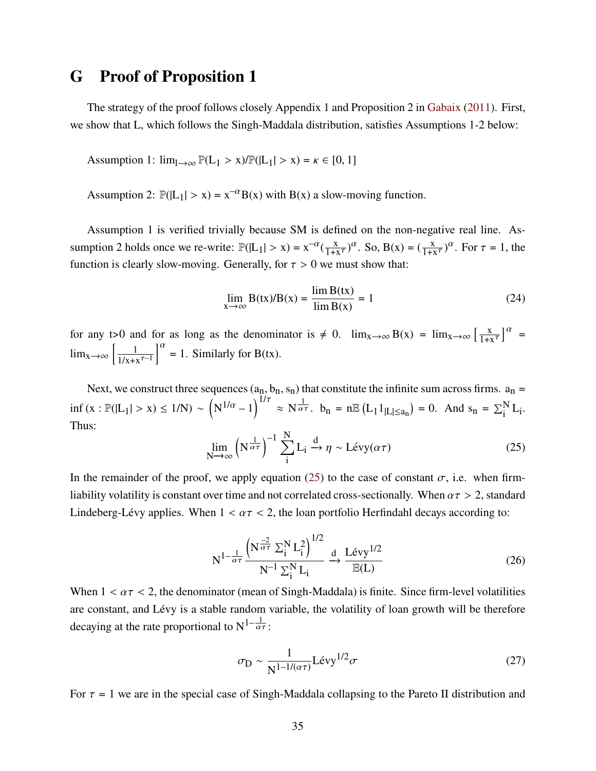## **G Proof of Proposition 1**

The strategy of the proof follows closely Appendix 1 and Proposition 2 in [Gabaix](#page-45-0) [\(2011\)](#page-45-0). First, we show that L, which follows the Singh-Maddala distribution, satisfies Assumptions 1-2 below:

Assumption 1:  $\lim_{l \to \infty} \mathbb{P}(L_1 > x) / \mathbb{P}(|L_1| > x) = \kappa \in [0, 1]$ 

Assumption 2:  $\mathbb{P}(|L_1| > x) = x^{-\alpha}B(x)$  with  $B(x)$  a slow-moving function.

Assumption 1 is verified trivially because SM is defined on the non-negative real line. Assumption 2 holds once we re-write:  $\mathbb{P}(|L_1| > x) = x^{-\alpha}(\frac{x}{1+x})$  $\frac{x}{1+x^{\tau}}$ )<sup> $\alpha$ </sup>. So, B(x) =  $(\frac{x}{1+x^{\tau}})$ <sup> $\alpha$ </sup>. For  $\tau = 1$ , the function is clearly slow-moving. Generally, for  $\tau > 0$  we must show that:

$$
\lim_{x \to \infty} B(tx)/B(x) = \frac{\lim_{x \to \infty} B(tx)}{\lim_{x \to \infty} B(x)} = 1
$$
\n(24)

for any t>0 and for as long as the denominator is  $\neq 0$ .  $\lim_{x\to\infty} B(x) = \lim_{x\to\infty} \left[ \frac{x}{1+x} \right]$  $\left[\frac{x}{1+x^{\tau}}\right]^{\alpha}$  =  $\lim_{x\to\infty} \left[ \frac{1}{1/x} \right]$  $\frac{1}{1/x+x^{\tau-1}}\Big|_0^\alpha = 1$ . Similarly for B(tx).

Next, we construct three sequences  $(a_n, b_n, s_n)$  that constitute the infinite sum across firms.  $a_n =$  $\inf (x : \mathbb{P}(|L_1| > x) \le 1/N) \sim \left(N^{1/\alpha} - 1\right)^{1/\tau} \approx N^{\frac{1}{\alpha \tau}}$ .  $b_n = n \mathbb{E} (L_1 1_{|L| \le a_n}) = 0$ . And  $s_n = \sum_{i=1}^{N} L_i$ . Thus:

<span id="page-82-0"></span>
$$
\lim_{N \to \infty} \left( N^{\frac{1}{\alpha \tau}} \right)^{-1} \sum_{i=1}^{N} L_i \xrightarrow{d} \eta \sim L \text{évy}(\alpha \tau) \tag{25}
$$

In the remainder of the proof, we apply equation [\(25\)](#page-82-0) to the case of constant  $\sigma$ , i.e. when firmliability volatility is constant over time and not correlated cross-sectionally. When  $\alpha \tau > 2$ , standard Lindeberg-Lévy applies. When  $1 < \alpha \tau < 2$ , the loan portfolio Herfindahl decays according to:

$$
N^{1-\frac{1}{\alpha\tau}}\frac{\left(N^{\frac{-2}{\alpha\tau}}\Sigma_{i}^{N}L_{i}^{2}\right)^{1/2}}{N^{-1}\Sigma_{i}^{N}L_{i}} \xrightarrow{d} \frac{L\acute{e}vy^{1/2}}{\mathbb{E}(L)}
$$
(26)

When  $1 < \alpha \tau < 2$ , the denominator (mean of Singh-Maddala) is finite. Since firm-level volatilities are constant, and Lévy is a stable random variable, the volatility of loan growth will be therefore decaving at the rate proportional to  $N^{1-\frac{1}{\alpha\tau}}$ :

$$
\sigma_{\rm D} \sim \frac{1}{\rm N^{1-1/(\alpha \tau)}} \rm Lévy^{1/2} \sigma \tag{27}
$$

For  $\tau = 1$  we are in the special case of Singh-Maddala collapsing to the Pareto II distribution and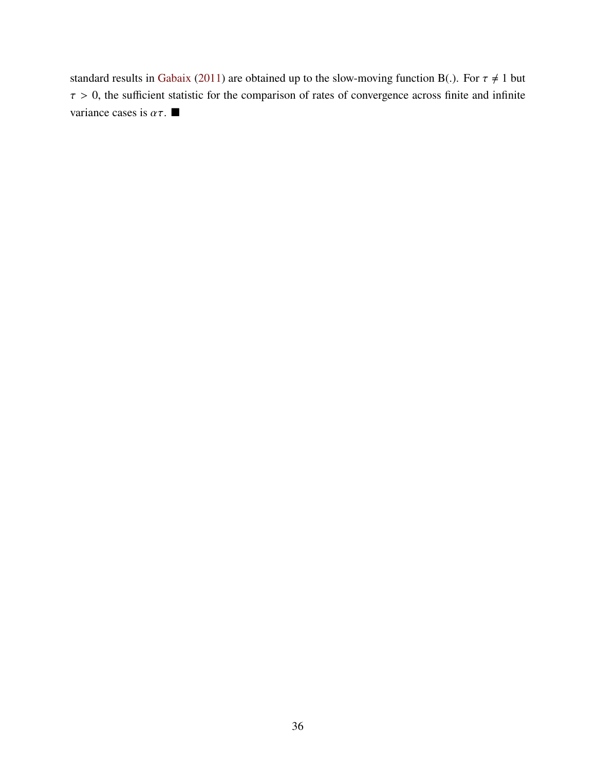standard results in [Gabaix](#page-45-0) [\(2011\)](#page-45-0) are obtained up to the slow-moving function B(.). For  $\tau \neq 1$  but  $\tau > 0$ , the sufficient statistic for the comparison of rates of convergence across finite and infinite variance cases is  $\alpha \tau$ .